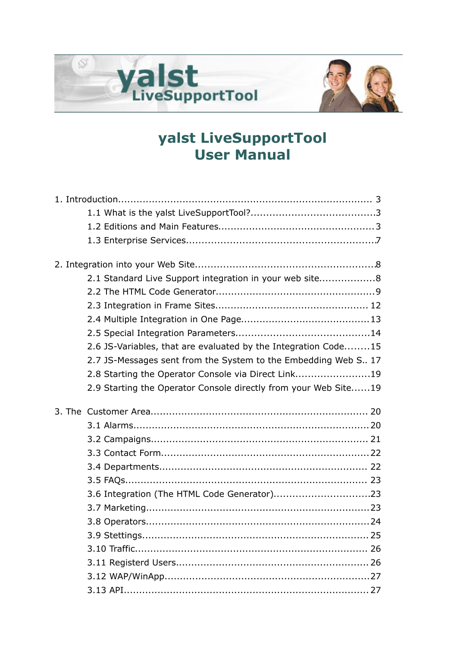



| 2.1 Standard Live Support integration in your web site8         |  |
|-----------------------------------------------------------------|--|
|                                                                 |  |
|                                                                 |  |
|                                                                 |  |
|                                                                 |  |
| 2.6 JS-Variables, that are evaluated by the Integration Code15  |  |
| 2.7 JS-Messages sent from the System to the Embedding Web S 17  |  |
| 2.8 Starting the Operator Console via Direct Link19             |  |
| 2.9 Starting the Operator Console directly from your Web Site19 |  |
|                                                                 |  |
|                                                                 |  |
|                                                                 |  |
|                                                                 |  |
|                                                                 |  |
|                                                                 |  |
|                                                                 |  |
| 3.6 Integration (The HTML Code Generator)23                     |  |
|                                                                 |  |
|                                                                 |  |
|                                                                 |  |
|                                                                 |  |
|                                                                 |  |
|                                                                 |  |
|                                                                 |  |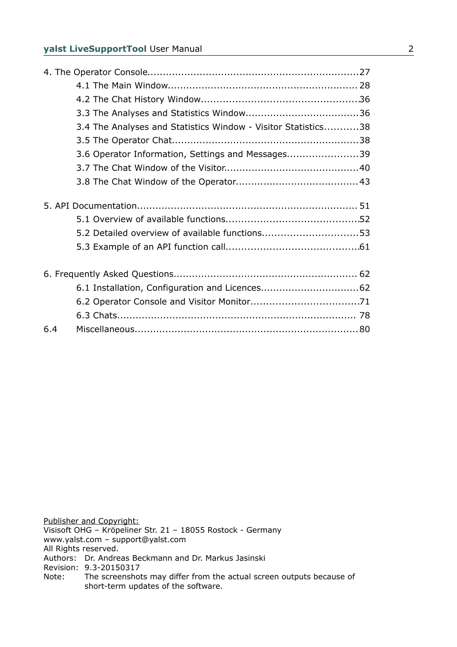| 3.4 The Analyses and Statistics Window - Visitor Statistics38 |  |
|---------------------------------------------------------------|--|
|                                                               |  |
| 3.6 Operator Information, Settings and Messages39             |  |
|                                                               |  |
|                                                               |  |
|                                                               |  |
|                                                               |  |
| 5.2 Detailed overview of available functions53                |  |
|                                                               |  |
|                                                               |  |
|                                                               |  |
|                                                               |  |
|                                                               |  |
|                                                               |  |

Publisher and Copyright: Visisoft OHG – Kröpeliner Str. 21 – 18055 Rostock - Germany www.yalst.com – support@yalst.com All Rights reserved. Authors: Dr. Andreas Beckmann and Dr. Markus Jasinski Revision: 9.3-20150317<br>Note: The screenshot The screenshots may differ from the actual screen outputs because of short-term updates of the software.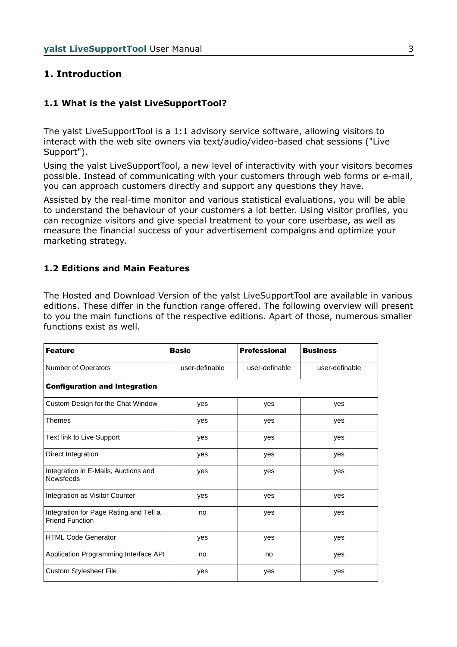## **1. Introduction**

## **1.1 What is the yalst LiveSupportTool?**

The yalst LiveSupportTool is a 1:1 advisory service software, allowing visitors to interact with the web site owners via text/audio/video-based chat sessions ("Live Support").

Using the yalst LiveSupportTool, a new level of interactivity with your visitors becomes possible. Instead of communicating with your customers through web forms or e-mail, you can approach customers directly and support any questions they have.

Assisted by the real-time monitor and various statistical evaluations, you will be able to understand the behaviour of your customers a lot better. Using visitor profiles, you can recognize visitors and give special treatment to your core userbase, as well as measure the financial success of your advertisement compaigns and optimize your marketing strategy.

#### **1.2 Editions and Main Features**

The Hosted and Download Version of the yalst LiveSupportTool are available in various editions. These differ in the function range offered. The following overview will present to you the main functions of the respective editions. Apart of those, numerous smaller functions exist as well.

| <b>Feature</b>                                                   | <b>Basic</b>   | <b>Professional</b> | <b>Business</b> |
|------------------------------------------------------------------|----------------|---------------------|-----------------|
| Number of Operators                                              | user-definable | user-definable      | user-definable  |
| <b>Configuration and Integration</b>                             |                |                     |                 |
| Custom Design for the Chat Window                                | yes            | yes                 | yes             |
| Themes                                                           | yes            | yes                 | yes             |
| Text link to Live Support                                        | yes            | yes                 | yes             |
| Direct Integration                                               | yes            | yes                 | yes             |
| Integration in E-Mails, Auctions and<br><b>Newsfeeds</b>         | yes            | yes                 | yes             |
| Integration as Visitor Counter                                   | yes            | yes                 | yes             |
| Integration for Page Rating and Tell a<br><b>Friend Function</b> | no             | yes                 | yes             |
| <b>HTML Code Generator</b>                                       | yes            | yes                 | yes             |
| Application Programming Interface API                            | no             | no                  | yes             |
| Custom Stylesheet File                                           | yes            | yes                 | yes             |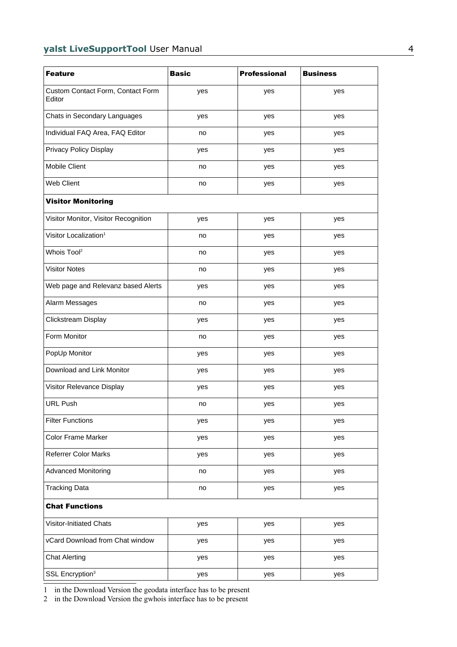| <b>Feature</b>                              | <b>Basic</b> | <b>Professional</b> | <b>Business</b> |
|---------------------------------------------|--------------|---------------------|-----------------|
| Custom Contact Form, Contact Form<br>Editor | yes          | yes                 | yes             |
| Chats in Secondary Languages                | yes          | yes                 | yes             |
| Individual FAQ Area, FAQ Editor             | no           | yes                 | yes             |
| Privacy Policy Display                      | yes          | yes                 | yes             |
| Mobile Client                               | no           | yes                 | yes             |
| Web Client                                  | no           | yes                 | yes             |
| <b>Visitor Monitoring</b>                   |              |                     |                 |
| Visitor Monitor, Visitor Recognition        | yes          | yes                 | yes             |
| Visitor Localization <sup>1</sup>           | no           | yes                 | yes             |
| Whois Tool <sup>2</sup>                     | no           | yes                 | yes             |
| <b>Visitor Notes</b>                        | no           | yes                 | yes             |
| Web page and Relevanz based Alerts          | yes          | yes                 | yes             |
| Alarm Messages                              | no           | yes                 | yes             |
| Clickstream Display                         | yes          | yes                 | yes             |
| Form Monitor                                | no           | yes                 | yes             |
| PopUp Monitor                               | yes          | yes                 | yes             |
| Download and Link Monitor                   | yes          | yes                 | yes             |
| Visitor Relevance Display                   | yes          | yes                 | yes             |
| <b>URL Push</b>                             | no           | yes                 | yes             |
| <b>Filter Functions</b>                     | yes          | yes                 | yes             |
| Color Frame Marker                          | yes          | yes                 | yes             |
| <b>Referrer Color Marks</b>                 | yes          | yes                 | yes             |
| <b>Advanced Monitoring</b>                  | no           | yes                 | yes             |
| <b>Tracking Data</b>                        | no           | yes                 | yes             |
| <b>Chat Functions</b>                       |              |                     |                 |
| Visitor-Initiated Chats                     | yes          | yes                 | yes             |
| vCard Download from Chat window             | yes          | yes                 | yes             |
| <b>Chat Alerting</b>                        | yes          | yes                 | yes             |
| SSL Encryption <sup>3</sup>                 | yes          | yes                 | yes             |

<span id="page-3-0"></span>1 in the Download Version the geodata interface has to be present

<span id="page-3-1"></span>2 in the Download Version the gwhois interface has to be present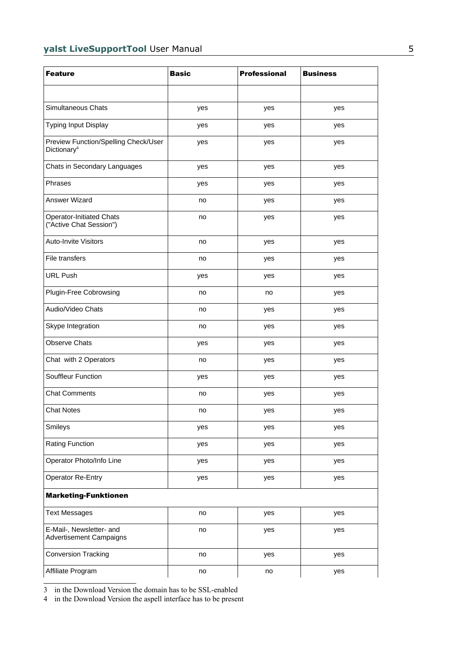| <b>Feature</b>                                                  | <b>Basic</b> | <b>Professional</b> | <b>Business</b> |
|-----------------------------------------------------------------|--------------|---------------------|-----------------|
|                                                                 |              |                     |                 |
| Simultaneous Chats                                              | yes          | yes                 | yes             |
| Typing Input Display                                            | yes          | yes                 | yes             |
| Preview Function/Spelling Check/User<br>Dictionary <sup>4</sup> | yes          | yes                 | yes             |
| Chats in Secondary Languages                                    | yes          | yes                 | yes             |
| Phrases                                                         | yes          | yes                 | yes             |
| <b>Answer Wizard</b>                                            | no           | yes                 | yes             |
| <b>Operator-Initiated Chats</b><br>("Active Chat Session")      | no           | yes                 | yes             |
| Auto-Invite Visitors                                            | no           | yes                 | yes             |
| File transfers                                                  | no           | yes                 | yes             |
| <b>URL Push</b>                                                 | yes          | yes                 | yes             |
| Plugin-Free Cobrowsing                                          | no           | no                  | yes             |
| Audio/Video Chats                                               | no           | yes                 | yes             |
| Skype Integration                                               | no           | yes                 | yes             |
| <b>Observe Chats</b>                                            | yes          | yes                 | yes             |
| Chat with 2 Operators                                           | no           | yes                 | yes             |
| Souffleur Function                                              | yes          | yes                 | yes             |
| <b>Chat Comments</b>                                            | no           | yes                 | yes             |
| <b>Chat Notes</b>                                               | no           | yes                 | yes             |
| Smileys                                                         | yes          | yes                 | yes             |
| <b>Rating Function</b>                                          | yes          | yes                 | yes             |
| Operator Photo/Info Line                                        | yes          | yes                 | yes             |
| <b>Operator Re-Entry</b>                                        | yes          | yes                 | yes             |
| <b>Marketing-Funktionen</b>                                     |              |                     |                 |
| <b>Text Messages</b>                                            | no           | yes                 | yes             |
| E-Mail-, Newsletter- and<br><b>Advertisement Campaigns</b>      | no           | yes                 | yes             |
| <b>Conversion Tracking</b>                                      | no           | yes                 | yes             |
| Affiliate Program                                               | no           | no                  | yes             |

<span id="page-4-0"></span>3 in the Download Version the domain has to be SSL-enabled

<span id="page-4-1"></span>4 in the Download Version the aspell interface has to be present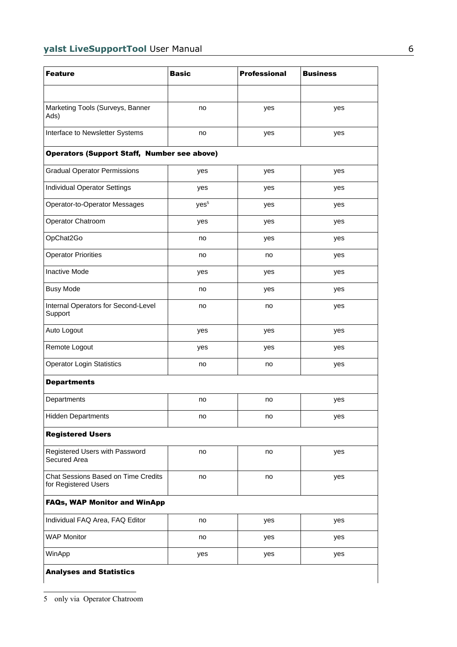<span id="page-5-0"></span>

| <b>Feature</b>                                              | <b>Basic</b>     | <b>Professional</b> | <b>Business</b> |  |
|-------------------------------------------------------------|------------------|---------------------|-----------------|--|
|                                                             |                  |                     |                 |  |
| Marketing Tools (Surveys, Banner<br>Ads)                    | no               | yes                 | yes             |  |
| Interface to Newsletter Systems                             | no               | yes                 | yes             |  |
| <b>Operators (Support Staff, Number see above)</b>          |                  |                     |                 |  |
| <b>Gradual Operator Permissions</b>                         | yes              | yes                 | yes             |  |
| Individual Operator Settings                                | yes              | yes                 | yes             |  |
| Operator-to-Operator Messages                               | yes <sup>5</sup> | yes                 | yes             |  |
| Operator Chatroom                                           | yes              | yes                 | yes             |  |
| OpChat2Go                                                   | no               | yes                 | yes             |  |
| <b>Operator Priorities</b>                                  | no               | no                  | yes             |  |
| <b>Inactive Mode</b>                                        | yes              | yes                 | yes             |  |
| <b>Busy Mode</b>                                            | no               | yes                 | yes             |  |
| Internal Operators for Second-Level<br>Support              | no               | no                  | yes             |  |
| Auto Logout                                                 | yes              | yes                 | yes             |  |
| Remote Logout                                               | yes              | yes                 | yes             |  |
| <b>Operator Login Statistics</b>                            | no               | no                  | yes             |  |
| <b>Departments</b>                                          |                  |                     |                 |  |
| Departments                                                 | no               | no                  | yes             |  |
| <b>Hidden Departments</b>                                   | no               | no                  | yes             |  |
| <b>Registered Users</b>                                     |                  |                     |                 |  |
| Registered Users with Password<br>Secured Area              | no               | no                  | yes             |  |
| Chat Sessions Based on Time Credits<br>for Registered Users | no               | no                  | yes             |  |
| <b>FAQs, WAP Monitor and WinApp</b>                         |                  |                     |                 |  |
| Individual FAQ Area, FAQ Editor                             | no               | yes                 | yes             |  |
| <b>WAP Monitor</b>                                          | no               | yes                 | yes             |  |
| WinApp                                                      | yes              | yes                 | yes             |  |
| <b>Analyses and Statistics</b>                              |                  |                     |                 |  |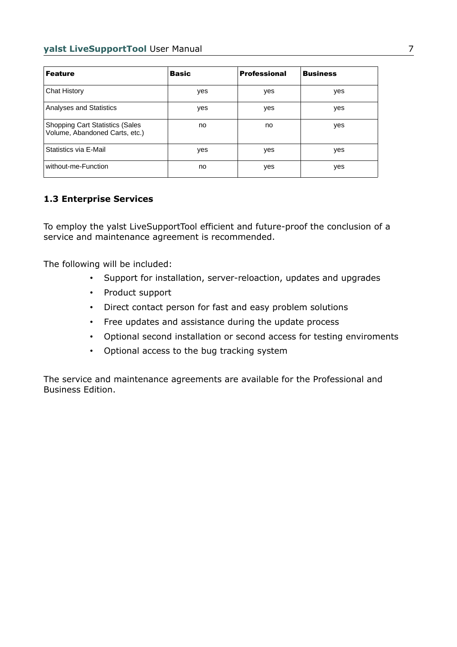| <b>Feature</b>                                                            | <b>Basic</b> | <b>Professional</b> | <b>Business</b> |
|---------------------------------------------------------------------------|--------------|---------------------|-----------------|
| <b>Chat History</b>                                                       | yes          | yes                 | yes             |
| <b>Analyses and Statistics</b>                                            | yes          | yes                 | yes             |
| <b>Shopping Cart Statistics (Sales)</b><br>Volume, Abandoned Carts, etc.) | no           | no                  | yes             |
| Statistics via E-Mail                                                     | yes          | yes                 | yes             |
| without-me-Function                                                       | no           | yes                 | yes             |

## **1.3 Enterprise Services**

To employ the yalst LiveSupportTool efficient and future-proof the conclusion of a service and maintenance agreement is recommended.

The following will be included:

- Support for installation, server-reloaction, updates and upgrades
- Product support
- Direct contact person for fast and easy problem solutions
- Free updates and assistance during the update process
- Optional second installation or second access for testing enviroments
- Optional access to the bug tracking system

The service and maintenance agreements are available for the Professional and Business Edition.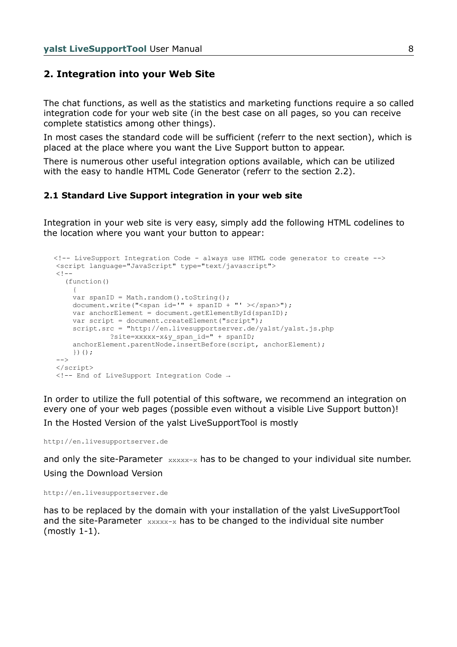#### **2. Integration into your Web Site**

The chat functions, as well as the statistics and marketing functions require a so called integration code for your web site (in the best case on all pages, so you can receive complete statistics among other things).

In most cases the standard code will be sufficient (referr to the next section), which is placed at the place where you want the Live Support button to appear.

There is numerous other useful integration options available, which can be utilized with the easy to handle HTML Code Generator (referr to the section 2.2).

#### **2.1 Standard Live Support integration in your web site**

Integration in your web site is very easy, simply add the following HTML codelines to the location where you want your button to appear:

```
 <!-- LiveSupport Integration Code - always use HTML code generator to create -->
 <script language="JavaScript" type="text/javascript">
<! -- (function()
     {
    var spanID = Math.random().toString();
    document.write("<span id='" + spanID + "' ></span>");
     var anchorElement = document.getElementById(spanID);
     var script = document.createElement("script");
     script.src = "http://en.livesupportserver.de/yalst/yalst.js.php
               ?site=xxxxx-x&y_span_id=" + spanID;
     anchorElement.parentNode.insertBefore(script, anchorElement);
     })();
-- </script>
 <!-- End of LiveSupport Integration Code →
```
In order to utilize the full potential of this software, we recommend an integration on every one of your web pages (possible even without a visible Live Support button)! In the Hosted Version of the yalst LiveSupportTool is mostly

http://en.livesupportserver.de

and only the site-Parameter  $\frac{1}{2}$   $\frac{1}{2}$  has to be changed to your individual site number. Using the Download Version

http://en.livesupportserver.de

has to be replaced by the domain with your installation of the yalst LiveSupportTool and the site-Parameter  $xxxx-x$  has to be changed to the individual site number (mostly 1-1).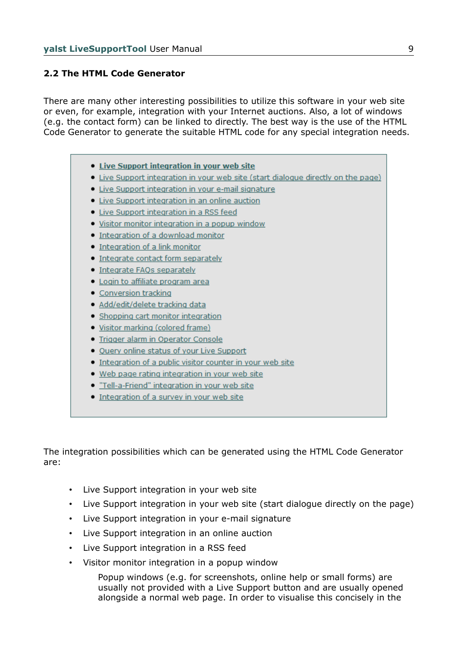#### **2.2 The HTML Code Generator**

There are many other interesting possibilities to utilize this software in your web site or even, for example, integration with your Internet auctions. Also, a lot of windows (e.g. the contact form) can be linked to directly. The best way is the use of the HTML Code Generator to generate the suitable HTML code for any special integration needs.

- Live Support integration in your web site
- Live Support integration in your web site (start dialogue directly on the page)
- · Live Support integration in your e-mail signature
- Live Support integration in an online auction
- Live Support integration in a RSS feed
- . Visitor monitor integration in a popup window
- . Integration of a download monitor
- Integration of a link monitor
- Integrate contact form separately
- · Integrate FAOs separately
- · Login to affiliate program area
- Conversion tracking
- · Add/edit/delete tracking data
- Shopping cart monitor integration
- · Visitor marking (colored frame)
- · Trigger alarm in Operator Console
- . Ouery online status of your Live Support
- Integration of a public visitor counter in your web site
- . Web page rating integration in your web site
- . "Tell-a-Friend" integration in your web site
- Integration of a survey in your web site

The integration possibilities which can be generated using the HTML Code Generator are:

- Live Support integration in your web site
- Live Support integration in your web site (start dialogue directly on the page)
- Live Support integration in your e-mail signature
- Live Support integration in an online auction
- Live Support integration in a RSS feed
- Visitor monitor integration in a popup window

Popup windows (e.g. for screenshots, online help or small forms) are usually not provided with a Live Support button and are usually opened alongside a normal web page. In order to visualise this concisely in the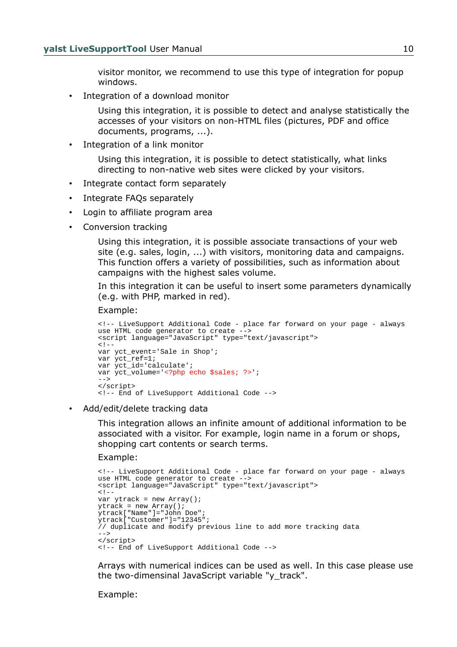visitor monitor, we recommend to use this type of integration for popup windows.

Integration of a download monitor

Using this integration, it is possible to detect and analyse statistically the accesses of your visitors on non-HTML files (pictures, PDF and office documents, programs, ...).

Integration of a link monitor

Using this integration, it is possible to detect statistically, what links directing to non-native web sites were clicked by your visitors.

- Integrate contact form separately
- Integrate FAQs separately
- Login to affiliate program area
- Conversion tracking

Using this integration, it is possible associate transactions of your web site (e.g. sales, login, ...) with visitors, monitoring data and campaigns. This function offers a variety of possibilities, such as information about campaigns with the highest sales volume.

In this integration it can be useful to insert some parameters dynamically (e.g. with PHP, marked in red).

Example:

```
<!-- LiveSupport Additional Code - place far forward on your page - always 
use HTML code generator to create -->
<script language="JavaScript" type="text/javascript">
\leq ! -var yct event='Sale in Shop';
var yct_ref=1;
var yct_id='calculate';
var yct_volume='<?php echo $sales; ?>';
-->
</script>
<!-- End of LiveSupport Additional Code -->
```
• Add/edit/delete tracking data

This integration allows an infinite amount of additional information to be associated with a visitor. For example, login name in a forum or shops, shopping cart contents or search terms.

Example:

```
<!-- LiveSupport Additional Code - place far forward on your page - always 
use HTML code generator to create -->
<script language="JavaScript" type="text/javascript">
< ! -var ytrack = new Array();
ytrack = new Array();
ytrack["Name"]="John Doe";
ytrack["Customer"]="12345";
// duplicate and modify previous line to add more tracking data
--</script>
<!-- End of LiveSupport Additional Code -->
```
Arrays with numerical indices can be used as well. In this case please use the two-dimensinal JavaScript variable "y\_track".

Example: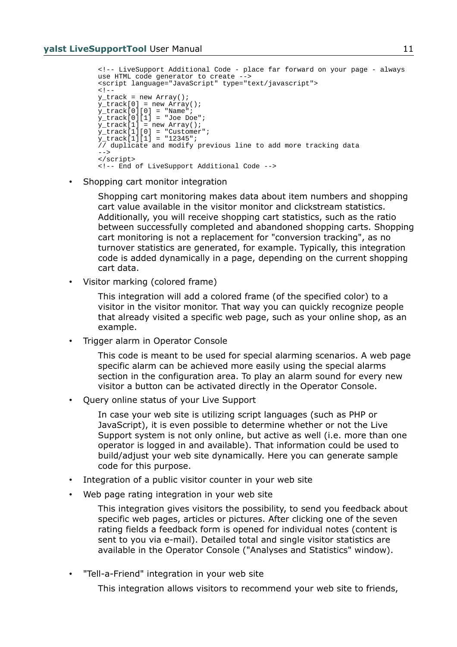```
<!-- LiveSupport Additional Code - place far forward on your page - always 
use HTML code generator to create -->
<script language="JavaScript" type="text/javascript">
< ! -y_track = new Array();
y_track[0] = new Array();
y_track[0][0] = "Name";
y_{\text{stack}[0][1]} = "Joe Doe";
y_track[1] = new Array();
y_track[1][0] = "Customer";
y_{\text{stack}[1][1] = 12345";// duplicate and modify previous line to add more tracking data
-->
</script>
<!-- End of LiveSupport Additional Code -->
```
• Shopping cart monitor integration

Shopping cart monitoring makes data about item numbers and shopping cart value available in the visitor monitor and clickstream statistics. Additionally, you will receive shopping cart statistics, such as the ratio between successfully completed and abandoned shopping carts. Shopping cart monitoring is not a replacement for "conversion tracking", as no turnover statistics are generated, for example. Typically, this integration code is added dynamically in a page, depending on the current shopping cart data.

• Visitor marking (colored frame)

This integration will add a colored frame (of the specified color) to a visitor in the visitor monitor. That way you can quickly recognize people that already visited a specific web page, such as your online shop, as an example.

• Trigger alarm in Operator Console

This code is meant to be used for special alarming scenarios. A web page specific alarm can be achieved more easily using the special alarms section in the configuration area. To play an alarm sound for every new visitor a button can be activated directly in the Operator Console.

• Query online status of your Live Support

In case your web site is utilizing script languages (such as PHP or JavaScript), it is even possible to determine whether or not the Live Support system is not only online, but active as well (i.e. more than one operator is logged in and available). That information could be used to build/adjust your web site dynamically. Here you can generate sample code for this purpose.

- Integration of a public visitor counter in your web site
- Web page rating integration in your web site

This integration gives visitors the possibility, to send you feedback about specific web pages, articles or pictures. After clicking one of the seven rating fields a feedback form is opened for individual notes (content is sent to you via e-mail). Detailed total and single visitor statistics are available in the Operator Console ("Analyses and Statistics" window).

• "Tell-a-Friend" integration in your web site

This integration allows visitors to recommend your web site to friends,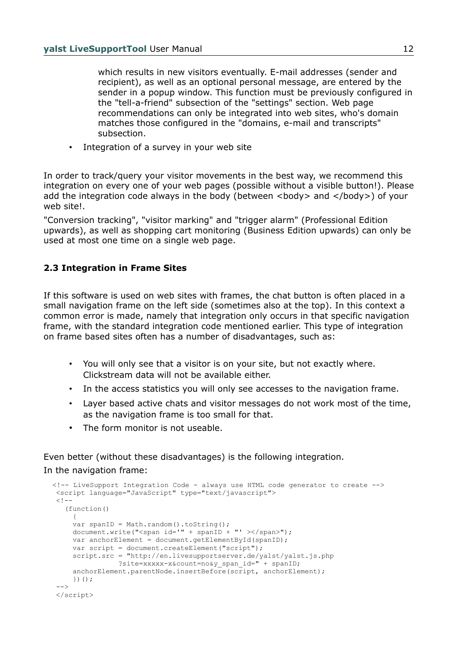which results in new visitors eventually. E-mail addresses (sender and recipient), as well as an optional personal message, are entered by the sender in a popup window. This function must be previously configured in the "tell-a-friend" subsection of the "settings" section. Web page recommendations can only be integrated into web sites, who's domain matches those configured in the "domains, e-mail and transcripts" subsection.

• Integration of a survey in your web site

In order to track/query your visitor movements in the best way, we recommend this integration on every one of your web pages (possible without a visible button!). Please add the integration code always in the body (between  $\langle \text{body} \rangle$  and  $\langle \text{body} \rangle$ ) of your web site!.

"Conversion tracking", "visitor marking" and "trigger alarm" (Professional Edition upwards), as well as shopping cart monitoring (Business Edition upwards) can only be used at most one time on a single web page.

## **2.3 Integration in Frame Sites**

If this software is used on web sites with frames, the chat button is often placed in a small navigation frame on the left side (sometimes also at the top). In this context a common error is made, namely that integration only occurs in that specific navigation frame, with the standard integration code mentioned earlier. This type of integration on frame based sites often has a number of disadvantages, such as:

- You will only see that a visitor is on your site, but not exactly where. Clickstream data will not be available either.
- In the access statistics you will only see accesses to the navigation frame.
- Layer based active chats and visitor messages do not work most of the time, as the navigation frame is too small for that.
- The form monitor is not useable.

Even better (without these disadvantages) is the following integration. In the navigation frame:

```
 <!-- LiveSupport Integration Code - always use HTML code generator to create -->
   <script language="JavaScript" type="text/javascript">
  <! - (function()
\overline{\mathcal{A}}var spanID = Math.random().toString();
      document.write("<span id='" + spanID + "' ></span>");
       var anchorElement = document.getElementById(spanID);
       var script = document.createElement("script");
        script.src = "http://en.livesupportserver.de/yalst/yalst.js.php
                   ?site=xxxxx-x&count=no&y_span_id=" + spanID;
      anchorElement.parentNode.insertBefore(script, anchorElement);
       })();
   -- </script>
```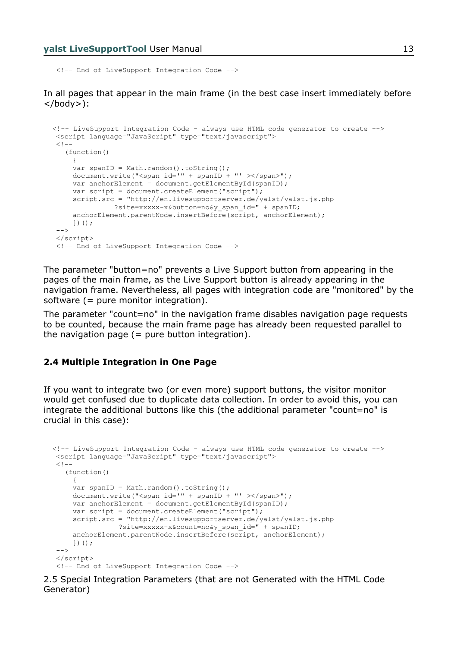<!-- End of LiveSupport Integration Code -->

In all pages that appear in the main frame (in the best case insert immediately before </body>):

```
 <!-- LiveSupport Integration Code - always use HTML code generator to create -->
 <script language="JavaScript" type="text/javascript">
<! - (function()
     {
    var spanID = Math.random().toString();
    document.write("<span id='" + spanID + "' ></span>");
    var anchorElement = document.getElementById(spanID);
    var script = document.createElement("script");
     script.src = "http://en.livesupportserver.de/yalst/yalst.js.php
                ?site=xxxxx-x&button=no&y_span_id=" + spanID;
     anchorElement.parentNode.insertBefore(script, anchorElement);
     })();
 - </script>
 <!-- End of LiveSupport Integration Code -->
```
The parameter "button=no" prevents a Live Support button from appearing in the pages of the main frame, as the Live Support button is already appearing in the navigation frame. Nevertheless, all pages with integration code are "monitored" by the software (= pure monitor integration).

The parameter "count=no" in the navigation frame disables navigation page requests to be counted, because the main frame page has already been requested parallel to the navigation page  $($  = pure button integration $).$ 

#### **2.4 Multiple Integration in One Page**

If you want to integrate two (or even more) support buttons, the visitor monitor would get confused due to duplicate data collection. In order to avoid this, you can integrate the additional buttons like this (the additional parameter "count=no" is crucial in this case):

```
 <!-- LiveSupport Integration Code - always use HTML code generator to create -->
 <script language="JavaScript" type="text/javascript">
<! -- (function()
      {
    var spanID = Math.random().toString();
    document.write("<span id='" + spanID + "' ></span>");
     var anchorElement = document.getElementById(spanID);
    var script = document.createElement("script");
      script.src = "http://en.livesupportserver.de/yalst/yalst.js.php
                ?site=xxxxx-x&count=no&y_span_id=" + spanID;
     anchorElement.parentNode.insertBefore(script, anchorElement);
     })();
  -->
 </script>
  <!-- End of LiveSupport Integration Code -->
```
2.5 Special Integration Parameters (that are not Generated with the HTML Code Generator)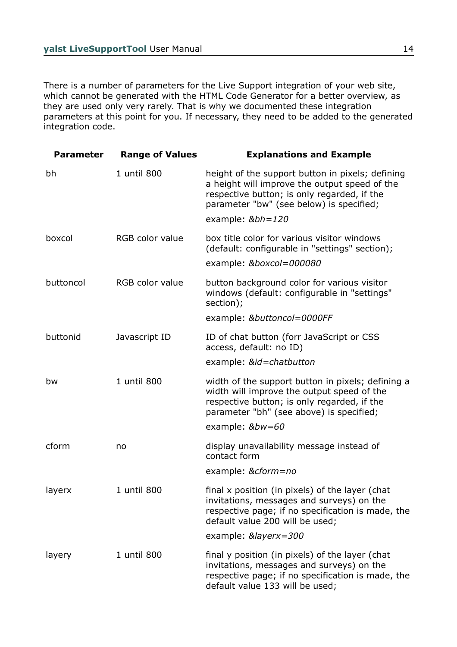There is a number of parameters for the Live Support integration of your web site, which cannot be generated with the HTML Code Generator for a better overview, as they are used only very rarely. That is why we documented these integration parameters at this point for you. If necessary, they need to be added to the generated integration code.

| <b>Parameter</b> | <b>Range of Values</b> | <b>Explanations and Example</b>                                                                                                                                                              |
|------------------|------------------------|----------------------------------------------------------------------------------------------------------------------------------------------------------------------------------------------|
| bh               | 1 until 800            | height of the support button in pixels; defining<br>a height will improve the output speed of the<br>respective button; is only regarded, if the<br>parameter "bw" (see below) is specified; |
|                  |                        | example: $&\text{b}h=120$                                                                                                                                                                    |
| boxcol           | <b>RGB</b> color value | box title color for various visitor windows<br>(default: configurable in "settings" section);                                                                                                |
|                  |                        | example: &boxcol=000080                                                                                                                                                                      |
| buttoncol        | <b>RGB</b> color value | button background color for various visitor<br>windows (default: configurable in "settings"<br>section);                                                                                     |
|                  |                        | example: &buttoncol=0000FF                                                                                                                                                                   |
| buttonid         | Javascript ID          | ID of chat button (forr JavaScript or CSS<br>access, default: no ID)                                                                                                                         |
|                  |                        | example: &id=chatbutton                                                                                                                                                                      |
| bw               | 1 until 800            | width of the support button in pixels; defining a<br>width will improve the output speed of the<br>respective button; is only regarded, if the<br>parameter "bh" (see above) is specified;   |
|                  |                        | example: &bw=60                                                                                                                                                                              |
| cform            | no                     | display unavailability message instead of<br>contact form                                                                                                                                    |
|                  |                        | example: &cform=no                                                                                                                                                                           |
| layerx           | 1 until 800            | final x position (in pixels) of the layer (chat<br>invitations, messages and surveys) on the<br>respective page; if no specification is made, the<br>default value 200 will be used;         |
|                  |                        | example: &layerx=300                                                                                                                                                                         |
| layery           | 1 until 800            | final y position (in pixels) of the layer (chat<br>invitations, messages and surveys) on the<br>respective page; if no specification is made, the<br>default value 133 will be used;         |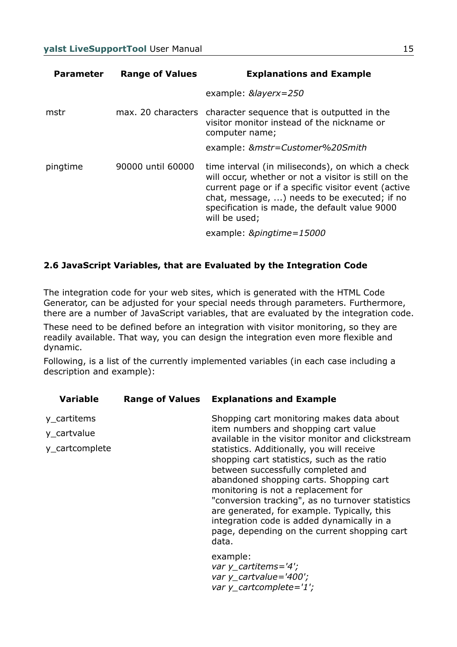| <b>Parameter</b> | <b>Range of Values</b> | <b>Explanations and Example</b>                                                                                                                                                                                                                                                   |
|------------------|------------------------|-----------------------------------------------------------------------------------------------------------------------------------------------------------------------------------------------------------------------------------------------------------------------------------|
|                  |                        | example: $&layerx=250$                                                                                                                                                                                                                                                            |
| mstr             |                        | max. 20 characters character sequence that is outputted in the<br>visitor monitor instead of the nickname or<br>computer name;                                                                                                                                                    |
|                  |                        | example: &mstr=Customer%20Smith                                                                                                                                                                                                                                                   |
| pingtime         | 90000 until 60000      | time interval (in miliseconds), on which a check<br>will occur, whether or not a visitor is still on the<br>current page or if a specific visitor event (active<br>chat, message, ) needs to be executed; if no<br>specification is made, the default value 9000<br>will be used; |
|                  |                        | example: &pingtime=15000                                                                                                                                                                                                                                                          |

### **2.6 JavaScript Variables, that are Evaluated by the Integration Code**

The integration code for your web sites, which is generated with the HTML Code Generator, can be adjusted for your special needs through parameters. Furthermore, there are a number of JavaScript variables, that are evaluated by the integration code.

These need to be defined before an integration with visitor monitoring, so they are readily available. That way, you can design the integration even more flexible and dynamic.

Following, is a list of the currently implemented variables (in each case including a description and example):

| <b>Variable</b>                              | <b>Range of Values</b> | <b>Explanations and Example</b>                                                                                                                                                                                                                                                                                                                                                                                                                                                                                                                                      |
|----------------------------------------------|------------------------|----------------------------------------------------------------------------------------------------------------------------------------------------------------------------------------------------------------------------------------------------------------------------------------------------------------------------------------------------------------------------------------------------------------------------------------------------------------------------------------------------------------------------------------------------------------------|
| y_cartitems<br>y_cartvalue<br>y_cartcomplete |                        | Shopping cart monitoring makes data about<br>item numbers and shopping cart value<br>available in the visitor monitor and clickstream<br>statistics. Additionally, you will receive<br>shopping cart statistics, such as the ratio<br>between successfully completed and<br>abandoned shopping carts. Shopping cart<br>monitoring is not a replacement for<br>"conversion tracking", as no turnover statistics<br>are generated, for example. Typically, this<br>integration code is added dynamically in a<br>page, depending on the current shopping cart<br>data. |
|                                              |                        | example:<br>var y_cartitems= $4$ ;<br>var y_cartvalue='400';<br>var y_cartcomplete='1';                                                                                                                                                                                                                                                                                                                                                                                                                                                                              |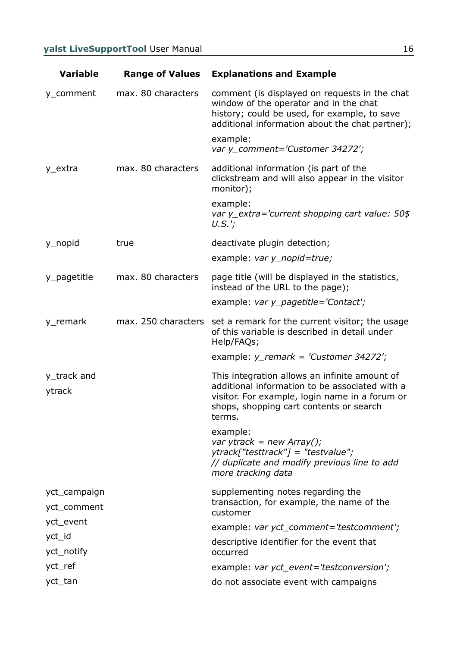| <b>Variable</b>             | <b>Range of Values</b> | <b>Explanations and Example</b>                                                                                                                                                                        |
|-----------------------------|------------------------|--------------------------------------------------------------------------------------------------------------------------------------------------------------------------------------------------------|
| y_comment                   | max. 80 characters     | comment (is displayed on requests in the chat<br>window of the operator and in the chat<br>history; could be used, for example, to save<br>additional information about the chat partner);             |
|                             |                        | example:<br>var y_comment='Customer 34272';                                                                                                                                                            |
| y_extra                     | max. 80 characters     | additional information (is part of the<br>clickstream and will also appear in the visitor<br>monitor);                                                                                                 |
|                             |                        | example:<br>var y_extra='current shopping cart value: 50\$<br>$U.S.'$ ;                                                                                                                                |
| y_nopid                     | true                   | deactivate plugin detection;                                                                                                                                                                           |
|                             |                        | example: $var y$ _nopid=true;                                                                                                                                                                          |
| y_pagetitle                 | max. 80 characters     | page title (will be displayed in the statistics,<br>instead of the URL to the page);                                                                                                                   |
|                             |                        | example: var y_pagetitle='Contact';                                                                                                                                                                    |
| y_remark                    | max. 250 characters    | set a remark for the current visitor; the usage<br>of this variable is described in detail under<br>Help/FAQs;                                                                                         |
|                             |                        | example: $y$ remark = 'Customer 34272';                                                                                                                                                                |
| y_track and<br>ytrack       |                        | This integration allows an infinite amount of<br>additional information to be associated with a<br>visitor. For example, login name in a forum or<br>shops, shopping cart contents or search<br>terms. |
|                             |                        | example:<br>var ytrack = new Array();<br>$y$ track["testtrack"] = "testvalue";<br>// duplicate and modify previous line to add<br>more tracking data                                                   |
| yct_campaign<br>yct_comment |                        | supplementing notes regarding the<br>transaction, for example, the name of the<br>customer                                                                                                             |
| yct_event                   |                        | example: var yct_comment='testcomment';                                                                                                                                                                |
| yct_id<br>yct_notify        |                        | descriptive identifier for the event that<br>occurred                                                                                                                                                  |
| yct_ref                     |                        | example: var yct_event='testconversion';                                                                                                                                                               |
| yct_tan                     |                        | do not associate event with campaigns                                                                                                                                                                  |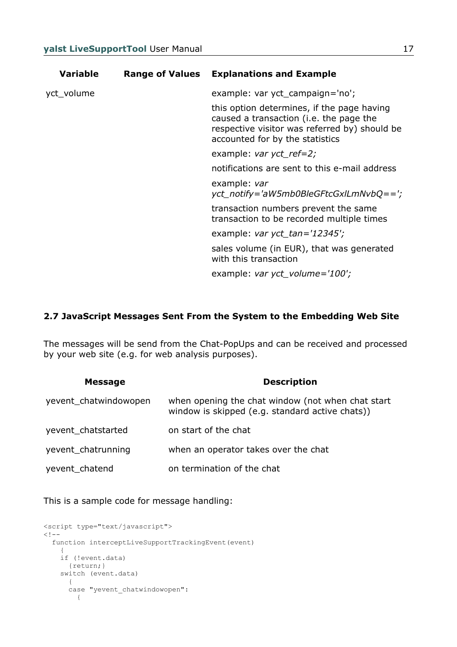| <b>Variable</b> | <b>Range of Values</b> | <b>Explanations and Example</b>                                                                                                                                           |
|-----------------|------------------------|---------------------------------------------------------------------------------------------------------------------------------------------------------------------------|
| yct_volume      |                        | example: var yct_campaign='no';                                                                                                                                           |
|                 |                        | this option determines, if the page having<br>caused a transaction (i.e. the page the<br>respective visitor was referred by) should be<br>accounted for by the statistics |
|                 |                        | example: var yct_ref=2;                                                                                                                                                   |
|                 |                        | notifications are sent to this e-mail address                                                                                                                             |
|                 |                        | example: var<br>yct_notify='aW5mb0BleGFtcGxlLmNvbQ==';                                                                                                                    |
|                 |                        | transaction numbers prevent the same<br>transaction to be recorded multiple times                                                                                         |
|                 |                        | example: var yct_tan='12345';                                                                                                                                             |
|                 |                        | sales volume (in EUR), that was generated<br>with this transaction                                                                                                        |
|                 |                        | example: var yct_volume= $100$ ;                                                                                                                                          |

#### **2.7 JavaScript Messages Sent From the System to the Embedding Web Site**

The messages will be send from the Chat-PopUps and can be received and processed by your web site (e.g. for web analysis purposes).

| <b>Message</b>        | <b>Description</b>                                                                                   |
|-----------------------|------------------------------------------------------------------------------------------------------|
| yevent_chatwindowopen | when opening the chat window (not when chat start<br>window is skipped (e.g. standard active chats)) |
| yevent_chatstarted    | on start of the chat                                                                                 |
| yevent_chatrunning    | when an operator takes over the chat                                                                 |
| yevent_chatend        | on termination of the chat                                                                           |

This is a sample code for message handling:

```
<script type="text/javascript">
\lt! --
   function interceptLiveSupportTrackingEvent(event)
\left\{\begin{array}{ccc} & & \\ & & \end{array}\right\} if (!event.data)
        {return;}
      switch (event.data)
        \left\{ \right. case "yevent_chatwindowopen":
            {
```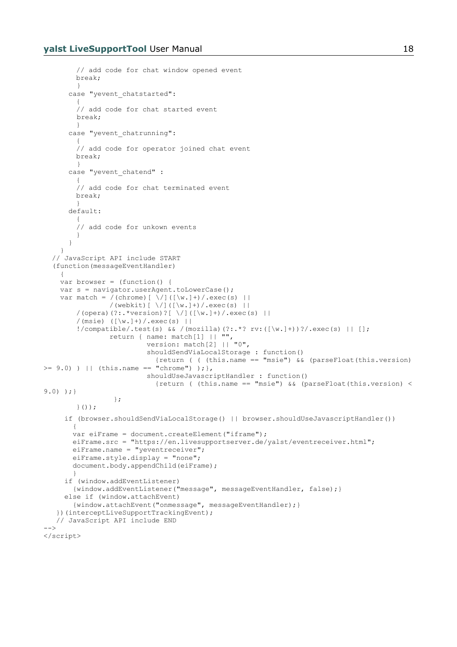```
// add code for chat window opened event
       break;
 }
      case "yevent chatstarted":
        {
        // add code for chat started event 
        break;
        }
      case "yevent chatrunning":
        {
        // add code for operator joined chat event
       break;
        }
      case "yevent chatend" :
        {
        // add code for chat terminated event
       break;
       }
       default:
        {
        // add code for unkown events
        }
       }
     }
   // JavaScript API include START
   (function(messageEventHandler)
     {
   var browser = (function() {
   var s = navigator.userAgent.toLowerCase();
var match = /(chrome)[\/]([\w.]+)/.exec(s) ||
 /(webkit)[ \/]([\w.]+)/.exec(s) ||
       /(opera)(?:.*version)?[ \/]([\w.]+)/.exec(s) ||
        /(msie) (|w.]+)/c exc(s) ||
        !/compatible/.test(s) && /(mozilla)(?:.*? rv:([\w.]+))?/.exec(s) || [];
         return { name: match[1] || "", 
        version: match[2] || "0",
                          shouldSendViaLocalStorage : function()
                           {return ( ( (this.name == "msie") && (parseFloat(this.version) 
\geq 9.0) ) || (this.name == "chrome") ); },
                          shouldUseJavascriptHandler : function()
                           {return ( (this.name == "msie") &\& (parseFloat(this.version) <
9.0) ); }
                  };
       }());
      if (browser.shouldSendViaLocalStorage() || browser.shouldUseJavascriptHandler())
\overline{\mathcal{A}} var eiFrame = document.createElement("iframe");
        eiFrame.src = "https://en.livesupportserver.de/yalst/eventreceiver.html";
       eiFrame.name = "yeventreceiver";
        eiFrame.style.display = "none";
        document.body.appendChild(eiFrame);
 }
      if (window.addEventListener)
        {window.addEventListener("message", messageEventHandler, false);}
      else if (window.attachEvent)
        {window.attachEvent("onmessage", messageEventHandler);}
    })(interceptLiveSupportTrackingEvent);
   // JavaScript API include END
-->
</script>
```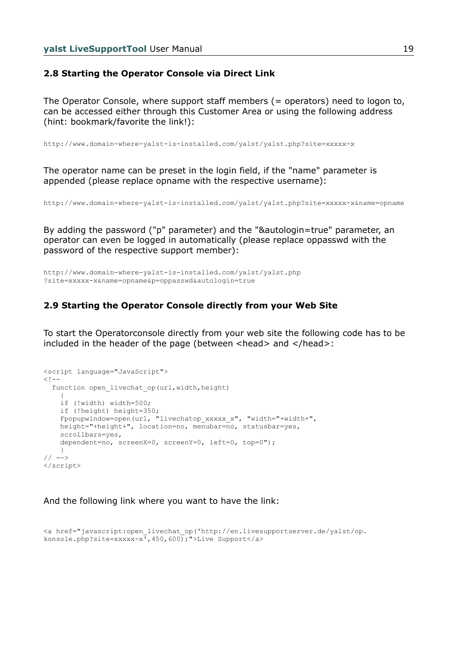#### **2.8 Starting the Operator Console via Direct Link**

The Operator Console, where support staff members (= operators) need to logon to, can be accessed either through this Customer Area or using the following address (hint: bookmark/favorite the link!):

http://www.domain-where-yalst-is-installed.com/yalst/yalst.php?site=xxxxx-x

The operator name can be preset in the login field, if the "name" parameter is appended (please replace opname with the respective username):

http://www.domain-where-yalst-is-installed.com/yalst/yalst.php?site=xxxxx-x&name=opname

By adding the password ("p" parameter) and the "&autologin=true" parameter, an operator can even be logged in automatically (please replace oppasswd with the password of the respective support member):

http://www.domain-where-yalst-is-installed.com/yalst/yalst.php ?site=xxxxx-x&name=opname&p=oppasswd&autologin=true

#### **2.9 Starting the Operator Console directly from your Web Site**

To start the Operatorconsole directly from your web site the following code has to be included in the header of the page (between <head> and </head>:

```
<script language="JavaScript">
< 1 -function open livechat op(url, width, height)
\left\{\begin{array}{ccc} & & \\ & & \end{array}\right\} if (!width) width=500;
     if (!height) height=350;
     Fpopupwindow=open(url, "livechatop_xxxxx_x", "width="+width+",
     height="+height+", location=no, menubar=no, statusbar=yes,
     scrollbars=yes,
     dependent=no, screenX=0, screenY=0, left=0, top=0");
     }
// -->
</script>
```
And the following link where you want to have the link:

```
<a href="javascript:open_livechat_op('http://en.livesupportserver.de/yalst/op.
konsole.php?site=xxxxx-x',450,600); ">Live Support</a>
```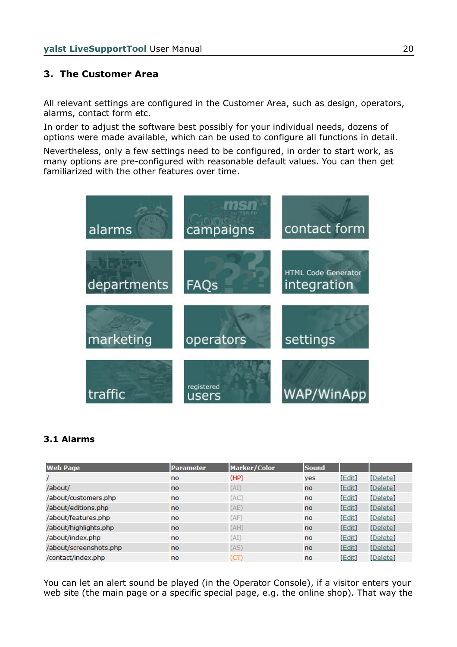## **3. The Customer Area**

All relevant settings are configured in the Customer Area, such as design, operators, alarms, contact form etc.

In order to adjust the software best possibly for your individual needs, dozens of options were made available, which can be used to configure all functions in detail.

Nevertheless, only a few settings need to be configured, in order to start work, as many options are pre-configured with reasonable default values. You can then get familiarized with the other features over time.



#### **3.1 Alarms**

| <b>Web Page</b>        | <b>Parameter</b> | Marker/Color | <b>Sound</b>  |        |          |
|------------------------|------------------|--------------|---------------|--------|----------|
|                        | no               | (HP)         | yes           | [Edit] | [Delete] |
| /about/                | no.              | (AI)         | <sub>no</sub> | [Edit] | [Delete] |
| /about/customers.php   | <b>no</b>        | (AC)         | no            | [Edit] | [Delete] |
| /about/editions.php    | no.              | (AE)         | no.           | [Edit] | [Delete] |
| /about/features.php    | no               | (AF)         | no            | [Edit] | [Delete] |
| /about/highlights.php  | no.              | (AH)         | <sub>no</sub> | [Edit] | [Delete] |
| /about/index.php       | no               | (AI)         | no            | [Edit] | [Delete] |
| /about/screenshots.php | no.              | (AS)         | no.           | [Edit] | [Delete] |
| /contact/index.php     | no               | (CT)         | no            | [Edit] | [Delete] |

You can let an alert sound be played (in the Operator Console), if a visitor enters your web site (the main page or a specific special page, e.g. the online shop). That way the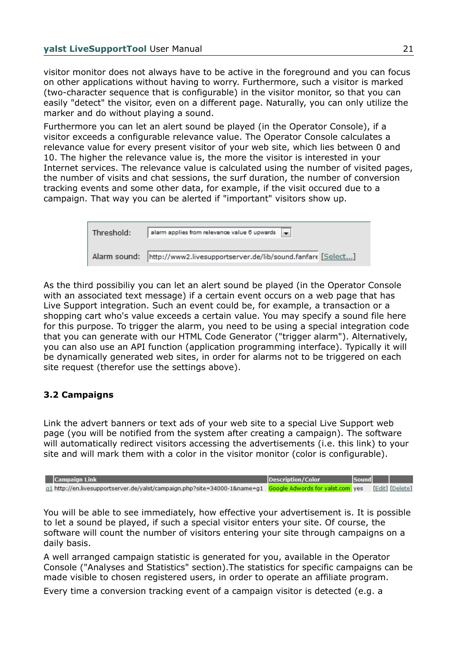visitor monitor does not always have to be active in the foreground and you can focus on other applications without having to worry. Furthermore, such a visitor is marked (two-character sequence that is configurable) in the visitor monitor, so that you can easily "detect" the visitor, even on a different page. Naturally, you can only utilize the marker and do without playing a sound.

Furthermore you can let an alert sound be played (in the Operator Console), if a visitor exceeds a configurable relevance value. The Operator Console calculates a relevance value for every present visitor of your web site, which lies between 0 and 10. The higher the relevance value is, the more the visitor is interested in your Internet services. The relevance value is calculated using the number of visited pages, the number of visits and chat sessions, the surf duration, the number of conversion tracking events and some other data, for example, if the visit occured due to a campaign. That way you can be alerted if "important" visitors show up.

| Threshold: | alarm applies from relevance value 6 upwards =                           |
|------------|--------------------------------------------------------------------------|
|            | Alarm sound: http://www2.livesupportserver.de/lib/sound.fanfare [Select] |

As the third possibiliy you can let an alert sound be played (in the Operator Console with an associated text message) if a certain event occurs on a web page that has Live Support integration. Such an event could be, for example, a transaction or a shopping cart who's value exceeds a certain value. You may specify a sound file here for this purpose. To trigger the alarm, you need to be using a special integration code that you can generate with our HTML Code Generator ("trigger alarm"). Alternatively, you can also use an API function (application programming interface). Typically it will be dynamically generated web sites, in order for alarms not to be triggered on each site request (therefor use the settings above).

### **3.2 Campaigns**

Link the advert banners or text ads of your web site to a special Live Support web page (you will be notified from the system after creating a campaign). The software will automatically redirect visitors accessing the advertisements (i.e. this link) to your site and will mark them with a color in the visitor monitor (color is configurable).

| <b>Campaign Link</b>                                                                                                       | Description/Color | Sound |  |
|----------------------------------------------------------------------------------------------------------------------------|-------------------|-------|--|
| g1 http://en.livesupportserver.de/yalst/campaign.php?site=34000-1&name=g1 Google Adwords for yalst.com yes [Edit] [Delete] |                   |       |  |

You will be able to see immediately, how effective your advertisement is. It is possible to let a sound be played, if such a special visitor enters your site. Of course, the software will count the number of visitors entering your site through campaigns on a daily basis.

A well arranged campaign statistic is generated for you, available in the Operator Console ("Analyses and Statistics" section).The statistics for specific campaigns can be made visible to chosen registered users, in order to operate an affiliate program.

Every time a conversion tracking event of a campaign visitor is detected (e.g. a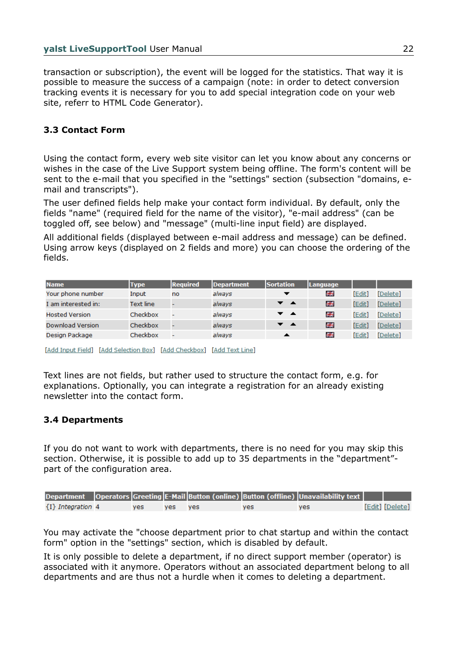transaction or subscription), the event will be logged for the statistics. That way it is possible to measure the success of a campaign (note: in order to detect conversion tracking events it is necessary for you to add special integration code on your web site, referr to HTML Code Generator).

## **3.3 Contact Form**

Using the contact form, every web site visitor can let you know about any concerns or wishes in the case of the Live Support system being offline. The form's content will be sent to the e-mail that you specified in the "settings" section (subsection "domains, email and transcripts").

The user defined fields help make your contact form individual. By default, only the fields "name" (required field for the name of the visitor), "e-mail address" (can be toggled off, see below) and "message" (multi-line input field) are displayed.

All additional fields (displayed between e-mail address and message) can be defined. Using arrow keys (displayed on 2 fields and more) you can choose the ordering of the fields.

| <b>Name</b>           | <b>Type</b>      | <b>Required</b> | Department | <b>Sortation</b>         | <b>Language</b> |        |          |
|-----------------------|------------------|-----------------|------------|--------------------------|-----------------|--------|----------|
| Your phone number     | Input            | no              | always     |                          | 전통<br>기준        | [Edit] | [Delete] |
| I am interested in:   | <b>Text line</b> |                 | always     | $\bullet$ $\bullet$      | ※               | [Edit] | [Delete] |
| <b>Hosted Version</b> | Checkbox         | ٠               | always     | $\overline{\phantom{a}}$ | ※주              | [Edit] | [Delete] |
| Download Version      | Checkbox         |                 | always     | $\overline{\phantom{a}}$ | 쯝               | [Edit] | [Delete] |
| Design Package        | Checkbox         | -               | always     | ▴                        | 전<br>기준         | [Edit] | [Delete] |

[Add Input Field] [Add Selection Box] [Add Checkbox] [Add Text Line]

Text lines are not fields, but rather used to structure the contact form, e.g. for explanations. Optionally, you can integrate a registration for an already existing newsletter into the contact form.

### **3.4 Departments**

If you do not want to work with departments, there is no need for you may skip this section. Otherwise, it is possible to add up to 35 departments in the "department" part of the configuration area.

|                       |            |       |     |     | Department   Operators Greeting E-Mail Button (online) Button (offline) Unavailability text |                 |
|-----------------------|------------|-------|-----|-----|---------------------------------------------------------------------------------------------|-----------------|
| $\{I\}$ Integration 4 | <b>ves</b> | ves l | ves | ves | ves.                                                                                        | [Edit] [Delete] |

You may activate the "choose department prior to chat startup and within the contact form" option in the "settings" section, which is disabled by default.

It is only possible to delete a department, if no direct support member (operator) is associated with it anymore. Operators without an associated department belong to all departments and are thus not a hurdle when it comes to deleting a department.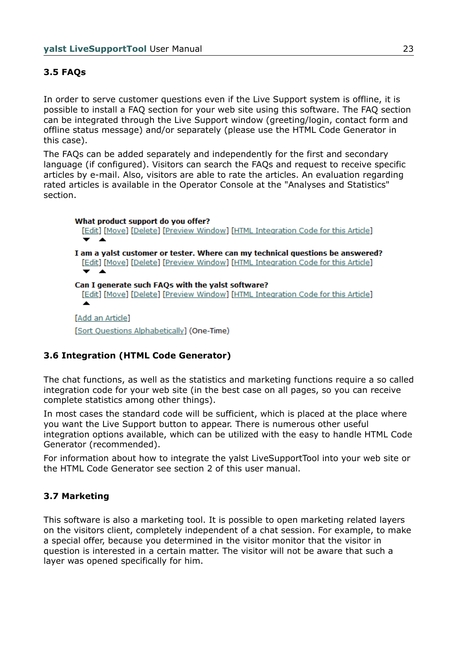## **3.5 FAQs**

In order to serve customer questions even if the Live Support system is offline, it is possible to install a FAQ section for your web site using this software. The FAQ section can be integrated through the Live Support window (greeting/login, contact form and offline status message) and/or separately (please use the HTML Code Generator in this case).

The FAQs can be added separately and independently for the first and secondary language (if configured). Visitors can search the FAQs and request to receive specific articles by e-mail. Also, visitors are able to rate the articles. An evaluation regarding rated articles is available in the Operator Console at the "Analyses and Statistics" section.

What product support do you offer? [Edit] [Move] [Delete] [Preview Window] [HTML Integration Code for this Article] I am a yalst customer or tester. Where can my technical questions be answered? [Edit] [Move] [Delete] [Preview Window] [HTML Integration Code for this Article] Can I generate such FAOs with the yalst software? [Edit] [Move] [Delete] [Preview Window] [HTML Integration Code for this Article] [Add an Article] [Sort Questions Alphabetically] (One-Time)

## **3.6 Integration (HTML Code Generator)**

The chat functions, as well as the statistics and marketing functions require a so called integration code for your web site (in the best case on all pages, so you can receive complete statistics among other things).

In most cases the standard code will be sufficient, which is placed at the place where you want the Live Support button to appear. There is numerous other useful integration options available, which can be utilized with the easy to handle HTML Code Generator (recommended).

For information about how to integrate the yalst LiveSupportTool into your web site or the HTML Code Generator see section 2 of this user manual.

### **3.7 Marketing**

This software is also a marketing tool. It is possible to open marketing related layers on the visitors client, completely independent of a chat session. For example, to make a special offer, because you determined in the visitor monitor that the visitor in question is interested in a certain matter. The visitor will not be aware that such a layer was opened specifically for him.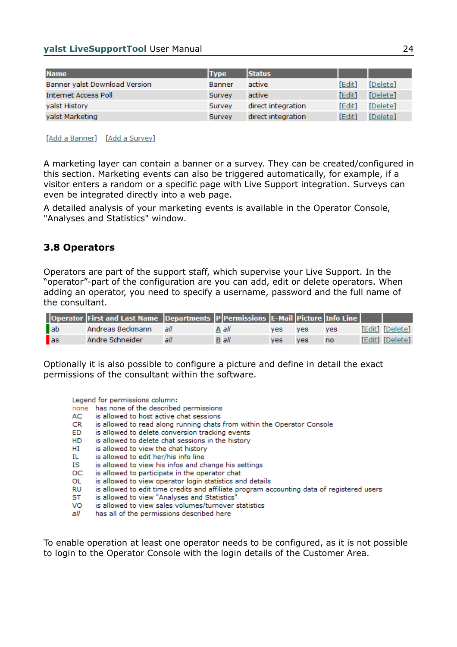| <b>Name</b>                   | <b>Type</b> | <b>Status</b>      |        |          |
|-------------------------------|-------------|--------------------|--------|----------|
| Banner yalst Download Version | Banner      | active             | [Edit] | [Delete] |
| <b>Internet Access Poll</b>   | Survey      | active             | [Edit] | [Delete] |
| yalst History                 | Survey      | direct integration | [Edit] | [Delete] |
| yalst Marketing               | Survey      | direct integration | [Edit] | [Delete] |

#### [Add a Banner] [Add a Survey]

A marketing layer can contain a banner or a survey. They can be created/configured in this section. Marketing events can also be triggered automatically, for example, if a visitor enters a random or a specific page with Live Support integration. Surveys can even be integrated directly into a web page.

A detailed analysis of your marketing events is available in the Operator Console, "Analyses and Statistics" window.

### **3.8 Operators**

Operators are part of the support staff, which supervise your Live Support. In the "operator"-part of the configuration are you can add, edit or delete operators. When adding an operator, you need to specify a username, password and the full name of the consultant.

|              | Operator First and Last Name Departments   P Permissions E-Mail Picture Info Line |      |              |     |            |            |                 |
|--------------|-----------------------------------------------------------------------------------|------|--------------|-----|------------|------------|-----------------|
| ab           | Andreas Beckmann                                                                  | الحا | A all        | ves | <b>ves</b> | <b>ves</b> | [Edit] [Delete] |
| $\mathbf{a}$ | Andre Schneider                                                                   | all  | <b>B</b> all | ves | ves        | <b>no</b>  | [Edit] [Delete] |

Optionally it is also possible to configure a picture and define in detail the exact permissions of the consultant within the software.

Legend for permissions column:

none has none of the described permissions

- AC is allowed to host active chat sessions
- is allowed to read along running chats from within the Operator Console CR.
- ED. is allowed to delete conversion tracking events
- is allowed to delete chat sessions in the history HD.
- HI is allowed to view the chat history
- is allowed to edit her/his info line IL.
- ΙS is allowed to view his infos and change his settings
- OC. is allowed to participate in the operator chat
- is allowed to view operator login statistics and details OL
- RU is allowed to edit time credits and affiliate program accounting data of registered users
- ST is allowed to view "Analyses and Statistics"
- VO. is allowed to view sales volumes/turnover statistics
- all has all of the permissions described here

To enable operation at least one operator needs to be configured, as it is not possible to login to the Operator Console with the login details of the Customer Area.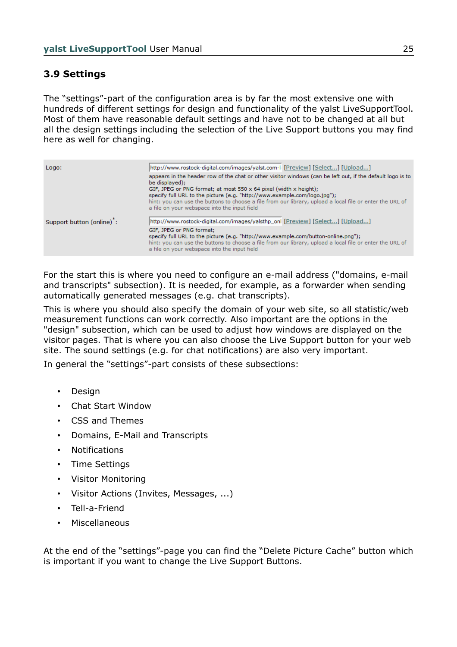## **3.9 Settings**

The "settings"-part of the configuration area is by far the most extensive one with hundreds of different settings for design and functionality of the yalst LiveSupportTool. Most of them have reasonable default settings and have not to be changed at all but all the design settings including the selection of the Live Support buttons you may find here as well for changing.

| Logo:                    | [http://www.rostock-digital.com/images/yalst.com-li [Preview] [Select] [Upload]                                                                                                                                                                                            |
|--------------------------|----------------------------------------------------------------------------------------------------------------------------------------------------------------------------------------------------------------------------------------------------------------------------|
|                          | appears in the header row of the chat or other visitor windows (can be left out, if the default logo is to<br>be displayed);                                                                                                                                               |
|                          | GIF, JPEG or PNG format; at most $550 \times 64$ pixel (width x height);                                                                                                                                                                                                   |
|                          | specify full URL to the picture (e.g. "http://www.example.com/logo.jpg");<br>hint: you can use the buttons to choose a file from our library, upload a local file or enter the URL of<br>a file on your webspace into the input field                                      |
| Support button (online): | [http://www.rostock-digital.com/images/yalsthp_onl [Preview] [Select] [Upload]                                                                                                                                                                                             |
|                          | GIF, JPEG or PNG format:<br>specify full URL to the picture (e.g. "http://www.example.com/button-online.png");<br>hint: you can use the buttons to choose a file from our library, upload a local file or enter the URL of<br>a file on your webspace into the input field |

For the start this is where you need to configure an e-mail address ("domains, e-mail and transcripts" subsection). It is needed, for example, as a forwarder when sending automatically generated messages (e.g. chat transcripts).

This is where you should also specify the domain of your web site, so all statistic/web measurement functions can work correctly. Also important are the options in the "design" subsection, which can be used to adjust how windows are displayed on the visitor pages. That is where you can also choose the Live Support button for your web site. The sound settings (e.g. for chat notifications) are also very important.

In general the "settings"-part consists of these subsections:

- Design
- Chat Start Window
- CSS and Themes
- Domains, E-Mail and Transcripts
- **Notifications**
- Time Settings
- Visitor Monitoring
- Visitor Actions (Invites, Messages, ...)
- Tell-a-Friend
- **Miscellaneous**

At the end of the "settings"-page you can find the "Delete Picture Cache" button which is important if you want to change the Live Support Buttons.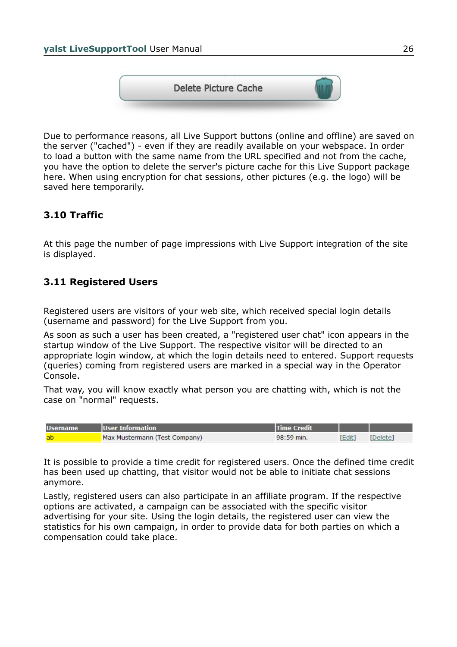

Due to performance reasons, all Live Support buttons (online and offline) are saved on the server ("cached") - even if they are readily available on your webspace. In order to load a button with the same name from the URL specified and not from the cache, you have the option to delete the server's picture cache for this Live Support package here. When using encryption for chat sessions, other pictures (e.g. the logo) will be saved here temporarily.

## **3.10 Traffic**

At this page the number of page impressions with Live Support integration of the site is displayed.

## **3.11 Registered Users**

Registered users are visitors of your web site, which received special login details (username and password) for the Live Support from you.

As soon as such a user has been created, a "registered user chat" icon appears in the startup window of the Live Support. The respective visitor will be directed to an appropriate login window, at which the login details need to entered. Support requests (queries) coming from registered users are marked in a special way in the Operator Console.

That way, you will know exactly what person you are chatting with, which is not the case on "normal" requests.

| <b>Username</b> | User Information              | <b>Time Credit</b> |        |          |
|-----------------|-------------------------------|--------------------|--------|----------|
| -ab             | Max Mustermann (Test Company) | 98:59 min.         | [Edit] | [Delete] |

It is possible to provide a time credit for registered users. Once the defined time credit has been used up chatting, that visitor would not be able to initiate chat sessions anymore.

Lastly, registered users can also participate in an affiliate program. If the respective options are activated, a campaign can be associated with the specific visitor advertising for your site. Using the login details, the registered user can view the statistics for his own campaign, in order to provide data for both parties on which a compensation could take place.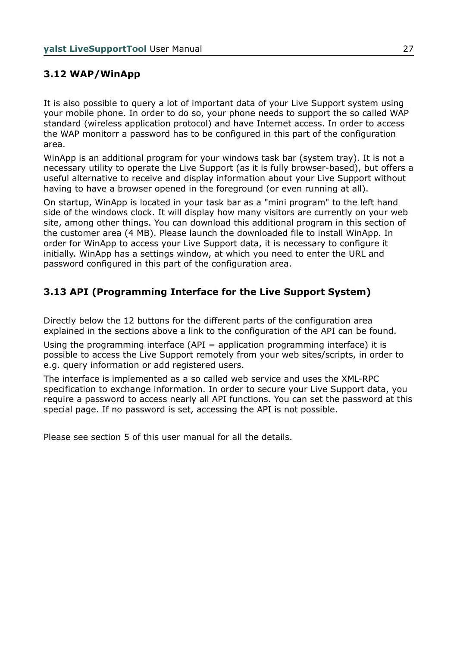## **3.12 WAP/WinApp**

It is also possible to query a lot of important data of your Live Support system using your mobile phone. In order to do so, your phone needs to support the so called WAP standard (wireless application protocol) and have Internet access. In order to access the WAP monitorr a password has to be configured in this part of the configuration area.

WinApp is an additional program for your windows task bar (system tray). It is not a necessary utility to operate the Live Support (as it is fully browser-based), but offers a useful alternative to receive and display information about your Live Support without having to have a browser opened in the foreground (or even running at all).

On startup, WinApp is located in your task bar as a "mini program" to the left hand side of the windows clock. It will display how many visitors are currently on your web site, among other things. You can download this additional program in this section of the customer area (4 MB). Please launch the downloaded file to install WinApp. In order for WinApp to access your Live Support data, it is necessary to configure it initially. WinApp has a settings window, at which you need to enter the URL and password configured in this part of the configuration area.

## **3.13 API (Programming Interface for the Live Support System)**

Directly below the 12 buttons for the different parts of the configuration area explained in the sections above a link to the configuration of the API can be found.

Using the programming interface (API = application programming interface) it is possible to access the Live Support remotely from your web sites/scripts, in order to e.g. query information or add registered users.

The interface is implemented as a so called web service and uses the XML-RPC specification to exchange information. In order to secure your Live Support data, you require a password to access nearly all API functions. You can set the password at this special page. If no password is set, accessing the API is not possible.

Please see section 5 of this user manual for all the details.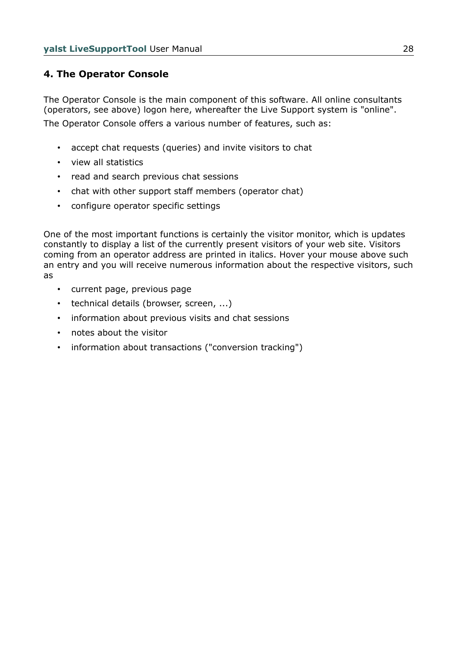## **4. The Operator Console**

The Operator Console is the main component of this software. All online consultants (operators, see above) logon here, whereafter the Live Support system is "online". The Operator Console offers a various number of features, such as:

- accept chat requests (queries) and invite visitors to chat
- view all statistics
- read and search previous chat sessions
- chat with other support staff members (operator chat)
- configure operator specific settings

One of the most important functions is certainly the visitor monitor, which is updates constantly to display a list of the currently present visitors of your web site. Visitors coming from an operator address are printed in italics. Hover your mouse above such an entry and you will receive numerous information about the respective visitors, such as

- current page, previous page
- technical details (browser, screen, ...)
- information about previous visits and chat sessions
- notes about the visitor
- information about transactions ("conversion tracking")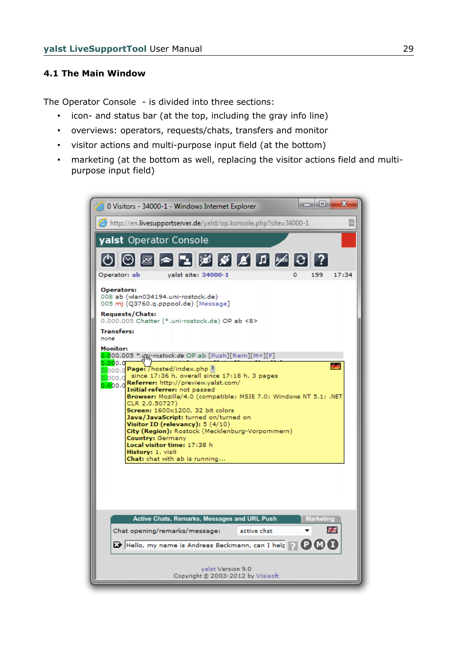#### **4.1 The Main Window**

The Operator Console - is divided into three sections:

- icon- and status bar (at the top, including the gray info line)
- overviews: operators, requests/chats, transfers and monitor
- visitor actions and multi-purpose input field (at the bottom)
- marketing (at the bottom as well, replacing the visitor actions field and multipurpose input field)

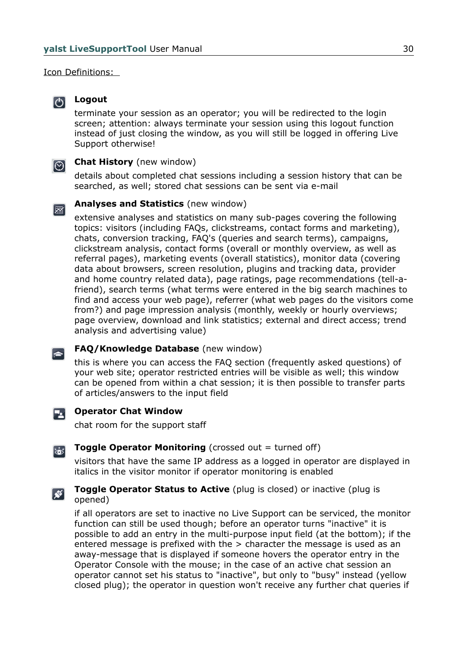Icon Definitions:



## **Logout**

terminate your session as an operator; you will be redirected to the login screen; attention: always terminate your session using this logout function instead of just closing the window, as you will still be logged in offering Live Support otherwise!

#### **Chat History** (new window)  $\odot$

details about completed chat sessions including a session history that can be searched, as well; stored chat sessions can be sent via e-mail



 $\left| \right|$ 

#### **Analyses and Statistics** (new window)

extensive analyses and statistics on many sub-pages covering the following topics: visitors (including FAQs, clickstreams, contact forms and marketing), chats, conversion tracking, FAQ's (queries and search terms), campaigns, clickstream analysis, contact forms (overall or monthly overview, as well as referral pages), marketing events (overall statistics), monitor data (covering data about browsers, screen resolution, plugins and tracking data, provider and home country related data), page ratings, page recommendations (tell-afriend), search terms (what terms were entered in the big search machines to find and access your web page), referrer (what web pages do the visitors come from?) and page impression analysis (monthly, weekly or hourly overviews; page overview, download and link statistics; external and direct access; trend analysis and advertising value)

### **FAQ/Knowledge Database** (new window)

this is where you can access the FAQ section (frequently asked questions) of your web site; operator restricted entries will be visible as well; this window can be opened from within a chat session; it is then possible to transfer parts of articles/answers to the input field

#### **Operator Chat Window** 54.

chat room for the support staff

#### **Toggle Operator Monitoring** (crossed out = turned off) ಹ

visitors that have the same IP address as a logged in operator are displayed in italics in the visitor monitor if operator monitoring is enabled

#### **Toggle Operator Status to Active** (plug is closed) or inactive (plug is ⊠ opened)

if all operators are set to inactive no Live Support can be serviced, the monitor function can still be used though; before an operator turns "inactive" it is possible to add an entry in the multi-purpose input field (at the bottom); if the entered message is prefixed with the > character the message is used as an away-message that is displayed if someone hovers the operator entry in the Operator Console with the mouse; in the case of an active chat session an operator cannot set his status to "inactive", but only to "busy" instead (yellow closed plug); the operator in question won't receive any further chat queries if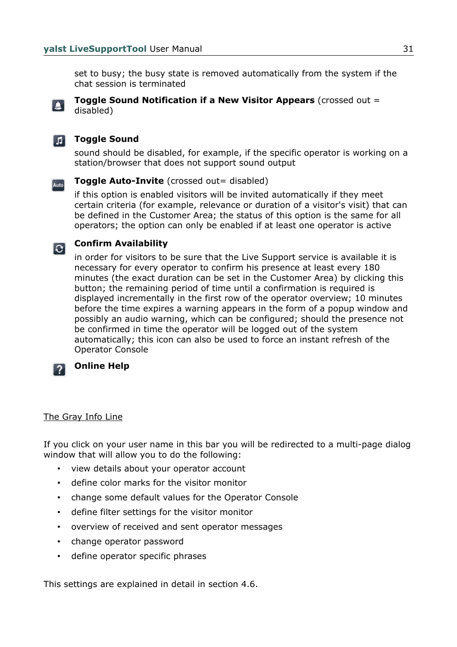set to busy; the busy state is removed automatically from the system if the chat session is terminated



#### **Toggle Sound Notification if a New Visitor Appears** (crossed out = disabled)



## **Toggle Sound**

sound should be disabled, for example, if the specific operator is working on a station/browser that does not support sound output



### **Toggle Auto-Invite** (crossed out= disabled)

if this option is enabled visitors will be invited automatically if they meet certain criteria (for example, relevance or duration of a visitor's visit) that can be defined in the Customer Area; the status of this option is the same for all operators; the option can only be enabled if at least one operator is active

# **Confirm Availability**

in order for visitors to be sure that the Live Support service is available it is necessary for every operator to confirm his presence at least every 180 minutes (the exact duration can be set in the Customer Area) by clicking this button; the remaining period of time until a confirmation is required is displayed incrementally in the first row of the operator overview; 10 minutes before the time expires a warning appears in the form of a popup window and possibly an audio warning, which can be configured; should the presence not be confirmed in time the operator will be logged out of the system automatically; this icon can also be used to force an instant refresh of the Operator Console

### **Online Help**

#### The Gray Info Line

If you click on your user name in this bar you will be redirected to a multi-page dialog window that will allow you to do the following:

- view details about your operator account
- define color marks for the visitor monitor
- change some default values for the Operator Console
- define filter settings for the visitor monitor
- overview of received and sent operator messages
- change operator password
- define operator specific phrases

This settings are explained in detail in section 4.6.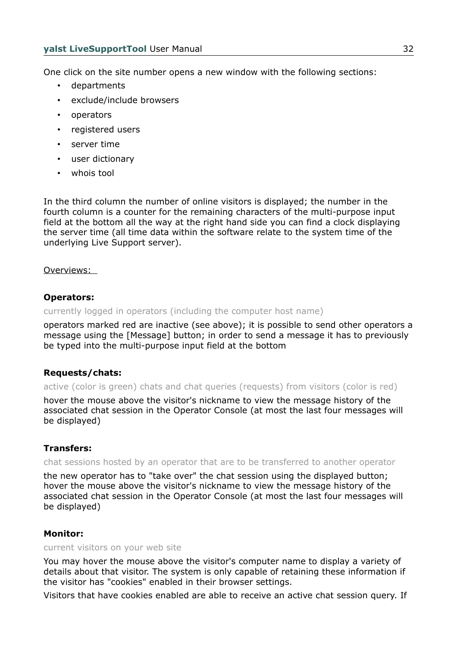One click on the site number opens a new window with the following sections:

- departments
- exclude/include browsers
- operators
- registered users
- server time
- user dictionary
- whois tool

In the third column the number of online visitors is displayed; the number in the fourth column is a counter for the remaining characters of the multi-purpose input field at the bottom all the way at the right hand side you can find a clock displaying the server time (all time data within the software relate to the system time of the underlying Live Support server).

Overviews:

#### **Operators:**

currently logged in operators (including the computer host name)

operators marked red are inactive (see above); it is possible to send other operators a message using the [Message] button; in order to send a message it has to previously be typed into the multi-purpose input field at the bottom

#### **Requests/chats:**

active (color is green) chats and chat queries (requests) from visitors (color is red)

hover the mouse above the visitor's nickname to view the message history of the associated chat session in the Operator Console (at most the last four messages will be displayed)

#### **Transfers:**

chat sessions hosted by an operator that are to be transferred to another operator

the new operator has to "take over" the chat session using the displayed button; hover the mouse above the visitor's nickname to view the message history of the associated chat session in the Operator Console (at most the last four messages will be displayed)

#### **Monitor:**

#### current visitors on your web site

You may hover the mouse above the visitor's computer name to display a variety of details about that visitor. The system is only capable of retaining these information if the visitor has "cookies" enabled in their browser settings.

Visitors that have cookies enabled are able to receive an active chat session query. If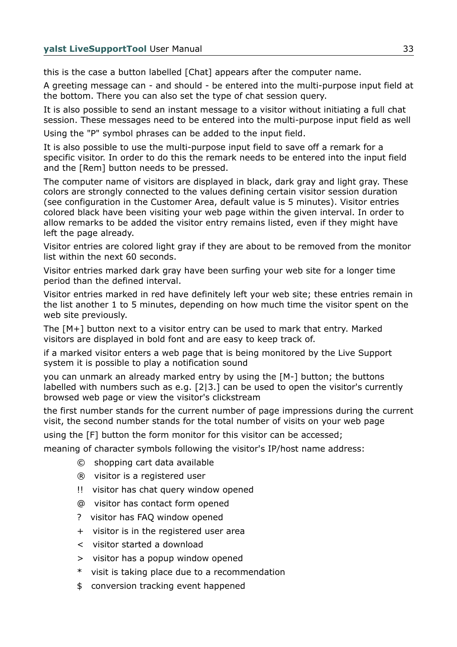this is the case a button labelled [Chat] appears after the computer name.

A greeting message can - and should - be entered into the multi-purpose input field at the bottom. There you can also set the type of chat session query.

It is also possible to send an instant message to a visitor without initiating a full chat session. These messages need to be entered into the multi-purpose input field as well Using the "P" symbol phrases can be added to the input field.

It is also possible to use the multi-purpose input field to save off a remark for a specific visitor. In order to do this the remark needs to be entered into the input field and the [Rem] button needs to be pressed.

The computer name of visitors are displayed in black, dark gray and light gray. These colors are strongly connected to the values defining certain visitor session duration (see configuration in the Customer Area, default value is 5 minutes). Visitor entries colored black have been visiting your web page within the given interval. In order to allow remarks to be added the visitor entry remains listed, even if they might have left the page already.

Visitor entries are colored light gray if they are about to be removed from the monitor list within the next 60 seconds.

Visitor entries marked dark gray have been surfing your web site for a longer time period than the defined interval.

Visitor entries marked in red have definitely left your web site; these entries remain in the list another 1 to 5 minutes, depending on how much time the visitor spent on the web site previously.

The [M+] button next to a visitor entry can be used to mark that entry. Marked visitors are displayed in bold font and are easy to keep track of.

if a marked visitor enters a web page that is being monitored by the Live Support system it is possible to play a notification sound

you can unmark an already marked entry by using the [M-] button; the buttons labelled with numbers such as e.g. [2|3.] can be used to open the visitor's currently browsed web page or view the visitor's clickstream

the first number stands for the current number of page impressions during the current visit, the second number stands for the total number of visits on your web page

using the [F] button the form monitor for this visitor can be accessed;

meaning of character symbols following the visitor's IP/host name address:

- © shopping cart data available
- ® visitor is a registered user
- !! visitor has chat query window opened
- @ visitor has contact form opened
- ? visitor has FAQ window opened
- + visitor is in the registered user area
- < visitor started a download
- > visitor has a popup window opened
- \* visit is taking place due to a recommendation
- \$ conversion tracking event happened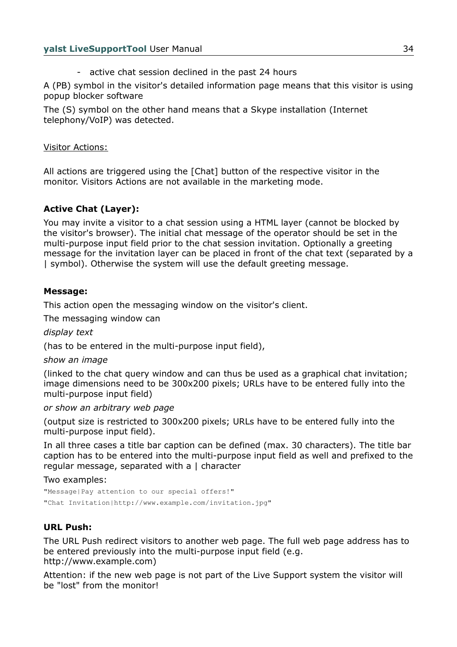- active chat session declined in the past 24 hours

A (PB) symbol in the visitor's detailed information page means that this visitor is using popup blocker software

The (S) symbol on the other hand means that a Skype installation (Internet telephony/VoIP) was detected.

#### Visitor Actions:

All actions are triggered using the [Chat] button of the respective visitor in the monitor. Visitors Actions are not available in the marketing mode.

## **Active Chat (Layer):**

You may invite a visitor to a chat session using a HTML layer (cannot be blocked by the visitor's browser). The initial chat message of the operator should be set in the multi-purpose input field prior to the chat session invitation. Optionally a greeting message for the invitation layer can be placed in front of the chat text (separated by a | symbol). Otherwise the system will use the default greeting message.

#### **Message:**

This action open the messaging window on the visitor's client.

The messaging window can

*display text*

(has to be entered in the multi-purpose input field),

*show an image*

(linked to the chat query window and can thus be used as a graphical chat invitation; image dimensions need to be 300x200 pixels; URLs have to be entered fully into the multi-purpose input field)

*or show an arbitrary web page*

(output size is restricted to 300x200 pixels; URLs have to be entered fully into the multi-purpose input field).

In all three cases a title bar caption can be defined (max. 30 characters). The title bar caption has to be entered into the multi-purpose input field as well and prefixed to the regular message, separated with a | character

Two examples:

"Message|Pay attention to our special offers!" "Chat Invitation|http://www.example.com/invitation.jpg"

## **URL Push:**

The URL Push redirect visitors to another web page. The full web page address has to be entered previously into the multi-purpose input field (e.g. http://www.example.com)

Attention: if the new web page is not part of the Live Support system the visitor will be "lost" from the monitor!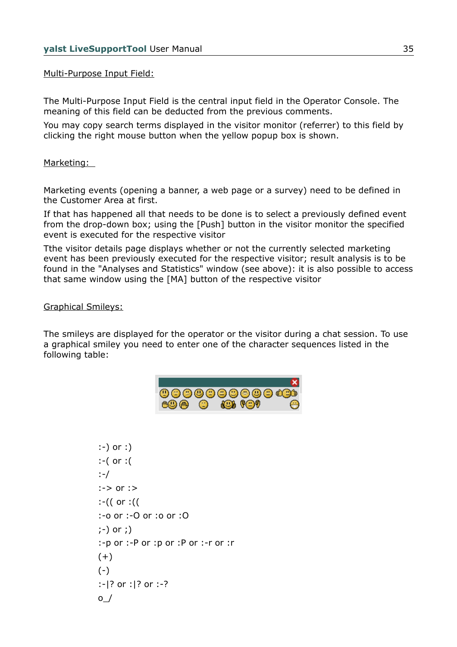#### Multi-Purpose Input Field:

The Multi-Purpose Input Field is the central input field in the Operator Console. The meaning of this field can be deducted from the previous comments.

You may copy search terms displayed in the visitor monitor (referrer) to this field by clicking the right mouse button when the yellow popup box is shown.

#### Marketing:

Marketing events (opening a banner, a web page or a survey) need to be defined in the Customer Area at first.

If that has happened all that needs to be done is to select a previously defined event from the drop-down box; using the [Push] button in the visitor monitor the specified event is executed for the respective visitor

Tthe visitor details page displays whether or not the currently selected marketing event has been previously executed for the respective visitor; result analysis is to be found in the "Analyses and Statistics" window (see above): it is also possible to access that same window using the [MA] button of the respective visitor

#### Graphical Smileys:

The smileys are displayed for the operator or the visitor during a chat session. To use a graphical smiley you need to enter one of the character sequences listed in the following table:

|               |         |        | 000000000000  |
|---------------|---------|--------|---------------|
| <u>™</u> © ∩∩ | $\odot$ | 400 GO | $\rightarrow$ |

```
:-) or :) 
:-( or :( 
:-/ 
:-> or :> 
:-(( or :(( 
:-o or :-O or :o or :O 
;-) or ;) 
:-p or :-P or :p or :P or :-r or :r 
(+)(-):-|? or :|? or :-? 
\circ /
```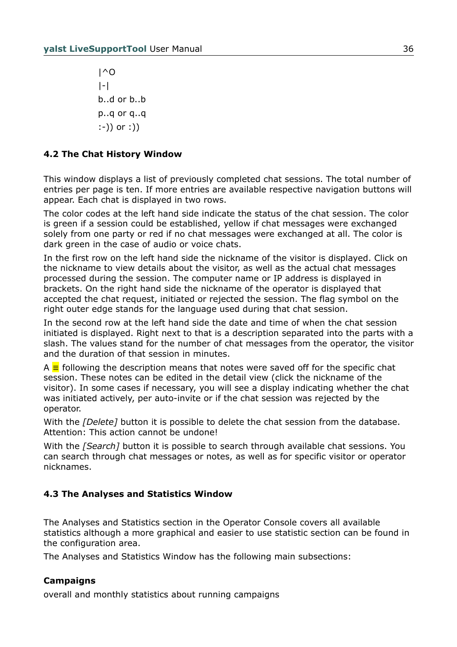|^O |-| b..d or b..b p..q or q..q :-)) or :))

## **4.2 The Chat History Window**

This window displays a list of previously completed chat sessions. The total number of entries per page is ten. If more entries are available respective navigation buttons will appear. Each chat is displayed in two rows.

The color codes at the left hand side indicate the status of the chat session. The color is green if a session could be established, yellow if chat messages were exchanged solely from one party or red if no chat messages were exchanged at all. The color is dark green in the case of audio or voice chats.

In the first row on the left hand side the nickname of the visitor is displayed. Click on the nickname to view details about the visitor, as well as the actual chat messages processed during the session. The computer name or IP address is displayed in brackets. On the right hand side the nickname of the operator is displayed that accepted the chat request, initiated or rejected the session. The flag symbol on the right outer edge stands for the language used during that chat session.

In the second row at the left hand side the date and time of when the chat session initiated is displayed. Right next to that is a description separated into the parts with a slash. The values stand for the number of chat messages from the operator, the visitor and the duration of that session in minutes.

A **≡** following the description means that notes were saved off for the specific chat session. These notes can be edited in the detail view (click the nickname of the visitor). In some cases if necessary, you will see a display indicating whether the chat was initiated actively, per auto-invite or if the chat session was rejected by the operator.

With the *[Delete]* button it is possible to delete the chat session from the database. Attention: This action cannot be undone!

With the *[Search]* button it is possible to search through available chat sessions. You can search through chat messages or notes, as well as for specific visitor or operator nicknames.

## **4.3 The Analyses and Statistics Window**

The Analyses and Statistics section in the Operator Console covers all available statistics although a more graphical and easier to use statistic section can be found in the configuration area.

The Analyses and Statistics Window has the following main subsections:

## **Campaigns**

overall and monthly statistics about running campaigns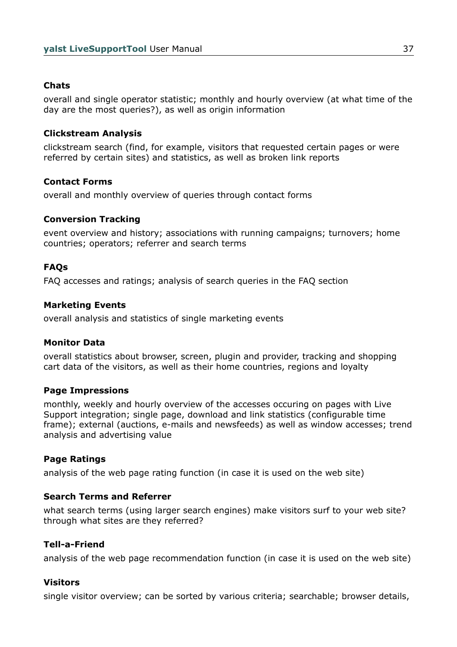# **Chats**

overall and single operator statistic; monthly and hourly overview (at what time of the day are the most queries?), as well as origin information

## **Clickstream Analysis**

clickstream search (find, for example, visitors that requested certain pages or were referred by certain sites) and statistics, as well as broken link reports

## **Contact Forms**

overall and monthly overview of queries through contact forms

## **Conversion Tracking**

event overview and history; associations with running campaigns; turnovers; home countries; operators; referrer and search terms

# **FAQs**

FAQ accesses and ratings; analysis of search queries in the FAQ section

## **Marketing Events**

overall analysis and statistics of single marketing events

### **Monitor Data**

overall statistics about browser, screen, plugin and provider, tracking and shopping cart data of the visitors, as well as their home countries, regions and loyalty

### **Page Impressions**

monthly, weekly and hourly overview of the accesses occuring on pages with Live Support integration; single page, download and link statistics (configurable time frame); external (auctions, e-mails and newsfeeds) as well as window accesses; trend analysis and advertising value

### **Page Ratings**

analysis of the web page rating function (in case it is used on the web site)

### **Search Terms and Referrer**

what search terms (using larger search engines) make visitors surf to your web site? through what sites are they referred?

### **Tell-a-Friend**

analysis of the web page recommendation function (in case it is used on the web site)

### **Visitors**

single visitor overview; can be sorted by various criteria; searchable; browser details,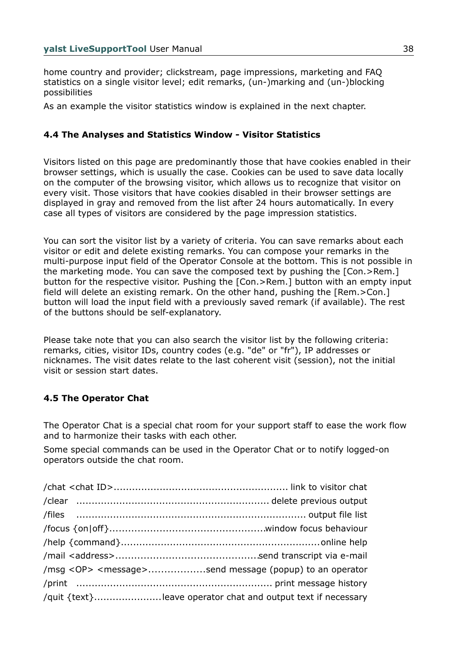home country and provider; clickstream, page impressions, marketing and FAQ statistics on a single visitor level; edit remarks, (un-)marking and (un-)blocking possibilities

As an example the visitor statistics window is explained in the next chapter.

# **4.4 The Analyses and Statistics Window - Visitor Statistics**

Visitors listed on this page are predominantly those that have cookies enabled in their browser settings, which is usually the case. Cookies can be used to save data locally on the computer of the browsing visitor, which allows us to recognize that visitor on every visit. Those visitors that have cookies disabled in their browser settings are displayed in gray and removed from the list after 24 hours automatically. In every case all types of visitors are considered by the page impression statistics.

You can sort the visitor list by a variety of criteria. You can save remarks about each visitor or edit and delete existing remarks. You can compose your remarks in the multi-purpose input field of the Operator Console at the bottom. This is not possible in the marketing mode. You can save the composed text by pushing the [Con.>Rem.] button for the respective visitor. Pushing the [Con.>Rem.] button with an empty input field will delete an existing remark. On the other hand, pushing the [Rem.>Con.] button will load the input field with a previously saved remark (if available). The rest of the buttons should be self-explanatory.

Please take note that you can also search the visitor list by the following criteria: remarks, cities, visitor IDs, country codes (e.g. "de" or "fr"), IP addresses or nicknames. The visit dates relate to the last coherent visit (session), not the initial visit or session start dates.

# **4.5 The Operator Chat**

The Operator Chat is a special chat room for your support staff to ease the work flow and to harmonize their tasks with each other.

Some special commands can be used in the Operator Chat or to notify logged-on operators outside the chat room.

| /msg <op> <message>send message (popup) to an operator</message></op> |
|-----------------------------------------------------------------------|
|                                                                       |
| /quit {text}leave operator chat and output text if necessary          |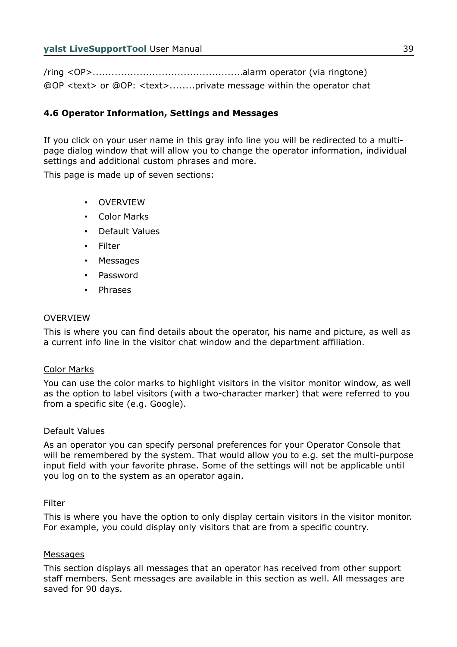/ring <OP>................................................alarm operator (via ringtone) @OP <text> or @OP: <text>........private message within the operator chat

# **4.6 Operator Information, Settings and Messages**

If you click on your user name in this gray info line you will be redirected to a multipage dialog window that will allow you to change the operator information, individual settings and additional custom phrases and more.

This page is made up of seven sections:

- **OVERVIEW**
- Color Marks
- Default Values
- **Filter**
- **Messages**
- Password
- Phrases

### **OVERVIEW**

This is where you can find details about the operator, his name and picture, as well as a current info line in the visitor chat window and the department affiliation.

### Color Marks

You can use the color marks to highlight visitors in the visitor monitor window, as well as the option to label visitors (with a two-character marker) that were referred to you from a specific site (e.g. Google).

### Default Values

As an operator you can specify personal preferences for your Operator Console that will be remembered by the system. That would allow you to e.g. set the multi-purpose input field with your favorite phrase. Some of the settings will not be applicable until you log on to the system as an operator again.

### Filter

This is where you have the option to only display certain visitors in the visitor monitor. For example, you could display only visitors that are from a specific country.

### Messages

This section displays all messages that an operator has received from other support staff members. Sent messages are available in this section as well. All messages are saved for 90 days.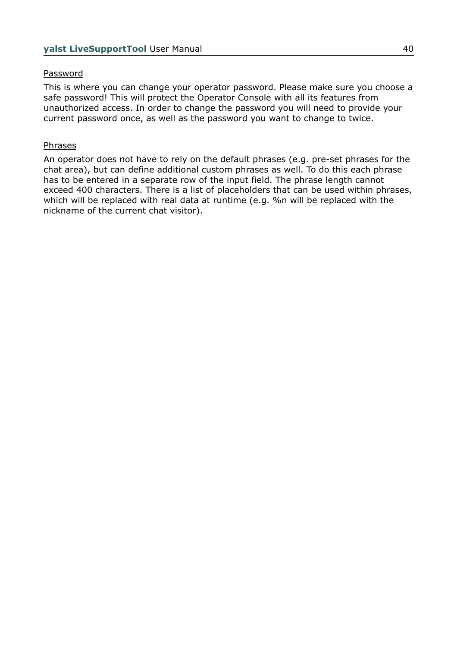### Password

This is where you can change your operator password. Please make sure you choose a safe password! This will protect the Operator Console with all its features from unauthorized access. In order to change the password you will need to provide your current password once, as well as the password you want to change to twice.

### Phrases

An operator does not have to rely on the default phrases (e.g. pre-set phrases for the chat area), but can define additional custom phrases as well. To do this each phrase has to be entered in a separate row of the input field. The phrase length cannot exceed 400 characters. There is a list of placeholders that can be used within phrases, which will be replaced with real data at runtime (e.g. %n will be replaced with the nickname of the current chat visitor).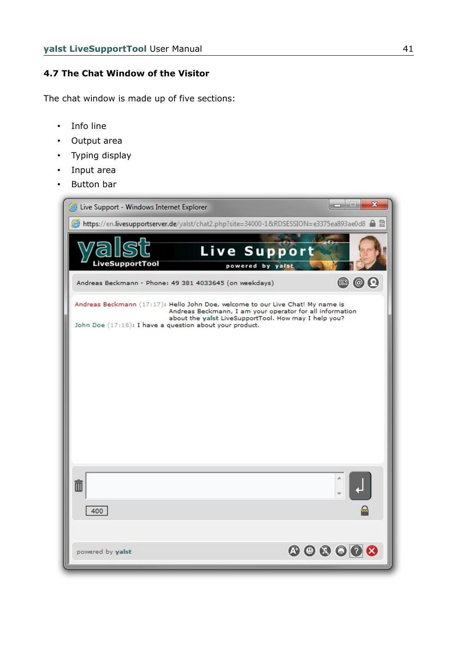# **4.7 The Chat Window of the Visitor**

The chat window is made up of five sections:

- Info line
- Output area
- Typing display
- Input area
- Button bar

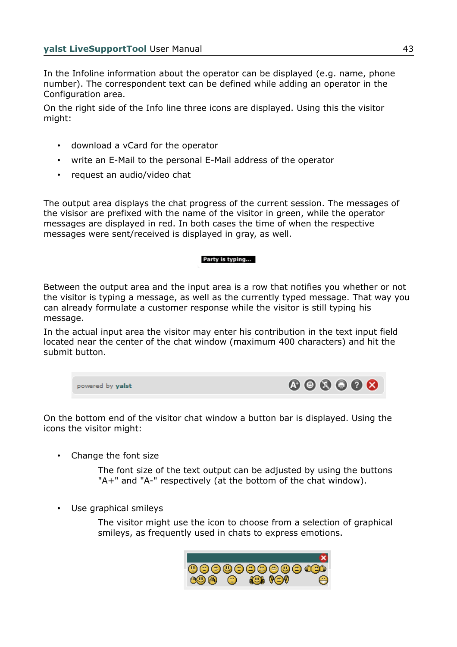In the Infoline information about the operator can be displayed (e.g. name, phone number). The correspondent text can be defined while adding an operator in the Configuration area.

On the right side of the Info line three icons are displayed. Using this the visitor might:

- download a vCard for the operator
- write an E-Mail to the personal E-Mail address of the operator
- request an audio/video chat

The output area displays the chat progress of the current session. The messages of the visisor are prefixed with the name of the visitor in green, while the operator messages are displayed in red. In both cases the time of when the respective messages were sent/received is displayed in gray, as well.

#### Party is typing...

Between the output area and the input area is a row that notifies you whether or not the visitor is typing a message, as well as the currently typed message. That way you can already formulate a customer response while the visitor is still typing his message.

In the actual input area the visitor may enter his contribution in the text input field located near the center of the chat window (maximum 400 characters) and hit the submit button.

\n
$$
\text{powered by yalst}
$$
\n

\n\n $\text{O} \text{O} \text{O} \text{O} \text{O} \text{O} \text{O}$ \n

On the bottom end of the visitor chat window a button bar is displayed. Using the icons the visitor might:

• Change the font size

The font size of the text output can be adjusted by using the buttons "A+" and "A-" respectively (at the bottom of the chat window).

• Use graphical smileys

The visitor might use the icon to choose from a selection of graphical smileys, as frequently used in chats to express emotions.

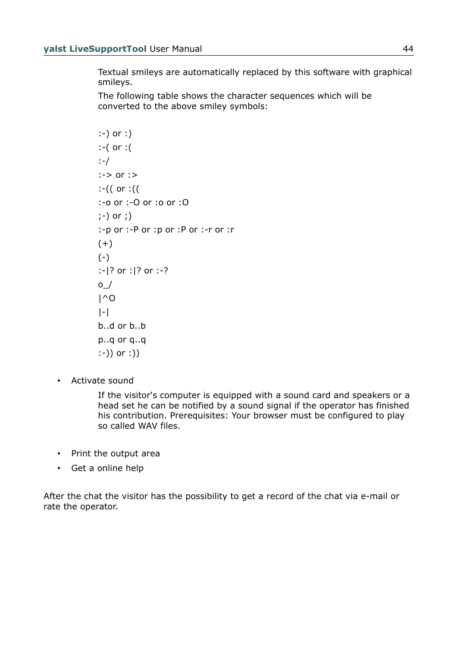Textual smileys are automatically replaced by this software with graphical smileys.

The following table shows the character sequences which will be converted to the above smiley symbols:

```
:-) or :) 
:-( or :( 
:-/ 
:-> or :> 
:-(( or :(( 
:-o or :-O or :o or :O 
;-) or ;) 
:-p or :-P or :p or :P or :-r or :r 
(+) 
(-):-|? or :|? or :-? 
\circ /
|^O 
|-| 
b..d or b..b 
p..q or q..q 
:-)) or :))
```
• Activate sound

If the visitor's computer is equipped with a sound card and speakers or a head set he can be notified by a sound signal if the operator has finished his contribution. Prerequisites: Your browser must be configured to play so called WAV files.

- Print the output area
- Get a online help

After the chat the visitor has the possibility to get a record of the chat via e-mail or rate the operator.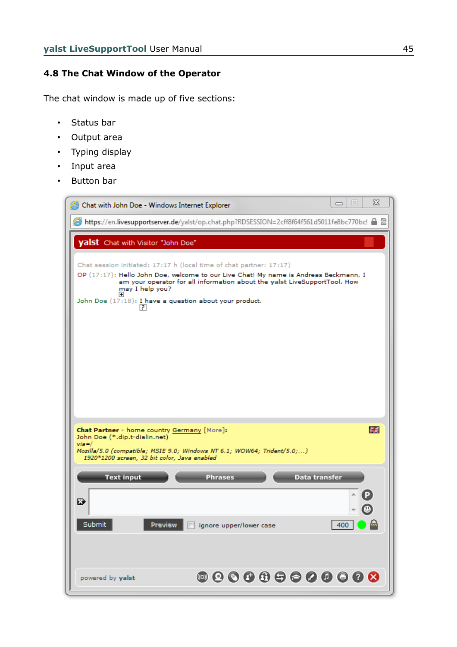### **4.8 The Chat Window of the Operator**

The chat window is made up of five sections:

- Status bar
- Output area
- Typing display
- Input area
- Button bar

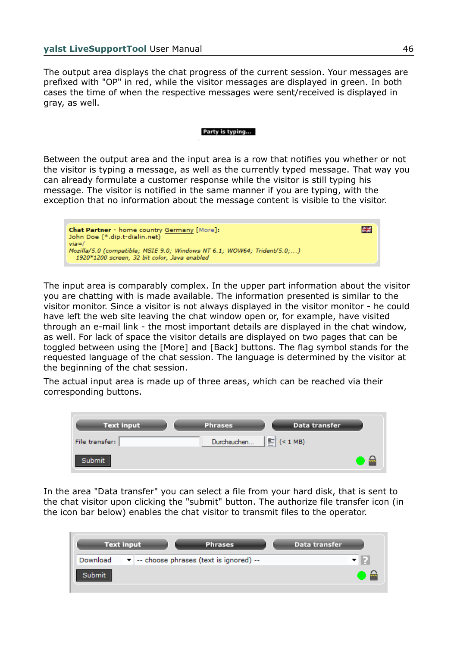The output area displays the chat progress of the current session. Your messages are prefixed with "OP" in red, while the visitor messages are displayed in green. In both cases the time of when the respective messages were sent/received is displayed in gray, as well.

#### Party is typing...

Between the output area and the input area is a row that notifies you whether or not the visitor is typing a message, as well as the currently typed message. That way you can already formulate a customer response while the visitor is still typing his message. The visitor is notified in the same manner if you are typing, with the exception that no information about the message content is visible to the visitor.



The input area is comparably complex. In the upper part information about the visitor you are chatting with is made available. The information presented is similar to the visitor monitor. Since a visitor is not always displayed in the visitor monitor - he could have left the web site leaving the chat window open or, for example, have visited through an e-mail link - the most important details are displayed in the chat window, as well. For lack of space the visitor details are displayed on two pages that can be toggled between using the [More] and [Back] buttons. The flag symbol stands for the requested language of the chat session. The language is determined by the visitor at the beginning of the chat session.

The actual input area is made up of three areas, which can be reached via their corresponding buttons.

| <b>Text input</b> | <b>Phrases</b> | Data transfer           |      |
|-------------------|----------------|-------------------------|------|
| File transfer:    | Durchsuchen    | $\boxed{\geq}$ (< 1 MB) |      |
| Submit            |                |                         | - 11 |

In the area "Data transfer" you can select a file from your hard disk, that is sent to the chat visitor upon clicking the "submit" button. The authorize file transfer icon (in the icon bar below) enables the chat visitor to transmit files to the operator.

|        | <b>Text input</b> | <b>Phrases</b>                                            | Data transfer |  |
|--------|-------------------|-----------------------------------------------------------|---------------|--|
|        |                   | Download $\bullet$ -- choose phrases (text is ignored) -- |               |  |
| Submit |                   |                                                           |               |  |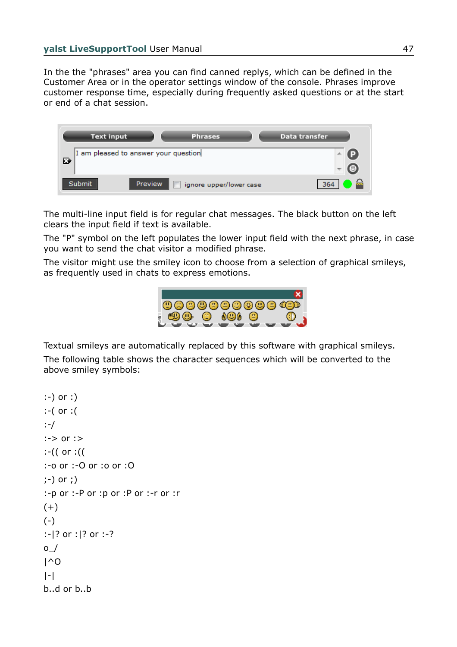In the the "phrases" area you can find canned replys, which can be defined in the Customer Area or in the operator settings window of the console. Phrases improve customer response time, especially during frequently asked questions or at the start or end of a chat session.



The multi-line input field is for regular chat messages. The black button on the left clears the input field if text is available.

The "P" symbol on the left populates the lower input field with the next phrase, in case you want to send the chat visitor a modified phrase.

The visitor might use the smiley icon to choose from a selection of graphical smileys, as frequently used in chats to express emotions.



Textual smileys are automatically replaced by this software with graphical smileys.

The following table shows the character sequences which will be converted to the above smiley symbols:

```
:-) or :) 
:-( or :( 
:-/ 
:-> or :> 
:-(( or :(( 
:-o or :-O or :o or :O 
;-) or ;) 
:-p or :-P or :p or :P or :-r or :r 
(+) 
(-):-|? or :|? or :-? 
\circ /
| \wedgeO
|-|b..d or b..b
```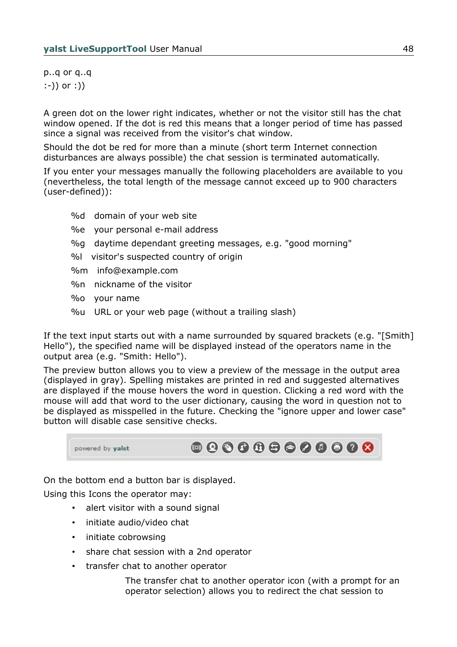p..q or q..q :-)) or :))

A green dot on the lower right indicates, whether or not the visitor still has the chat window opened. If the dot is red this means that a longer period of time has passed since a signal was received from the visitor's chat window.

Should the dot be red for more than a minute (short term Internet connection disturbances are always possible) the chat session is terminated automatically.

If you enter your messages manually the following placeholders are available to you (nevertheless, the total length of the message cannot exceed up to 900 characters (user-defined)):

- %d domain of your web site
- %e your personal e-mail address
- %g daytime dependant greeting messages, e.g. "good morning"
- %l visitor's suspected country of origin
- %m info@example.com
- %n nickname of the visitor
- %o your name
- %u URL or your web page (without a trailing slash)

If the text input starts out with a name surrounded by squared brackets (e.g. "[Smith] Hello"), the specified name will be displayed instead of the operators name in the output area (e.g. "Smith: Hello").

The preview button allows you to view a preview of the message in the output area (displayed in gray). Spelling mistakes are printed in red and suggested alternatives are displayed if the mouse hovers the word in question. Clicking a red word with the mouse will add that word to the user dictionary, causing the word in question not to be displayed as misspelled in the future. Checking the "ignore upper and lower case" button will disable case sensitive checks.



On the bottom end a button bar is displayed.

Using this Icons the operator may:

- alert visitor with a sound signal
- initiate audio/video chat
- initiate cobrowsing
- share chat session with a 2nd operator
- transfer chat to another operator

The transfer chat to another operator icon (with a prompt for an operator selection) allows you to redirect the chat session to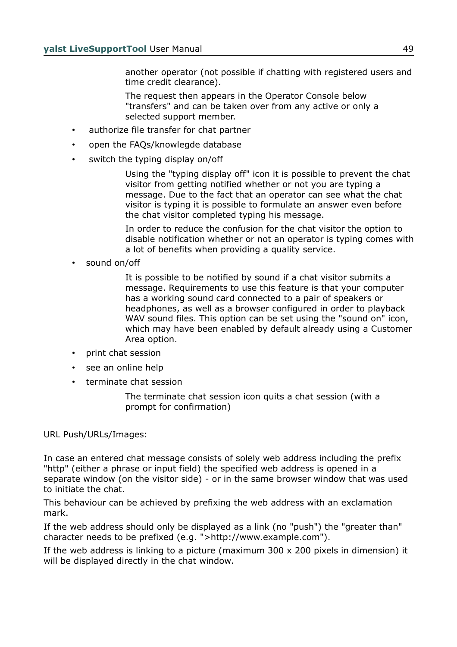another operator (not possible if chatting with registered users and time credit clearance).

The request then appears in the Operator Console below "transfers" and can be taken over from any active or only a selected support member.

- authorize file transfer for chat partner
- open the FAQs/knowlegde database
- switch the typing display on/off

Using the "typing display off" icon it is possible to prevent the chat visitor from getting notified whether or not you are typing a message. Due to the fact that an operator can see what the chat visitor is typing it is possible to formulate an answer even before the chat visitor completed typing his message.

In order to reduce the confusion for the chat visitor the option to disable notification whether or not an operator is typing comes with a lot of benefits when providing a quality service.

sound on/off

It is possible to be notified by sound if a chat visitor submits a message. Requirements to use this feature is that your computer has a working sound card connected to a pair of speakers or headphones, as well as a browser configured in order to playback WAV sound files. This option can be set using the "sound on" icon, which may have been enabled by default already using a Customer Area option.

- print chat session
- see an online help
- terminate chat session

The terminate chat session icon quits a chat session (with a prompt for confirmation)

### URL Push/URLs/Images:

In case an entered chat message consists of solely web address including the prefix "http" (either a phrase or input field) the specified web address is opened in a separate window (on the visitor side) - or in the same browser window that was used to initiate the chat.

This behaviour can be achieved by prefixing the web address with an exclamation mark.

If the web address should only be displayed as a link (no "push") the "greater than" character needs to be prefixed (e.g. ">http://www.example.com").

If the web address is linking to a picture (maximum 300 x 200 pixels in dimension) it will be displayed directly in the chat window.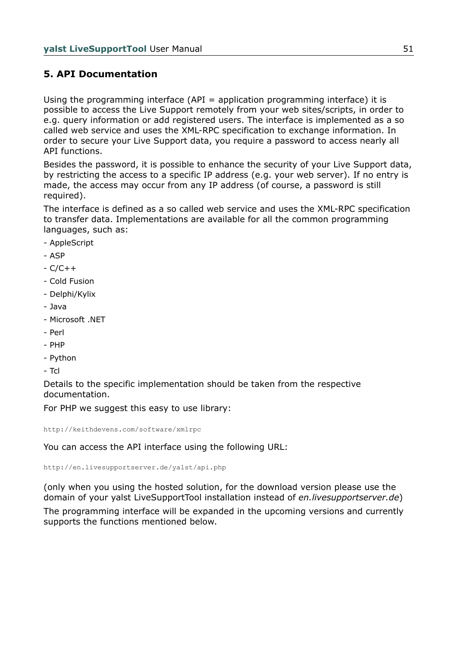# **5. API Documentation**

Using the programming interface (API = application programming interface) it is possible to access the Live Support remotely from your web sites/scripts, in order to e.g. query information or add registered users. The interface is implemented as a so called web service and uses the XML-RPC specification to exchange information. In order to secure your Live Support data, you require a password to access nearly all API functions.

Besides the password, it is possible to enhance the security of your Live Support data, by restricting the access to a specific IP address (e.g. your web server). If no entry is made, the access may occur from any IP address (of course, a password is still required).

The interface is defined as a so called web service and uses the XML-RPC specification to transfer data. Implementations are available for all the common programming languages, such as:

- AppleScript
- ASP
- C/C++
- Cold Fusion
- Delphi/Kylix
- Java
- Microsoft .NET
- Perl
- PHP
- Python
- Tcl

Details to the specific implementation should be taken from the respective documentation.

For PHP we suggest this easy to use library:

http://keithdevens.com/software/xmlrpc

You can access the API interface using the following URL:

http://en.livesupportserver.de/yalst/api.php

(only when you using the hosted solution, for the download version please use the domain of your yalst LiveSupportTool installation instead of *en.livesupportserver.de*)

The programming interface will be expanded in the upcoming versions and currently supports the functions mentioned below.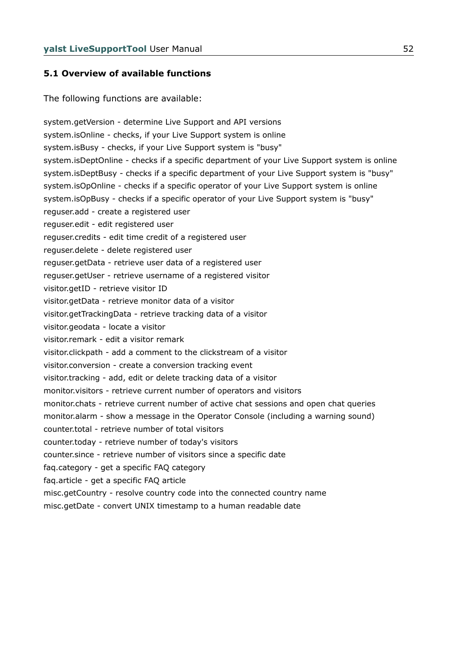### **5.1 Overview of available functions**

The following functions are available:

system.getVersion - determine Live Support and API versions system.isOnline - checks, if your Live Support system is online system.isBusy - checks, if your Live Support system is "busy" system.isDeptOnline - checks if a specific department of your Live Support system is online system.isDeptBusy - checks if a specific department of your Live Support system is "busy" system.isOpOnline - checks if a specific operator of your Live Support system is online system.isOpBusy - checks if a specific operator of your Live Support system is "busy" reguser.add - create a registered user reguser.edit - edit registered user reguser.credits - edit time credit of a registered user reguser.delete - delete registered user reguser.getData - retrieve user data of a registered user reguser.getUser - retrieve username of a registered visitor visitor.getID - retrieve visitor ID visitor.getData - retrieve monitor data of a visitor visitor.getTrackingData - retrieve tracking data of a visitor visitor.geodata - locate a visitor visitor.remark - edit a visitor remark visitor.clickpath - add a comment to the clickstream of a visitor visitor.conversion - create a conversion tracking event visitor.tracking - add, edit or delete tracking data of a visitor monitor.visitors - retrieve current number of operators and visitors monitor.chats - retrieve current number of active chat sessions and open chat queries monitor.alarm - show a message in the Operator Console (including a warning sound) counter.total - retrieve number of total visitors counter.today - retrieve number of today's visitors counter.since - retrieve number of visitors since a specific date faq.category - get a specific FAQ category faq.article - get a specific FAQ article misc.getCountry - resolve country code into the connected country name

misc.getDate - convert UNIX timestamp to a human readable date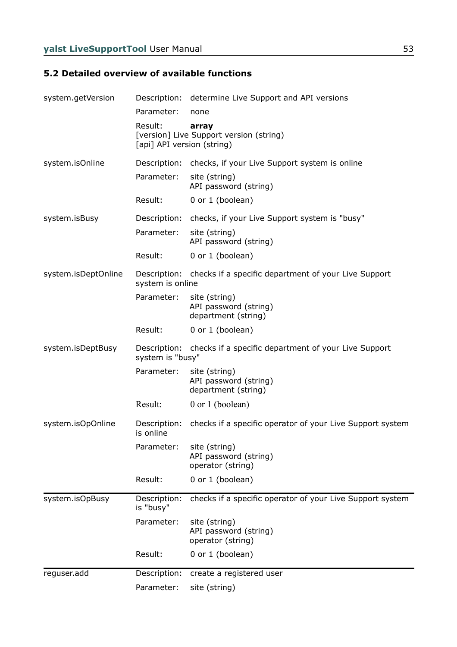# **5.2 Detailed overview of available functions**

| system.getVersion   |                                       | Description: determine Live Support and API versions              |
|---------------------|---------------------------------------|-------------------------------------------------------------------|
|                     | Parameter:                            | none                                                              |
|                     | Result:<br>[api] API version (string) | array<br>[version] Live Support version (string)                  |
| system.isOnline     | Description:                          | checks, if your Live Support system is online                     |
|                     | Parameter:                            | site (string)<br>API password (string)                            |
|                     | Result:                               | 0 or 1 (boolean)                                                  |
| system.isBusy       | Description:                          | checks, if your Live Support system is "busy"                     |
|                     | Parameter:                            | site (string)<br>API password (string)                            |
|                     | Result:                               | 0 or 1 (boolean)                                                  |
| system.isDeptOnline | system is online                      | Description: checks if a specific department of your Live Support |
|                     | Parameter:                            | site (string)<br>API password (string)<br>department (string)     |
|                     | Result:                               | 0 or 1 (boolean)                                                  |
| system.isDeptBusy   | system is "busy"                      | Description: checks if a specific department of your Live Support |
|                     | Parameter:                            | site (string)<br>API password (string)<br>department (string)     |
|                     | Result:                               | $0$ or 1 (boolean)                                                |
| system.isOpOnline   | Description:<br>is online             | checks if a specific operator of your Live Support system         |
|                     | Parameter:                            | site (string)<br>API password (string)<br>operator (string)       |
|                     | Result:                               | 0 or 1 (boolean)                                                  |
| system.isOpBusy     | Description:<br>is "busy"             | checks if a specific operator of your Live Support system         |
|                     | Parameter:                            | site (string)<br>API password (string)<br>operator (string)       |
|                     | Result:                               | 0 or 1 (boolean)                                                  |
| reguser.add         | Description:                          | create a registered user                                          |
|                     | Parameter:                            | site (string)                                                     |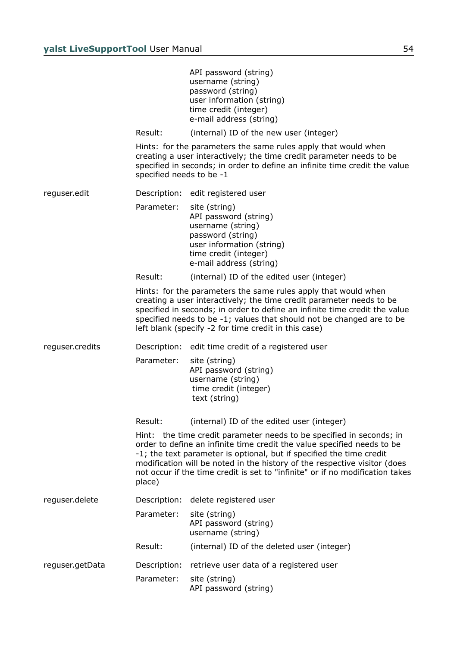|                 |                          | API password (string)<br>username (string)<br>password (string)<br>user information (string)<br>time credit (integer)<br>e-mail address (string)                                                                                                                                                                                                                                      |
|-----------------|--------------------------|---------------------------------------------------------------------------------------------------------------------------------------------------------------------------------------------------------------------------------------------------------------------------------------------------------------------------------------------------------------------------------------|
|                 | Result:                  | (internal) ID of the new user (integer)                                                                                                                                                                                                                                                                                                                                               |
|                 | specified needs to be -1 | Hints: for the parameters the same rules apply that would when<br>creating a user interactively; the time credit parameter needs to be<br>specified in seconds; in order to define an infinite time credit the value                                                                                                                                                                  |
| reguser.edit    | Description:             | edit registered user                                                                                                                                                                                                                                                                                                                                                                  |
|                 | Parameter:               | site (string)<br>API password (string)<br>username (string)<br>password (string)<br>user information (string)<br>time credit (integer)<br>e-mail address (string)                                                                                                                                                                                                                     |
|                 | Result:                  | (internal) ID of the edited user (integer)                                                                                                                                                                                                                                                                                                                                            |
|                 |                          | Hints: for the parameters the same rules apply that would when<br>creating a user interactively; the time credit parameter needs to be<br>specified in seconds; in order to define an infinite time credit the value<br>specified needs to be -1; values that should not be changed are to be<br>left blank (specify -2 for time credit in this case)                                 |
| reguser.credits | Description:             | edit time credit of a registered user                                                                                                                                                                                                                                                                                                                                                 |
|                 | Parameter:               | site (string)<br>API password (string)<br>username (string)<br>time credit (integer)<br>text (string)                                                                                                                                                                                                                                                                                 |
|                 | Result:                  | (internal) ID of the edited user (integer)                                                                                                                                                                                                                                                                                                                                            |
|                 | place)                   | Hint: the time credit parameter needs to be specified in seconds; in<br>order to define an infinite time credit the value specified needs to be<br>-1; the text parameter is optional, but if specified the time credit<br>modification will be noted in the history of the respective visitor (does<br>not occur if the time credit is set to "infinite" or if no modification takes |
| reguser.delete  | Description:             | delete registered user                                                                                                                                                                                                                                                                                                                                                                |
|                 | Parameter:               | site (string)<br>API password (string)<br>username (string)                                                                                                                                                                                                                                                                                                                           |
|                 | Result:                  | (internal) ID of the deleted user (integer)                                                                                                                                                                                                                                                                                                                                           |
| reguser.getData | Description:             | retrieve user data of a registered user                                                                                                                                                                                                                                                                                                                                               |
|                 | Parameter:               | site (string)<br>API password (string)                                                                                                                                                                                                                                                                                                                                                |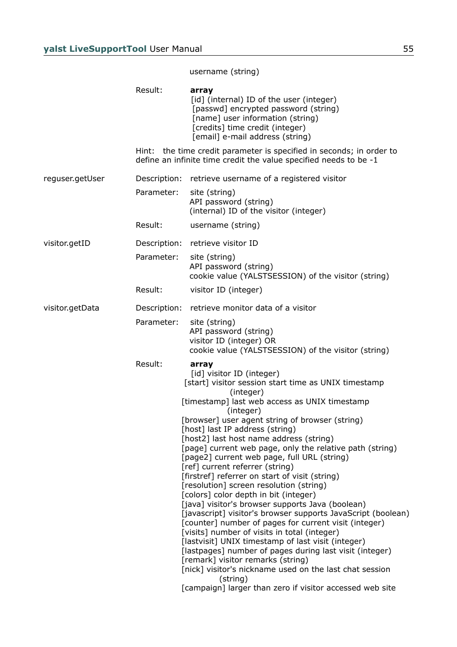## username (string)

|                 | Result:      | array<br>[id] (internal) ID of the user (integer)<br>[passwd] encrypted password (string)<br>[name] user information (string)<br>[credits] time credit (integer)<br>[email] e-mail address (string)                                                                                                                                                                                                                                                                                                                                                                                                                                                                                                                                                                                                                                                                                                                                                                                                                                                                                                              |
|-----------------|--------------|------------------------------------------------------------------------------------------------------------------------------------------------------------------------------------------------------------------------------------------------------------------------------------------------------------------------------------------------------------------------------------------------------------------------------------------------------------------------------------------------------------------------------------------------------------------------------------------------------------------------------------------------------------------------------------------------------------------------------------------------------------------------------------------------------------------------------------------------------------------------------------------------------------------------------------------------------------------------------------------------------------------------------------------------------------------------------------------------------------------|
|                 |              | Hint: the time credit parameter is specified in seconds; in order to<br>define an infinite time credit the value specified needs to be -1                                                                                                                                                                                                                                                                                                                                                                                                                                                                                                                                                                                                                                                                                                                                                                                                                                                                                                                                                                        |
| reguser.getUser | Description: | retrieve username of a registered visitor                                                                                                                                                                                                                                                                                                                                                                                                                                                                                                                                                                                                                                                                                                                                                                                                                                                                                                                                                                                                                                                                        |
|                 | Parameter:   | site (string)<br>API password (string)<br>(internal) ID of the visitor (integer)                                                                                                                                                                                                                                                                                                                                                                                                                                                                                                                                                                                                                                                                                                                                                                                                                                                                                                                                                                                                                                 |
|                 | Result:      | username (string)                                                                                                                                                                                                                                                                                                                                                                                                                                                                                                                                                                                                                                                                                                                                                                                                                                                                                                                                                                                                                                                                                                |
| visitor.getID   | Description: | retrieve visitor ID                                                                                                                                                                                                                                                                                                                                                                                                                                                                                                                                                                                                                                                                                                                                                                                                                                                                                                                                                                                                                                                                                              |
|                 | Parameter:   | site (string)<br>API password (string)<br>cookie value (YALSTSESSION) of the visitor (string)                                                                                                                                                                                                                                                                                                                                                                                                                                                                                                                                                                                                                                                                                                                                                                                                                                                                                                                                                                                                                    |
|                 | Result:      | visitor ID (integer)                                                                                                                                                                                                                                                                                                                                                                                                                                                                                                                                                                                                                                                                                                                                                                                                                                                                                                                                                                                                                                                                                             |
| visitor.getData | Description: | retrieve monitor data of a visitor                                                                                                                                                                                                                                                                                                                                                                                                                                                                                                                                                                                                                                                                                                                                                                                                                                                                                                                                                                                                                                                                               |
|                 | Parameter:   | site (string)<br>API password (string)<br>visitor ID (integer) OR<br>cookie value (YALSTSESSION) of the visitor (string)                                                                                                                                                                                                                                                                                                                                                                                                                                                                                                                                                                                                                                                                                                                                                                                                                                                                                                                                                                                         |
|                 | Result:      | array<br>[id] visitor ID (integer)<br>[start] visitor session start time as UNIX timestamp<br>(integer)<br>[timestamp] last web access as UNIX timestamp<br>(integer)<br>[browser] user agent string of browser (string)<br>[host] last IP address (string)<br>[host2] last host name address (string)<br>[page] current web page, only the relative path (string)<br>[page2] current web page, full URL (string)<br>[ref] current referrer (string)<br>[firstref] referrer on start of visit (string)<br>[resolution] screen resolution (string)<br>[colors] color depth in bit (integer)<br>[java] visitor's browser supports Java (boolean)<br>[javascript] visitor's browser supports JavaScript (boolean)<br>[counter] number of pages for current visit (integer)<br>[visits] number of visits in total (integer)<br>[lastvisit] UNIX timestamp of last visit (integer)<br>[lastpages] number of pages during last visit (integer)<br>[remark] visitor remarks (string)<br>[nick] visitor's nickname used on the last chat session<br>(string)<br>[campaign] larger than zero if visitor accessed web site |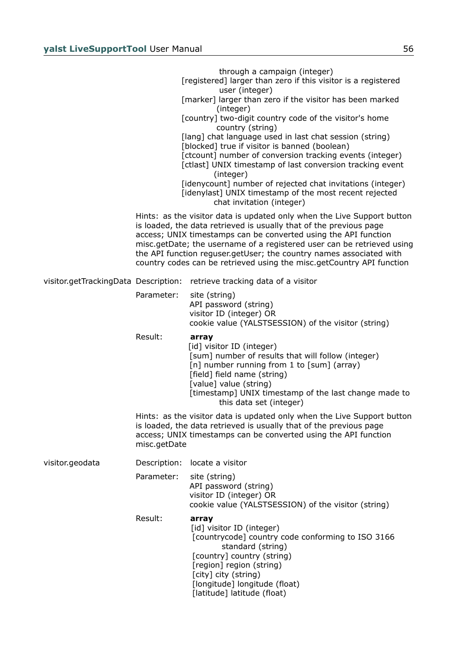|                 |              | through a campaign (integer)<br>[registered] larger than zero if this visitor is a registered<br>user (integer)<br>[marker] larger than zero if the visitor has been marked<br>(integer)<br>[country] two-digit country code of the visitor's home                                                                                                                                                                                         |
|-----------------|--------------|--------------------------------------------------------------------------------------------------------------------------------------------------------------------------------------------------------------------------------------------------------------------------------------------------------------------------------------------------------------------------------------------------------------------------------------------|
|                 |              | country (string)<br>[lang] chat language used in last chat session (string)<br>[blocked] true if visitor is banned (boolean)<br>[ctcount] number of conversion tracking events (integer)<br>[ctlast] UNIX timestamp of last conversion tracking event<br>(integer)<br>[idenycount] number of rejected chat invitations (integer)                                                                                                           |
|                 |              | [idenylast] UNIX timestamp of the most recent rejected<br>chat invitation (integer)                                                                                                                                                                                                                                                                                                                                                        |
|                 |              | Hints: as the visitor data is updated only when the Live Support button<br>is loaded, the data retrieved is usually that of the previous page<br>access; UNIX timestamps can be converted using the API function<br>misc.getDate; the username of a registered user can be retrieved using<br>the API function reguser.getUser; the country names associated with<br>country codes can be retrieved using the misc.getCountry API function |
|                 |              | visitor.getTrackingData Description: retrieve tracking data of a visitor                                                                                                                                                                                                                                                                                                                                                                   |
|                 | Parameter:   | site (string)<br>API password (string)<br>visitor ID (integer) OR<br>cookie value (YALSTSESSION) of the visitor (string)                                                                                                                                                                                                                                                                                                                   |
|                 | Result:      | array<br>[id] visitor ID (integer)<br>[sum] number of results that will follow (integer)<br>[n] number running from 1 to [sum] (array)<br>[field] field name (string)<br>[value] value (string)<br>[timestamp] UNIX timestamp of the last change made to<br>this data set (integer)                                                                                                                                                        |
|                 | misc.getDate | Hints: as the visitor data is updated only when the Live Support button<br>is loaded, the data retrieved is usually that of the previous page<br>access; UNIX timestamps can be converted using the API function                                                                                                                                                                                                                           |
| visitor.geodata | Description: | locate a visitor                                                                                                                                                                                                                                                                                                                                                                                                                           |
|                 | Parameter:   | site (string)<br>API password (string)<br>visitor ID (integer) OR<br>cookie value (YALSTSESSION) of the visitor (string)                                                                                                                                                                                                                                                                                                                   |
|                 | Result:      | array<br>[id] visitor ID (integer)<br>[countrycode] country code conforming to ISO 3166<br>standard (string)<br>[country] country (string)<br>[region] region (string)<br>[city] city (string)<br>[longitude] longitude (float)<br>[latitude] latitude (float)                                                                                                                                                                             |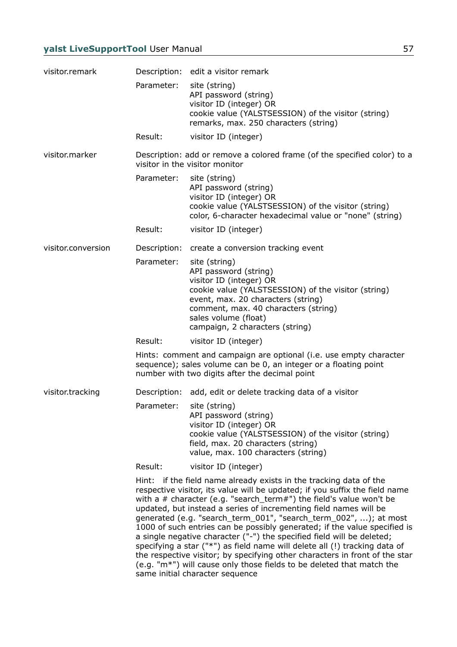| visitor.remark     |              | Description: edit a visitor remark                                                                                                                                                                                                                                                                                                                                                                                                                                                                                                                                                                                                                                                                                                                                                                  |
|--------------------|--------------|-----------------------------------------------------------------------------------------------------------------------------------------------------------------------------------------------------------------------------------------------------------------------------------------------------------------------------------------------------------------------------------------------------------------------------------------------------------------------------------------------------------------------------------------------------------------------------------------------------------------------------------------------------------------------------------------------------------------------------------------------------------------------------------------------------|
|                    | Parameter:   | site (string)<br>API password (string)<br>visitor ID (integer) OR<br>cookie value (YALSTSESSION) of the visitor (string)<br>remarks, max. 250 characters (string)                                                                                                                                                                                                                                                                                                                                                                                                                                                                                                                                                                                                                                   |
|                    | Result:      | visitor ID (integer)                                                                                                                                                                                                                                                                                                                                                                                                                                                                                                                                                                                                                                                                                                                                                                                |
| visitor.marker     |              | Description: add or remove a colored frame (of the specified color) to a<br>visitor in the visitor monitor                                                                                                                                                                                                                                                                                                                                                                                                                                                                                                                                                                                                                                                                                          |
|                    | Parameter:   | site (string)<br>API password (string)<br>visitor ID (integer) OR<br>cookie value (YALSTSESSION) of the visitor (string)<br>color, 6-character hexadecimal value or "none" (string)                                                                                                                                                                                                                                                                                                                                                                                                                                                                                                                                                                                                                 |
|                    | Result:      | visitor ID (integer)                                                                                                                                                                                                                                                                                                                                                                                                                                                                                                                                                                                                                                                                                                                                                                                |
| visitor.conversion | Description: | create a conversion tracking event                                                                                                                                                                                                                                                                                                                                                                                                                                                                                                                                                                                                                                                                                                                                                                  |
|                    | Parameter:   | site (string)<br>API password (string)<br>visitor ID (integer) OR<br>cookie value (YALSTSESSION) of the visitor (string)<br>event, max. 20 characters (string)<br>comment, max. 40 characters (string)<br>sales volume (float)<br>campaign, 2 characters (string)                                                                                                                                                                                                                                                                                                                                                                                                                                                                                                                                   |
|                    | Result:      | visitor ID (integer)                                                                                                                                                                                                                                                                                                                                                                                                                                                                                                                                                                                                                                                                                                                                                                                |
|                    |              | Hints: comment and campaign are optional (i.e. use empty character<br>sequence); sales volume can be 0, an integer or a floating point<br>number with two digits after the decimal point                                                                                                                                                                                                                                                                                                                                                                                                                                                                                                                                                                                                            |
| visitor.tracking   | Description: | add, edit or delete tracking data of a visitor                                                                                                                                                                                                                                                                                                                                                                                                                                                                                                                                                                                                                                                                                                                                                      |
|                    | Parameter:   | site (string)<br>API password (string)<br>visitor ID (integer) OR<br>cookie value (YALSTSESSION) of the visitor (string)<br>field, max. 20 characters (string)<br>value, max. 100 characters (string)                                                                                                                                                                                                                                                                                                                                                                                                                                                                                                                                                                                               |
|                    | Result:      | visitor ID (integer)                                                                                                                                                                                                                                                                                                                                                                                                                                                                                                                                                                                                                                                                                                                                                                                |
|                    |              | Hint: if the field name already exists in the tracking data of the<br>respective visitor, its value will be updated; if you suffix the field name<br>with a $#$ character (e.g. "search_term#") the field's value won't be<br>updated, but instead a series of incrementing field names will be<br>generated (e.g. "search_term_001", "search_term_002", ); at most<br>1000 of such entries can be possibly generated; if the value specified is<br>a single negative character ("-") the specified field will be deleted;<br>specifying a star ("*") as field name will delete all (!) tracking data of<br>the respective visitor; by specifying other characters in front of the star<br>(e.g. "m*") will cause only those fields to be deleted that match the<br>same initial character sequence |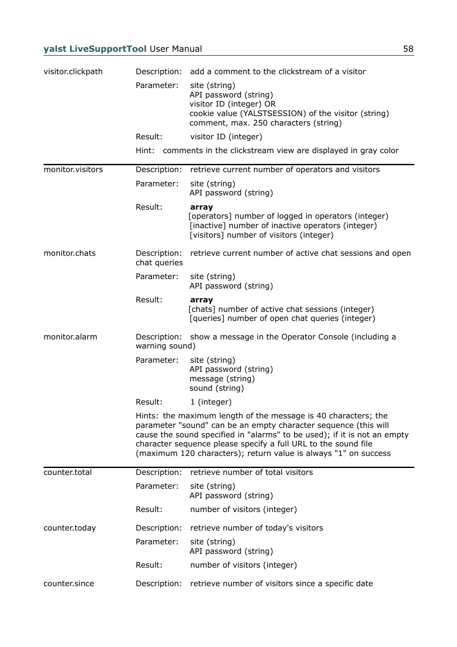| visitor.clickpath | Description:                   | add a comment to the clickstream of a visitor                                                                                                                                                                                                                                                                                                      |
|-------------------|--------------------------------|----------------------------------------------------------------------------------------------------------------------------------------------------------------------------------------------------------------------------------------------------------------------------------------------------------------------------------------------------|
|                   | Parameter:                     | site (string)<br>API password (string)<br>visitor ID (integer) OR<br>cookie value (YALSTSESSION) of the visitor (string)<br>comment, max. 250 characters (string)                                                                                                                                                                                  |
|                   | Result:                        | visitor ID (integer)                                                                                                                                                                                                                                                                                                                               |
|                   |                                | Hint: comments in the clickstream view are displayed in gray color                                                                                                                                                                                                                                                                                 |
| monitor.visitors  | Description:                   | retrieve current number of operators and visitors                                                                                                                                                                                                                                                                                                  |
|                   | Parameter:                     | site (string)<br>API password (string)                                                                                                                                                                                                                                                                                                             |
|                   | Result:                        | array<br>[operators] number of logged in operators (integer)<br>[inactive] number of inactive operators (integer)<br>[visitors] number of visitors (integer)                                                                                                                                                                                       |
| monitor.chats     | Description:<br>chat queries   | retrieve current number of active chat sessions and open                                                                                                                                                                                                                                                                                           |
|                   | Parameter:                     | site (string)<br>API password (string)                                                                                                                                                                                                                                                                                                             |
|                   | Result:                        | array<br>[chats] number of active chat sessions (integer)<br>[queries] number of open chat queries (integer)                                                                                                                                                                                                                                       |
| monitor.alarm     | Description:<br>warning sound) | show a message in the Operator Console (including a                                                                                                                                                                                                                                                                                                |
|                   | Parameter:                     | site (string)<br>API password (string)<br>message (string)<br>sound (string)                                                                                                                                                                                                                                                                       |
|                   | Result:                        | 1 (integer)                                                                                                                                                                                                                                                                                                                                        |
|                   |                                | Hints: the maximum length of the message is 40 characters; the<br>parameter "sound" can be an empty character sequence (this will<br>cause the sound specified in "alarms" to be used); if it is not an empty<br>character sequence please specify a full URL to the sound file<br>(maximum 120 characters); return value is always "1" on success |
| counter.total     | Description:                   | retrieve number of total visitors                                                                                                                                                                                                                                                                                                                  |
|                   | Parameter:                     | site (string)<br>API password (string)                                                                                                                                                                                                                                                                                                             |
|                   | Result:                        | number of visitors (integer)                                                                                                                                                                                                                                                                                                                       |
| counter.today     | Description:                   | retrieve number of today's visitors                                                                                                                                                                                                                                                                                                                |
|                   | Parameter:                     | site (string)<br>API password (string)                                                                                                                                                                                                                                                                                                             |
|                   | Result:                        | number of visitors (integer)                                                                                                                                                                                                                                                                                                                       |
| counter.since     | Description:                   | retrieve number of visitors since a specific date                                                                                                                                                                                                                                                                                                  |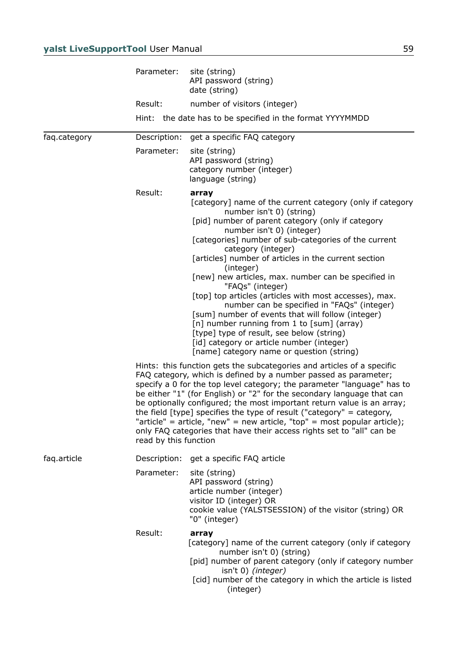|              | Parameter:            | site (string)<br>API password (string)<br>date (string)                                                                                                                                                                                                                                                                                                                                                                                                                                                                                                                                                                                                                                                                                                           |
|--------------|-----------------------|-------------------------------------------------------------------------------------------------------------------------------------------------------------------------------------------------------------------------------------------------------------------------------------------------------------------------------------------------------------------------------------------------------------------------------------------------------------------------------------------------------------------------------------------------------------------------------------------------------------------------------------------------------------------------------------------------------------------------------------------------------------------|
|              | Result:               | number of visitors (integer)                                                                                                                                                                                                                                                                                                                                                                                                                                                                                                                                                                                                                                                                                                                                      |
|              |                       | Hint: the date has to be specified in the format YYYYMMDD                                                                                                                                                                                                                                                                                                                                                                                                                                                                                                                                                                                                                                                                                                         |
| faq.category | Description:          | get a specific FAQ category                                                                                                                                                                                                                                                                                                                                                                                                                                                                                                                                                                                                                                                                                                                                       |
|              | Parameter:            | site (string)<br>API password (string)<br>category number (integer)<br>language (string)                                                                                                                                                                                                                                                                                                                                                                                                                                                                                                                                                                                                                                                                          |
|              | Result:               | array<br>[category] name of the current category (only if category<br>number isn't 0) (string)<br>[pid] number of parent category (only if category<br>number isn't 0) (integer)<br>[categories] number of sub-categories of the current<br>category (integer)<br>[articles] number of articles in the current section<br>(integer)<br>[new] new articles, max. number can be specified in<br>"FAQs" (integer)<br>[top] top articles (articles with most accesses), max.<br>number can be specified in "FAQs" (integer)<br>[sum] number of events that will follow (integer)<br>[n] number running from 1 to [sum] (array)<br>[type] type of result, see below (string)<br>[id] category or article number (integer)<br>[name] category name or question (string) |
|              | read by this function | Hints: this function gets the subcategories and articles of a specific<br>FAQ category, which is defined by a number passed as parameter;<br>specify a 0 for the top level category; the parameter "language" has to<br>be either "1" (for English) or "2" for the secondary language that can<br>be optionally configured; the most important return value is an array;<br>the field [type] specifies the type of result ("category" = category,<br>"article" = article, "new" = new article, "top" = most popular article);<br>only FAQ categories that have their access rights set to "all" can be                                                                                                                                                            |
| faq.article  | Description:          | get a specific FAQ article                                                                                                                                                                                                                                                                                                                                                                                                                                                                                                                                                                                                                                                                                                                                        |
|              | Parameter:            | site (string)<br>API password (string)<br>article number (integer)<br>visitor ID (integer) OR<br>cookie value (YALSTSESSION) of the visitor (string) OR<br>"0" (integer)                                                                                                                                                                                                                                                                                                                                                                                                                                                                                                                                                                                          |
|              | Result:               | array<br>[category] name of the current category (only if category<br>number isn't 0) (string)<br>[pid] number of parent category (only if category number<br>isn't 0) (integer)<br>[cid] number of the category in which the article is listed<br>(integer)                                                                                                                                                                                                                                                                                                                                                                                                                                                                                                      |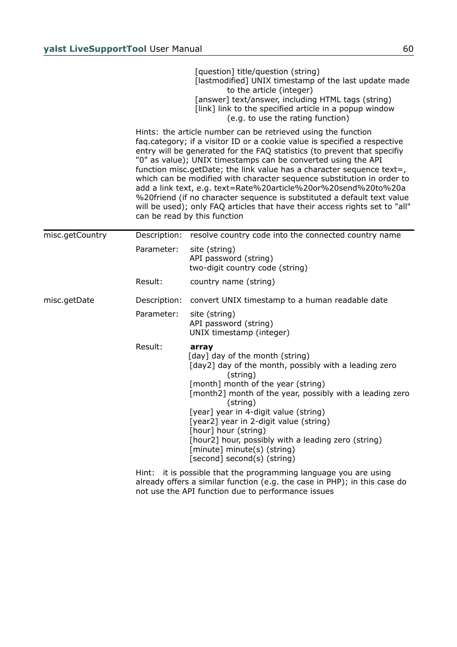|                 |              | [question] title/question (string)<br>[lastmodified] UNIX timestamp of the last update made<br>to the article (integer)<br>[answer] text/answer, including HTML tags (string)<br>[link] link to the specified article in a popup window<br>(e.g. to use the rating function)                                                                                                                                                                                                                                                                                                                                                                                                                           |
|-----------------|--------------|--------------------------------------------------------------------------------------------------------------------------------------------------------------------------------------------------------------------------------------------------------------------------------------------------------------------------------------------------------------------------------------------------------------------------------------------------------------------------------------------------------------------------------------------------------------------------------------------------------------------------------------------------------------------------------------------------------|
|                 |              | Hints: the article number can be retrieved using the function<br>faq.category; if a visitor ID or a cookie value is specified a respective<br>entry will be generated for the FAQ statistics (to prevent that specifiy<br>"0" as value); UNIX timestamps can be converted using the API<br>function misc.getDate; the link value has a character sequence text=,<br>which can be modified with character sequence substitution in order to<br>add a link text, e.g. text=Rate%20article%20or%20send%20to%20a<br>%20friend (if no character sequence is substituted a default text value<br>will be used); only FAQ articles that have their access rights set to "all"<br>can be read by this function |
| misc.getCountry | Description: | resolve country code into the connected country name                                                                                                                                                                                                                                                                                                                                                                                                                                                                                                                                                                                                                                                   |
|                 | Parameter:   | site (string)<br>API password (string)<br>two-digit country code (string)                                                                                                                                                                                                                                                                                                                                                                                                                                                                                                                                                                                                                              |
|                 | Result:      | country name (string)                                                                                                                                                                                                                                                                                                                                                                                                                                                                                                                                                                                                                                                                                  |
| misc.getDate    | Description: | convert UNIX timestamp to a human readable date                                                                                                                                                                                                                                                                                                                                                                                                                                                                                                                                                                                                                                                        |
|                 | Parameter:   | site (string)<br>API password (string)<br>UNIX timestamp (integer)                                                                                                                                                                                                                                                                                                                                                                                                                                                                                                                                                                                                                                     |
|                 | Result:      | array<br>[day] day of the month (string)<br>[day2] day of the month, possibly with a leading zero<br>(string)<br>[month] month of the year (string)<br>[month2] month of the year, possibly with a leading zero<br>(string)<br>[year] year in 4-digit value (string)<br>[year2] year in 2-digit value (string)<br>[hour] hour (string)                                                                                                                                                                                                                                                                                                                                                                 |
|                 |              | [hour2] hour, possibly with a leading zero (string)<br>[minute] minute(s) (string)<br>[second] second(s) (string)                                                                                                                                                                                                                                                                                                                                                                                                                                                                                                                                                                                      |
|                 |              | Hint: it is nossible that the programming language you are using                                                                                                                                                                                                                                                                                                                                                                                                                                                                                                                                                                                                                                       |

Hint: it is possible that the programming language you are using already offers a similar function (e.g. the case in PHP); in this case do not use the API function due to performance issues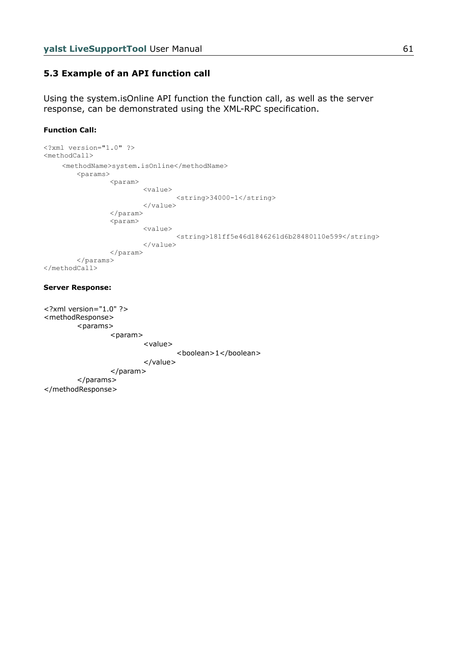# **5.3 Example of an API function call**

Using the system.isOnline API function the function call, as well as the server response, can be demonstrated using the XML-RPC specification.

### **Function Call:**

```
<?xml version="1.0" ?>
<methodCall>
     <methodName>system.isOnline</methodName>
         <params>
                 <param>
                          <value>
                                   <string>34000-1</string>
                          </value>
                  </param>
                  <param>
                          <value>
                                   <string>181ff5e46d1846261d6b28480110e599</string>
                          </value>
                  </param>
         </params>
</methodCall>
```
#### **Server Response:**

```
<?xml version="1.0" ?>
<methodResponse>
        <params><param>
                          <value>
                                  <boolean>1</boolean>
                          </value>
                 </param>
         </params>
</methodResponse>
```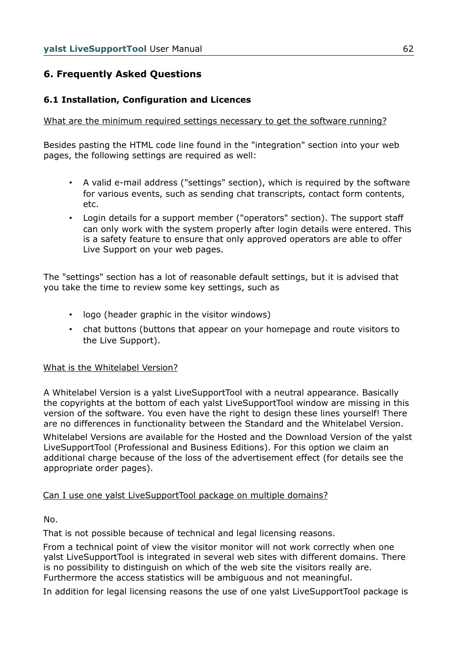# **6. Frequently Asked Questions**

# **6.1 Installation, Configuration and Licences**

## What are the minimum required settings necessary to get the software running?

Besides pasting the HTML code line found in the "integration" section into your web pages, the following settings are required as well:

- A valid e-mail address ("settings" section), which is required by the software for various events, such as sending chat transcripts, contact form contents, etc.
- Login details for a support member ("operators" section). The support staff can only work with the system properly after login details were entered. This is a safety feature to ensure that only approved operators are able to offer Live Support on your web pages.

The "settings" section has a lot of reasonable default settings, but it is advised that you take the time to review some key settings, such as

- logo (header graphic in the visitor windows)
- chat buttons (buttons that appear on your homepage and route visitors to the Live Support).

### What is the Whitelabel Version?

A Whitelabel Version is a yalst LiveSupportTool with a neutral appearance. Basically the copyrights at the bottom of each yalst LiveSupportTool window are missing in this version of the software. You even have the right to design these lines yourself! There are no differences in functionality between the Standard and the Whitelabel Version.

Whitelabel Versions are available for the Hosted and the Download Version of the yalst LiveSupportTool (Professional and Business Editions). For this option we claim an additional charge because of the loss of the advertisement effect (for details see the appropriate order pages).

# Can I use one yalst LiveSupportTool package on multiple domains?

No.

That is not possible because of technical and legal licensing reasons.

From a technical point of view the visitor monitor will not work correctly when one yalst LiveSupportTool is integrated in several web sites with different domains. There is no possibility to distinguish on which of the web site the visitors really are. Furthermore the access statistics will be ambiguous and not meaningful.

In addition for legal licensing reasons the use of one yalst LiveSupportTool package is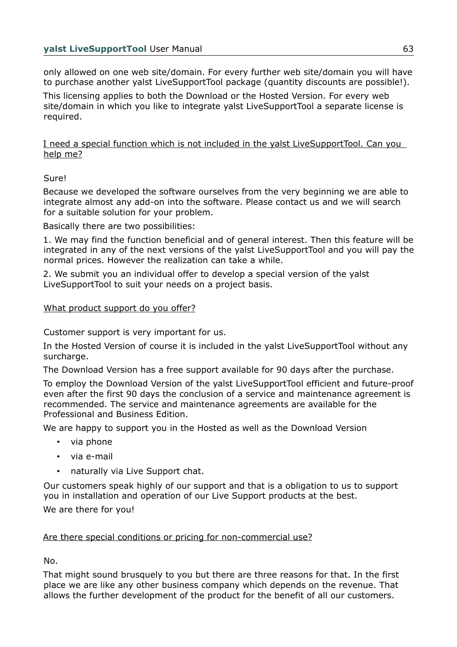only allowed on one web site/domain. For every further web site/domain you will have to purchase another yalst LiveSupportTool package (quantity discounts are possible!).

This licensing applies to both the Download or the Hosted Version. For every web site/domain in which you like to integrate yalst LiveSupportTool a separate license is required.

I need a special function which is not included in the yalst LiveSupportTool. Can you help me?

Sure!

Because we developed the software ourselves from the very beginning we are able to integrate almost any add-on into the software. Please contact us and we will search for a suitable solution for your problem.

Basically there are two possibilities:

1. We may find the function beneficial and of general interest. Then this feature will be integrated in any of the next versions of the yalst LiveSupportTool and you will pay the normal prices. However the realization can take a while.

2. We submit you an individual offer to develop a special version of the yalst LiveSupportTool to suit your needs on a project basis.

# What product support do you offer?

Customer support is very important for us.

In the Hosted Version of course it is included in the yalst LiveSupportTool without any surcharge.

The Download Version has a free support available for 90 days after the purchase.

To employ the Download Version of the yalst LiveSupportTool efficient and future-proof even after the first 90 days the conclusion of a service and maintenance agreement is recommended. The service and maintenance agreements are available for the Professional and Business Edition.

We are happy to support you in the Hosted as well as the Download Version

- via phone
- via e-mail
- naturally via Live Support chat.

Our customers speak highly of our support and that is a obligation to us to support you in installation and operation of our Live Support products at the best.

We are there for you!

### Are there special conditions or pricing for non-commercial use?

No.

That might sound brusquely to you but there are three reasons for that. In the first place we are like any other business company which depends on the revenue. That allows the further development of the product for the benefit of all our customers.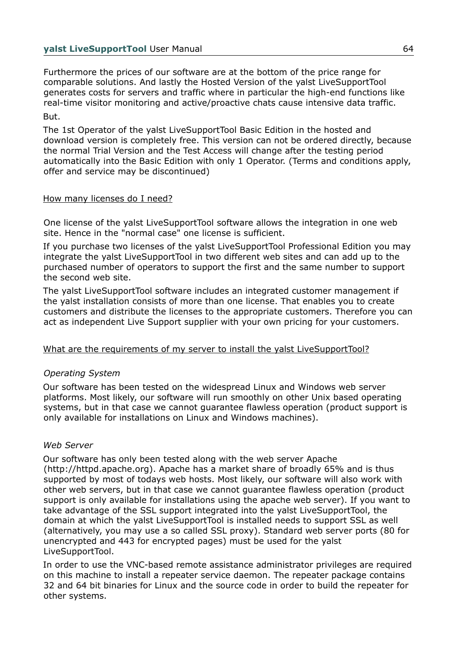Furthermore the prices of our software are at the bottom of the price range for comparable solutions. And lastly the Hosted Version of the yalst LiveSupportTool generates costs for servers and traffic where in particular the high-end functions like real-time visitor monitoring and active/proactive chats cause intensive data traffic. But.

The 1st Operator of the yalst LiveSupportTool Basic Edition in the hosted and download version is completely free. This version can not be ordered directly, because the normal Trial Version and the Test Access will change after the testing period automatically into the Basic Edition with only 1 Operator. (Terms and conditions apply, offer and service may be discontinued)

# How many licenses do I need?

One license of the yalst LiveSupportTool software allows the integration in one web site. Hence in the "normal case" one license is sufficient.

If you purchase two licenses of the yalst LiveSupportTool Professional Edition you may integrate the yalst LiveSupportTool in two different web sites and can add up to the purchased number of operators to support the first and the same number to support the second web site.

The yalst LiveSupportTool software includes an integrated customer management if the yalst installation consists of more than one license. That enables you to create customers and distribute the licenses to the appropriate customers. Therefore you can act as independent Live Support supplier with your own pricing for your customers.

# What are the requirements of my server to install the yalst LiveSupportTool?

# *Operating System*

Our software has been tested on the widespread Linux and Windows web server platforms. Most likely, our software will run smoothly on other Unix based operating systems, but in that case we cannot guarantee flawless operation (product support is only available for installations on Linux and Windows machines).

# *Web Server*

Our software has only been tested along with the web server Apache (http://httpd.apache.org). Apache has a market share of broadly 65% and is thus supported by most of todays web hosts. Most likely, our software will also work with other web servers, but in that case we cannot guarantee flawless operation (product support is only available for installations using the apache web server). If you want to take advantage of the SSL support integrated into the yalst LiveSupportTool, the domain at which the yalst LiveSupportTool is installed needs to support SSL as well (alternatively, you may use a so called SSL proxy). Standard web server ports (80 for unencrypted and 443 for encrypted pages) must be used for the yalst LiveSupportTool.

In order to use the VNC-based remote assistance administrator privileges are required on this machine to install a repeater service daemon. The repeater package contains 32 and 64 bit binaries for Linux and the source code in order to build the repeater for other systems.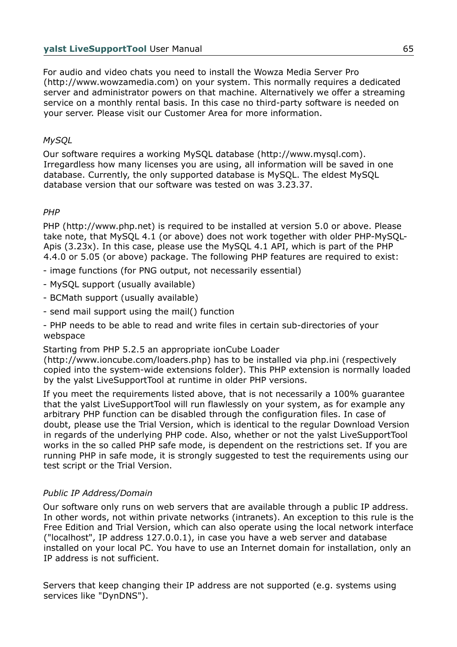For audio and video chats you need to install the Wowza Media Server Pro (http://www.wowzamedia.com) on your system. This normally requires a dedicated server and administrator powers on that machine. Alternatively we offer a streaming service on a monthly rental basis. In this case no third-party software is needed on your server. Please visit our Customer Area for more information.

# *MySQL*

Our software requires a working MySQL database (http://www.mysql.com). Irregardless how many licenses you are using, all information will be saved in one database. Currently, the only supported database is MySQL. The eldest MySQL database version that our software was tested on was 3.23.37.

# *PHP*

PHP (http://www.php.net) is required to be installed at version 5.0 or above. Please take note, that MySQL 4.1 (or above) does not work together with older PHP-MySQL-Apis (3.23x). In this case, please use the MySQL 4.1 API, which is part of the PHP 4.4.0 or 5.05 (or above) package. The following PHP features are required to exist:

- image functions (for PNG output, not necessarily essential)
- MySQL support (usually available)
- BCMath support (usually available)
- send mail support using the mail() function

- PHP needs to be able to read and write files in certain sub-directories of your webspace

Starting from PHP 5.2.5 an appropriate ionCube Loader

(http://www.ioncube.com/loaders.php) has to be installed via php.ini (respectively copied into the system-wide extensions folder). This PHP extension is normally loaded by the yalst LiveSupportTool at runtime in older PHP versions.

If you meet the requirements listed above, that is not necessarily a 100% guarantee that the yalst LiveSupportTool will run flawlessly on your system, as for example any arbitrary PHP function can be disabled through the configuration files. In case of doubt, please use the Trial Version, which is identical to the regular Download Version in regards of the underlying PHP code. Also, whether or not the yalst LiveSupportTool works in the so called PHP safe mode, is dependent on the restrictions set. If you are running PHP in safe mode, it is strongly suggested to test the requirements using our test script or the Trial Version.

# *Public IP Address/Domain*

Our software only runs on web servers that are available through a public IP address. In other words, not within private networks (intranets). An exception to this rule is the Free Edition and Trial Version, which can also operate using the local network interface ("localhost", IP address 127.0.0.1), in case you have a web server and database installed on your local PC. You have to use an Internet domain for installation, only an IP address is not sufficient.

Servers that keep changing their IP address are not supported (e.g. systems using services like "DynDNS").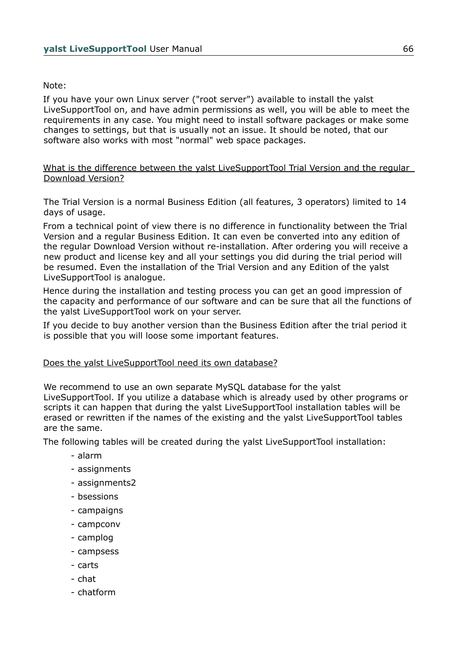# Note:

If you have your own Linux server ("root server") available to install the yalst LiveSupportTool on, and have admin permissions as well, you will be able to meet the requirements in any case. You might need to install software packages or make some changes to settings, but that is usually not an issue. It should be noted, that our software also works with most "normal" web space packages.

### What is the difference between the yalst LiveSupportTool Trial Version and the regular Download Version?

The Trial Version is a normal Business Edition (all features, 3 operators) limited to 14 days of usage.

From a technical point of view there is no difference in functionality between the Trial Version and a regular Business Edition. It can even be converted into any edition of the regular Download Version without re-installation. After ordering you will receive a new product and license key and all your settings you did during the trial period will be resumed. Even the installation of the Trial Version and any Edition of the yalst LiveSupportTool is analogue.

Hence during the installation and testing process you can get an good impression of the capacity and performance of our software and can be sure that all the functions of the yalst LiveSupportTool work on your server.

If you decide to buy another version than the Business Edition after the trial period it is possible that you will loose some important features.

### Does the yalst LiveSupportTool need its own database?

We recommend to use an own separate MySQL database for the yalst LiveSupportTool. If you utilize a database which is already used by other programs or scripts it can happen that during the yalst LiveSupportTool installation tables will be erased or rewritten if the names of the existing and the yalst LiveSupportTool tables are the same.

The following tables will be created during the yalst LiveSupportTool installation:

- alarm
- assignments
- assignments2
- bsessions
- campaigns
- campconv
- camplog
- campsess
- carts
- chat
- chatform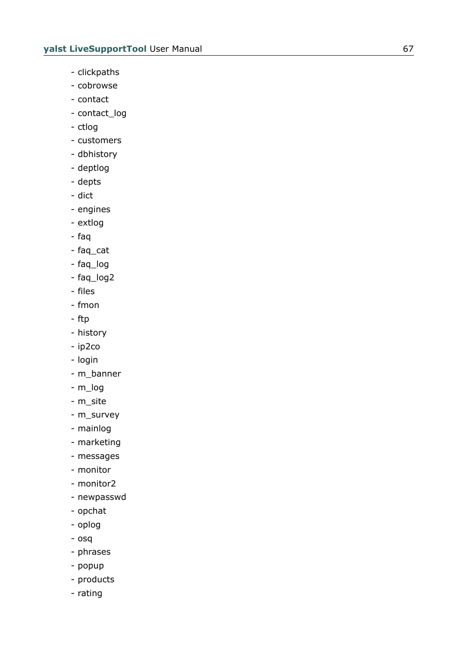- clickpaths
- cobrowse
- contact
- contact\_log
- ctlog
- customers
- dbhistory
- deptlog
- depts
- dict
- engines
- extlog
- faq
- faq\_cat
- faq\_log
- faq\_log2
- files
- fmon
- ftp
- history
- ip2co
- login
- m\_banner
- m\_log
- m\_site
- m\_survey
- mainlog
- marketing
- messages
- monitor
- monitor2
- newpasswd
- opchat
- oplog
- osq
- phrases
- popup
- products
- rating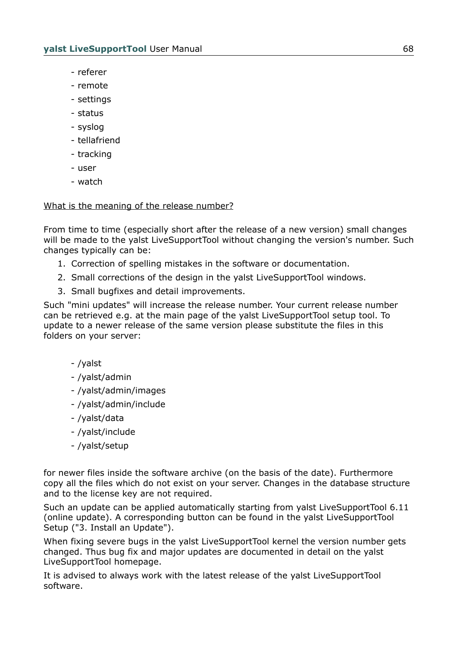- referer
- remote
- settings
- status
- syslog
- tellafriend
- tracking
- user
- watch

# What is the meaning of the release number?

From time to time (especially short after the release of a new version) small changes will be made to the yalst LiveSupportTool without changing the version's number. Such changes typically can be:

- 1. Correction of spelling mistakes in the software or documentation.
- 2. Small corrections of the design in the yalst LiveSupportTool windows.
- 3. Small bugfixes and detail improvements.

Such "mini updates" will increase the release number. Your current release number can be retrieved e.g. at the main page of the yalst LiveSupportTool setup tool. To update to a newer release of the same version please substitute the files in this folders on your server:

- /yalst
- /yalst/admin
- /yalst/admin/images
- /yalst/admin/include
- /yalst/data
- /yalst/include
- /yalst/setup

for newer files inside the software archive (on the basis of the date). Furthermore copy all the files which do not exist on your server. Changes in the database structure and to the license key are not required.

Such an update can be applied automatically starting from yalst LiveSupportTool 6.11 (online update). A corresponding button can be found in the yalst LiveSupportTool Setup ("3. Install an Update").

When fixing severe bugs in the yalst LiveSupportTool kernel the version number gets changed. Thus bug fix and major updates are documented in detail on the yalst LiveSupportTool homepage.

It is advised to always work with the latest release of the yalst LiveSupportTool software.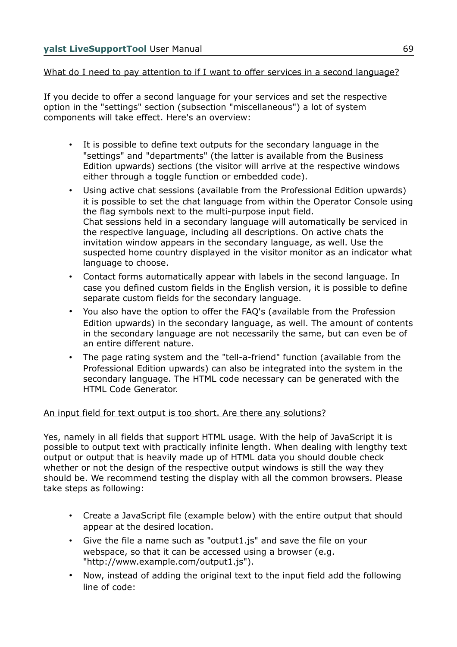# What do I need to pay attention to if I want to offer services in a second language?

If you decide to offer a second language for your services and set the respective option in the "settings" section (subsection "miscellaneous") a lot of system components will take effect. Here's an overview:

- It is possible to define text outputs for the secondary language in the "settings" and "departments" (the latter is available from the Business Edition upwards) sections (the visitor will arrive at the respective windows either through a toggle function or embedded code).
- Using active chat sessions (available from the Professional Edition upwards) it is possible to set the chat language from within the Operator Console using the flag symbols next to the multi-purpose input field. Chat sessions held in a secondary language will automatically be serviced in the respective language, including all descriptions. On active chats the invitation window appears in the secondary language, as well. Use the suspected home country displayed in the visitor monitor as an indicator what language to choose.
- Contact forms automatically appear with labels in the second language. In case you defined custom fields in the English version, it is possible to define separate custom fields for the secondary language.
- You also have the option to offer the FAQ's (available from the Profession Edition upwards) in the secondary language, as well. The amount of contents in the secondary language are not necessarily the same, but can even be of an entire different nature.
- The page rating system and the "tell-a-friend" function (available from the Professional Edition upwards) can also be integrated into the system in the secondary language. The HTML code necessary can be generated with the HTML Code Generator.

# An input field for text output is too short. Are there any solutions?

Yes, namely in all fields that support HTML usage. With the help of JavaScript it is possible to output text with practically infinite length. When dealing with lengthy text output or output that is heavily made up of HTML data you should double check whether or not the design of the respective output windows is still the way they should be. We recommend testing the display with all the common browsers. Please take steps as following:

- Create a JavaScript file (example below) with the entire output that should appear at the desired location.
- Give the file a name such as "output1.js" and save the file on your webspace, so that it can be accessed using a browser (e.g. "http://www.example.com/output1.js").
- Now, instead of adding the original text to the input field add the following line of code: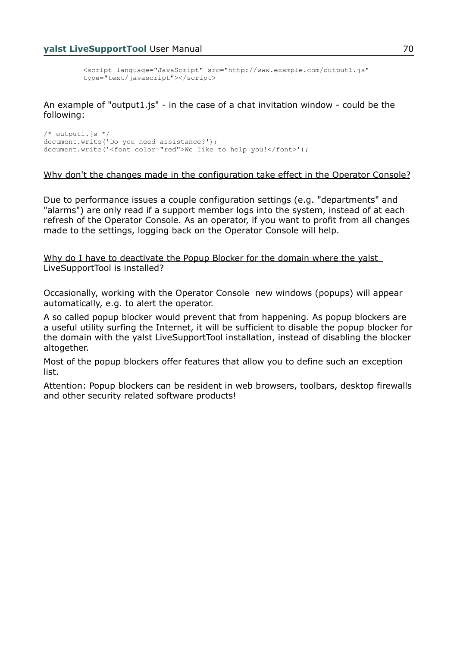```
<script language="JavaScript" src="http://www.example.com/output1.js" 
type="text/javascript"></script>
```
An example of "output1.js" - in the case of a chat invitation window - could be the following:

 $/*$  outputl.js  $*/$ document.write('Do you need assistance?'); document.write('<font color="red">We like to help you!</font>');

### Why don't the changes made in the configuration take effect in the Operator Console?

Due to performance issues a couple configuration settings (e.g. "departments" and "alarms") are only read if a support member logs into the system, instead of at each refresh of the Operator Console. As an operator, if you want to profit from all changes made to the settings, logging back on the Operator Console will help.

Why do I have to deactivate the Popup Blocker for the domain where the yalst LiveSupportTool is installed?

Occasionally, working with the Operator Console new windows (popups) will appear automatically, e.g. to alert the operator.

A so called popup blocker would prevent that from happening. As popup blockers are a useful utility surfing the Internet, it will be sufficient to disable the popup blocker for the domain with the yalst LiveSupportTool installation, instead of disabling the blocker altogether.

Most of the popup blockers offer features that allow you to define such an exception list.

Attention: Popup blockers can be resident in web browsers, toolbars, desktop firewalls and other security related software products!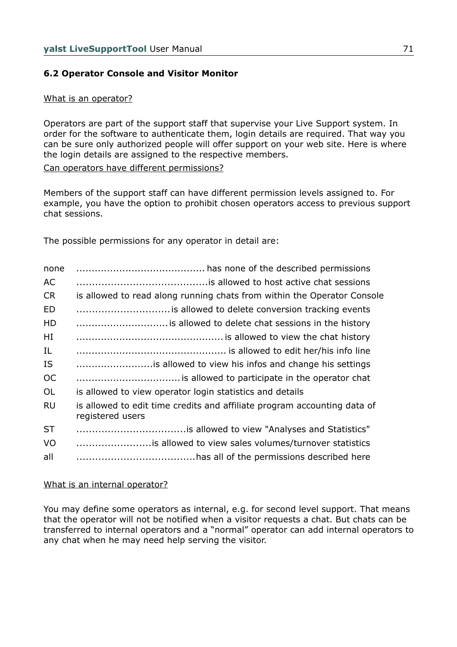# **6.2 Operator Console and Visitor Monitor**

### What is an operator?

Operators are part of the support staff that supervise your Live Support system. In order for the software to authenticate them, login details are required. That way you can be sure only authorized people will offer support on your web site. Here is where the login details are assigned to the respective members.

Can operators have different permissions?

Members of the support staff can have different permission levels assigned to. For example, you have the option to prohibit chosen operators access to previous support chat sessions.

The possible permissions for any operator in detail are:

| none      |                                                                                              |
|-----------|----------------------------------------------------------------------------------------------|
| AC        |                                                                                              |
| <b>CR</b> | is allowed to read along running chats from within the Operator Console                      |
| <b>ED</b> |                                                                                              |
| HD        |                                                                                              |
| HI        |                                                                                              |
| IL        |                                                                                              |
| <b>IS</b> | is allowed to view his infos and change his settings                                         |
| <b>OC</b> |                                                                                              |
| <b>OL</b> | is allowed to view operator login statistics and details                                     |
| <b>RU</b> | is allowed to edit time credits and affiliate program accounting data of<br>registered users |
| <b>ST</b> |                                                                                              |
| VO        |                                                                                              |
| all       |                                                                                              |

### What is an internal operator?

You may define some operators as internal, e.g. for second level support. That means that the operator will not be notified when a visitor requests a chat. But chats can be transferred to internal operators and a "normal" operator can add internal operators to any chat when he may need help serving the visitor.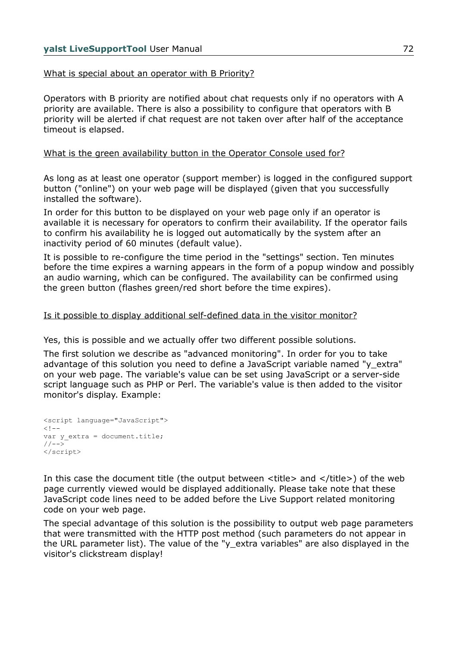# What is special about an operator with B Priority?

Operators with B priority are notified about chat requests only if no operators with A priority are available. There is also a possibility to configure that operators with B priority will be alerted if chat request are not taken over after half of the acceptance timeout is elapsed.

## What is the green availability button in the Operator Console used for?

As long as at least one operator (support member) is logged in the configured support button ("online") on your web page will be displayed (given that you successfully installed the software).

In order for this button to be displayed on your web page only if an operator is available it is necessary for operators to confirm their availability. If the operator fails to confirm his availability he is logged out automatically by the system after an inactivity period of 60 minutes (default value).

It is possible to re-configure the time period in the "settings" section. Ten minutes before the time expires a warning appears in the form of a popup window and possibly an audio warning, which can be configured. The availability can be confirmed using the green button (flashes green/red short before the time expires).

## Is it possible to display additional self-defined data in the visitor monitor?

Yes, this is possible and we actually offer two different possible solutions.

The first solution we describe as "advanced monitoring". In order for you to take advantage of this solution you need to define a JavaScript variable named "y\_extra" on your web page. The variable's value can be set using JavaScript or a server-side script language such as PHP or Perl. The variable's value is then added to the visitor monitor's display. Example:

```
<script language="JavaScript">
< 1 - -var y_extra = document.title;
//-->
</script>
```
In this case the document title (the output between  $\lt$ title $\gt$  and  $\lt$ /title $\gt$ ) of the web page currently viewed would be displayed additionally. Please take note that these JavaScript code lines need to be added before the Live Support related monitoring code on your web page.

The special advantage of this solution is the possibility to output web page parameters that were transmitted with the HTTP post method (such parameters do not appear in the URL parameter list). The value of the "y\_extra variables" are also displayed in the visitor's clickstream display!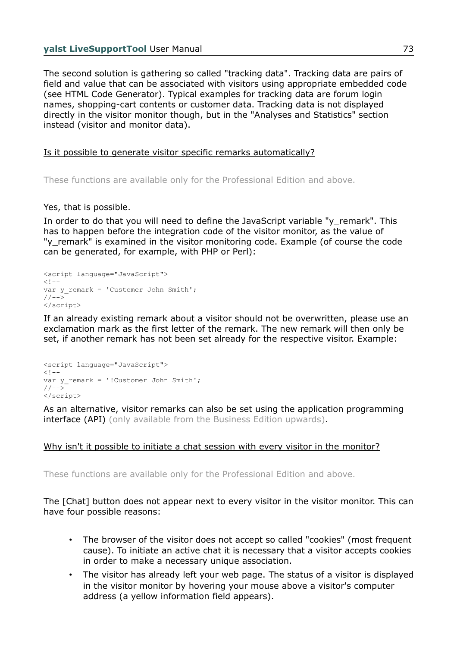The second solution is gathering so called "tracking data". Tracking data are pairs of field and value that can be associated with visitors using appropriate embedded code (see HTML Code Generator). Typical examples for tracking data are forum login names, shopping-cart contents or customer data. Tracking data is not displayed directly in the visitor monitor though, but in the "Analyses and Statistics" section instead (visitor and monitor data).

## Is it possible to generate visitor specific remarks automatically?

These functions are available only for the Professional Edition and above.

### Yes, that is possible.

In order to do that you will need to define the JavaScript variable "y\_remark". This has to happen before the integration code of the visitor monitor, as the value of "y remark" is examined in the visitor monitoring code. Example (of course the code can be generated, for example, with PHP or Perl):

```
<script language="JavaScript">
\lt!! -var y_remark = 'Customer John Smith';
//--</script>
```
If an already existing remark about a visitor should not be overwritten, please use an exclamation mark as the first letter of the remark. The new remark will then only be set, if another remark has not been set already for the respective visitor. Example:

```
<script language="JavaScript">
<! --var y_remark = '!Customer John Smith';
// --</script>
```
As an alternative, visitor remarks can also be set using the application programming interface (API) (only available from the Business Edition upwards).

### Why isn't it possible to initiate a chat session with every visitor in the monitor?

These functions are available only for the Professional Edition and above.

The [Chat] button does not appear next to every visitor in the visitor monitor. This can have four possible reasons:

- The browser of the visitor does not accept so called "cookies" (most frequent cause). To initiate an active chat it is necessary that a visitor accepts cookies in order to make a necessary unique association.
- The visitor has already left your web page. The status of a visitor is displayed in the visitor monitor by hovering your mouse above a visitor's computer address (a yellow information field appears).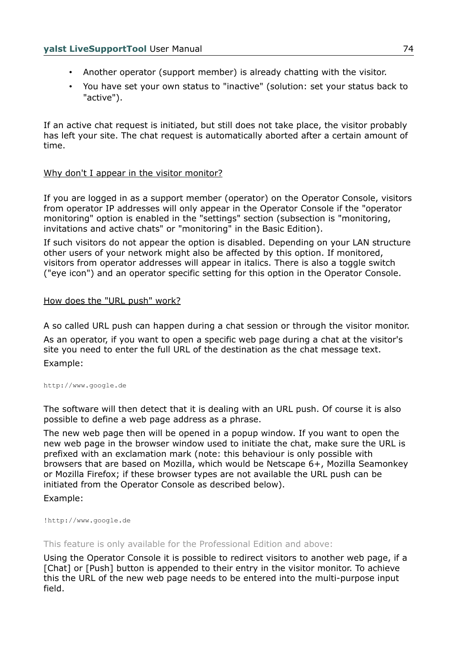- Another operator (support member) is already chatting with the visitor.
- You have set your own status to "inactive" (solution: set your status back to "active").

If an active chat request is initiated, but still does not take place, the visitor probably has left your site. The chat request is automatically aborted after a certain amount of time.

## Why don't I appear in the visitor monitor?

If you are logged in as a support member (operator) on the Operator Console, visitors from operator IP addresses will only appear in the Operator Console if the "operator monitoring" option is enabled in the "settings" section (subsection is "monitoring, invitations and active chats" or "monitoring" in the Basic Edition).

If such visitors do not appear the option is disabled. Depending on your LAN structure other users of your network might also be affected by this option. If monitored, visitors from operator addresses will appear in italics. There is also a toggle switch ("eye icon") and an operator specific setting for this option in the Operator Console.

## How does the "URL push" work?

A so called URL push can happen during a chat session or through the visitor monitor. As an operator, if you want to open a specific web page during a chat at the visitor's site you need to enter the full URL of the destination as the chat message text. Example:

[http://www.google.de](http://www.google.de/)

The software will then detect that it is dealing with an URL push. Of course it is also possible to define a web page address as a phrase.

The new web page then will be opened in a popup window. If you want to open the new web page in the browser window used to initiate the chat, make sure the URL is prefixed with an exclamation mark (note: this behaviour is only possible with browsers that are based on Mozilla, which would be Netscape 6+, Mozilla Seamonkey or Mozilla Firefox; if these browser types are not available the URL push can be initiated from the Operator Console as described below).

Example:

!http://www.google.de

This feature is only available for the Professional Edition and above:

Using the Operator Console it is possible to redirect visitors to another web page, if a [Chat] or [Push] button is appended to their entry in the visitor monitor. To achieve this the URL of the new web page needs to be entered into the multi-purpose input field.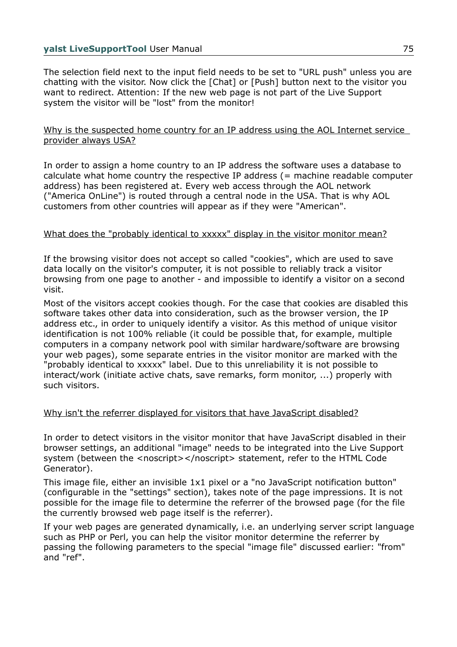The selection field next to the input field needs to be set to "URL push" unless you are chatting with the visitor. Now click the [Chat] or [Push] button next to the visitor you want to redirect. Attention: If the new web page is not part of the Live Support system the visitor will be "lost" from the monitor!

## Why is the suspected home country for an IP address using the AOL Internet service provider always USA?

In order to assign a home country to an IP address the software uses a database to calculate what home country the respective IP address (= machine readable computer address) has been registered at. Every web access through the AOL network ("America OnLine") is routed through a central node in the USA. That is why AOL customers from other countries will appear as if they were "American".

## What does the "probably identical to xxxxx" display in the visitor monitor mean?

If the browsing visitor does not accept so called "cookies", which are used to save data locally on the visitor's computer, it is not possible to reliably track a visitor browsing from one page to another - and impossible to identify a visitor on a second visit.

Most of the visitors accept cookies though. For the case that cookies are disabled this software takes other data into consideration, such as the browser version, the IP address etc., in order to uniquely identify a visitor. As this method of unique visitor identification is not 100% reliable (it could be possible that, for example, multiple computers in a company network pool with similar hardware/software are browsing your web pages), some separate entries in the visitor monitor are marked with the "probably identical to xxxxx" label. Due to this unreliability it is not possible to interact/work (initiate active chats, save remarks, form monitor, ...) properly with such visitors.

## Why isn't the referrer displayed for visitors that have JavaScript disabled?

In order to detect visitors in the visitor monitor that have JavaScript disabled in their browser settings, an additional "image" needs to be integrated into the Live Support system (between the <noscript></noscript> statement, refer to the HTML Code Generator).

This image file, either an invisible 1x1 pixel or a "no JavaScript notification button" (configurable in the "settings" section), takes note of the page impressions. It is not possible for the image file to determine the referrer of the browsed page (for the file the currently browsed web page itself is the referrer).

If your web pages are generated dynamically, i.e. an underlying server script language such as PHP or Perl, you can help the visitor monitor determine the referrer by passing the following parameters to the special "image file" discussed earlier: "from" and "ref".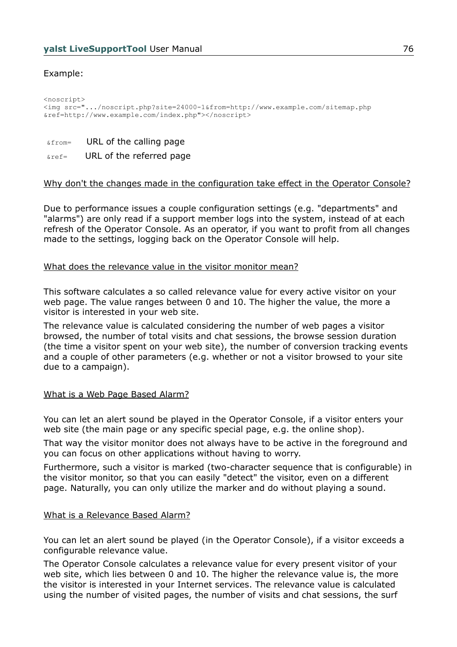# Example:

<noscript> <img src=".../noscript.php?site=24000-1&from=http://www.example.com/sitemap.php &ref=http://www.example.com/index.php"></noscript>

&from= URL of the calling page

 $\kappa_{\text{ref}}$  URL of the referred page

## Why don't the changes made in the configuration take effect in the Operator Console?

Due to performance issues a couple configuration settings (e.g. "departments" and "alarms") are only read if a support member logs into the system, instead of at each refresh of the Operator Console. As an operator, if you want to profit from all changes made to the settings, logging back on the Operator Console will help.

#### What does the relevance value in the visitor monitor mean?

This software calculates a so called relevance value for every active visitor on your web page. The value ranges between 0 and 10. The higher the value, the more a visitor is interested in your web site.

The relevance value is calculated considering the number of web pages a visitor browsed, the number of total visits and chat sessions, the browse session duration (the time a visitor spent on your web site), the number of conversion tracking events and a couple of other parameters (e.g. whether or not a visitor browsed to your site due to a campaign).

### What is a Web Page Based Alarm?

You can let an alert sound be played in the Operator Console, if a visitor enters your web site (the main page or any specific special page, e.g. the online shop).

That way the visitor monitor does not always have to be active in the foreground and you can focus on other applications without having to worry.

Furthermore, such a visitor is marked (two-character sequence that is configurable) in the visitor monitor, so that you can easily "detect" the visitor, even on a different page. Naturally, you can only utilize the marker and do without playing a sound.

### What is a Relevance Based Alarm?

You can let an alert sound be played (in the Operator Console), if a visitor exceeds a configurable relevance value.

The Operator Console calculates a relevance value for every present visitor of your web site, which lies between 0 and 10. The higher the relevance value is, the more the visitor is interested in your Internet services. The relevance value is calculated using the number of visited pages, the number of visits and chat sessions, the surf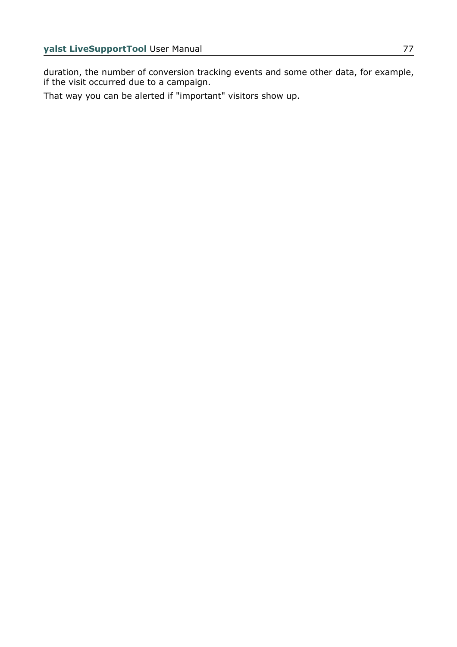duration, the number of conversion tracking events and some other data, for example, if the visit occurred due to a campaign.

That way you can be alerted if "important" visitors show up.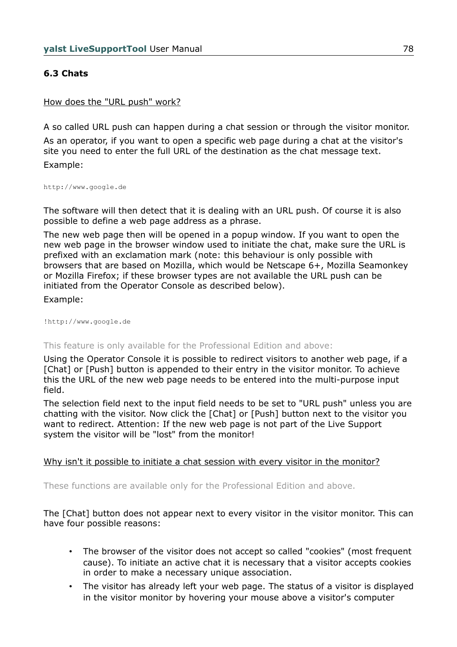# **6.3 Chats**

### How does the "URL push" work?

A so called URL push can happen during a chat session or through the visitor monitor.

As an operator, if you want to open a specific web page during a chat at the visitor's site you need to enter the full URL of the destination as the chat message text. Example:

[http://www.google.de](http://www.google.de/)

The software will then detect that it is dealing with an URL push. Of course it is also possible to define a web page address as a phrase.

The new web page then will be opened in a popup window. If you want to open the new web page in the browser window used to initiate the chat, make sure the URL is prefixed with an exclamation mark (note: this behaviour is only possible with browsers that are based on Mozilla, which would be Netscape 6+, Mozilla Seamonkey or Mozilla Firefox; if these browser types are not available the URL push can be initiated from the Operator Console as described below).

Example:

!http://www.google.de

This feature is only available for the Professional Edition and above:

Using the Operator Console it is possible to redirect visitors to another web page, if a [Chat] or [Push] button is appended to their entry in the visitor monitor. To achieve this the URL of the new web page needs to be entered into the multi-purpose input field.

The selection field next to the input field needs to be set to "URL push" unless you are chatting with the visitor. Now click the [Chat] or [Push] button next to the visitor you want to redirect. Attention: If the new web page is not part of the Live Support system the visitor will be "lost" from the monitor!

### Why isn't it possible to initiate a chat session with every visitor in the monitor?

These functions are available only for the Professional Edition and above.

The [Chat] button does not appear next to every visitor in the visitor monitor. This can have four possible reasons:

- The browser of the visitor does not accept so called "cookies" (most frequent cause). To initiate an active chat it is necessary that a visitor accepts cookies in order to make a necessary unique association.
- The visitor has already left your web page. The status of a visitor is displayed in the visitor monitor by hovering your mouse above a visitor's computer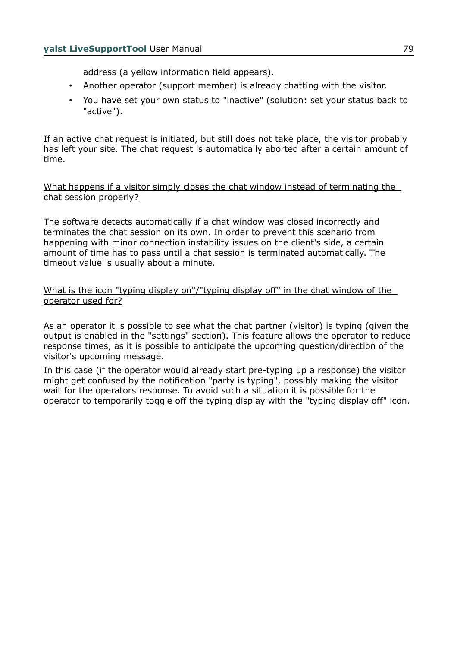address (a yellow information field appears).

- Another operator (support member) is already chatting with the visitor.
- You have set your own status to "inactive" (solution: set your status back to "active").

If an active chat request is initiated, but still does not take place, the visitor probably has left your site. The chat request is automatically aborted after a certain amount of time.

What happens if a visitor simply closes the chat window instead of terminating the chat session properly?

The software detects automatically if a chat window was closed incorrectly and terminates the chat session on its own. In order to prevent this scenario from happening with minor connection instability issues on the client's side, a certain amount of time has to pass until a chat session is terminated automatically. The timeout value is usually about a minute.

What is the icon "typing display on"/"typing display off" in the chat window of the operator used for?

As an operator it is possible to see what the chat partner (visitor) is typing (given the output is enabled in the "settings" section). This feature allows the operator to reduce response times, as it is possible to anticipate the upcoming question/direction of the visitor's upcoming message.

In this case (if the operator would already start pre-typing up a response) the visitor might get confused by the notification "party is typing", possibly making the visitor wait for the operators response. To avoid such a situation it is possible for the operator to temporarily toggle off the typing display with the "typing display off" icon.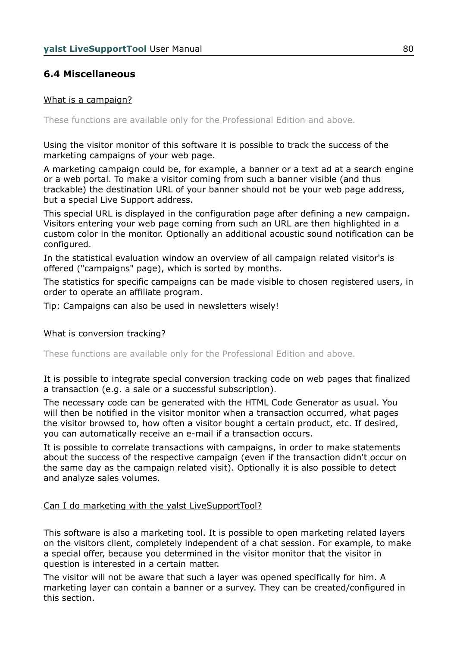# **6.4 Miscellaneous**

## What is a campaign?

These functions are available only for the Professional Edition and above.

Using the visitor monitor of this software it is possible to track the success of the marketing campaigns of your web page.

A marketing campaign could be, for example, a banner or a text ad at a search engine or a web portal. To make a visitor coming from such a banner visible (and thus trackable) the destination URL of your banner should not be your web page address, but a special Live Support address.

This special URL is displayed in the configuration page after defining a new campaign. Visitors entering your web page coming from such an URL are then highlighted in a custom color in the monitor. Optionally an additional acoustic sound notification can be configured.

In the statistical evaluation window an overview of all campaign related visitor's is offered ("campaigns" page), which is sorted by months.

The statistics for specific campaigns can be made visible to chosen registered users, in order to operate an affiliate program.

Tip: Campaigns can also be used in newsletters wisely!

### What is conversion tracking?

These functions are available only for the Professional Edition and above.

It is possible to integrate special conversion tracking code on web pages that finalized a transaction (e.g. a sale or a successful subscription).

The necessary code can be generated with the HTML Code Generator as usual. You will then be notified in the visitor monitor when a transaction occurred, what pages the visitor browsed to, how often a visitor bought a certain product, etc. If desired, you can automatically receive an e-mail if a transaction occurs.

It is possible to correlate transactions with campaigns, in order to make statements about the success of the respective campaign (even if the transaction didn't occur on the same day as the campaign related visit). Optionally it is also possible to detect and analyze sales volumes.

### Can I do marketing with the yalst LiveSupportTool?

This software is also a marketing tool. It is possible to open marketing related layers on the visitors client, completely independent of a chat session. For example, to make a special offer, because you determined in the visitor monitor that the visitor in question is interested in a certain matter.

The visitor will not be aware that such a layer was opened specifically for him. A marketing layer can contain a banner or a survey. They can be created/configured in this section.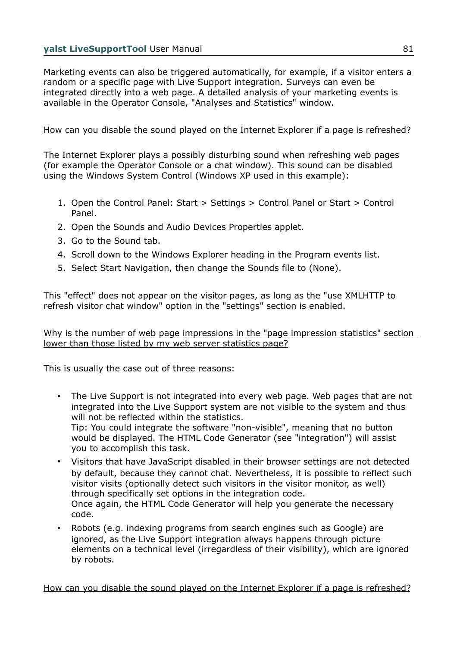Marketing events can also be triggered automatically, for example, if a visitor enters a random or a specific page with Live Support integration. Surveys can even be integrated directly into a web page. A detailed analysis of your marketing events is available in the Operator Console, "Analyses and Statistics" window.

# How can you disable the sound played on the Internet Explorer if a page is refreshed?

The Internet Explorer plays a possibly disturbing sound when refreshing web pages (for example the Operator Console or a chat window). This sound can be disabled using the Windows System Control (Windows XP used in this example):

- 1. Open the Control Panel: Start > Settings > Control Panel or Start > Control Panel.
- 2. Open the Sounds and Audio Devices Properties applet.
- 3. Go to the Sound tab.
- 4. Scroll down to the Windows Explorer heading in the Program events list.
- 5. Select Start Navigation, then change the Sounds file to (None).

This "effect" does not appear on the visitor pages, as long as the "use XMLHTTP to refresh visitor chat window" option in the "settings" section is enabled.

Why is the number of web page impressions in the "page impression statistics" section lower than those listed by my web server statistics page?

This is usually the case out of three reasons:

- The Live Support is not integrated into every web page. Web pages that are not integrated into the Live Support system are not visible to the system and thus will not be reflected within the statistics. Tip: You could integrate the software "non-visible", meaning that no button would be displayed. The HTML Code Generator (see "integration") will assist you to accomplish this task.
- Visitors that have JavaScript disabled in their browser settings are not detected by default, because they cannot chat. Nevertheless, it is possible to reflect such visitor visits (optionally detect such visitors in the visitor monitor, as well) through specifically set options in the integration code. Once again, the HTML Code Generator will help you generate the necessary code.
- Robots (e.g. indexing programs from search engines such as Google) are ignored, as the Live Support integration always happens through picture elements on a technical level (irregardless of their visibility), which are ignored by robots.

How can you disable the sound played on the Internet Explorer if a page is refreshed?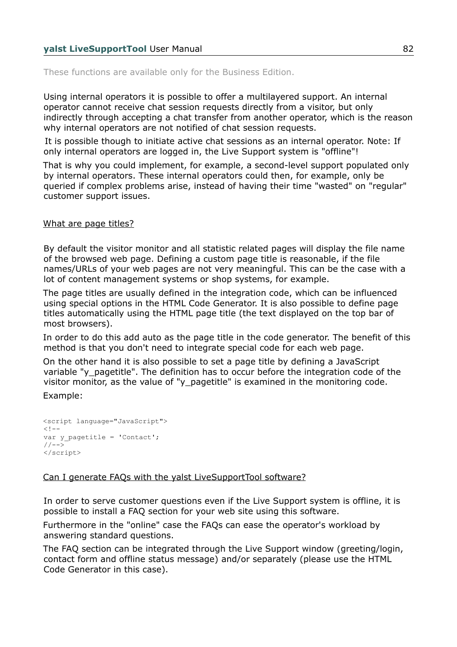These functions are available only for the Business Edition.

Using internal operators it is possible to offer a multilayered support. An internal operator cannot receive chat session requests directly from a visitor, but only indirectly through accepting a chat transfer from another operator, which is the reason why internal operators are not notified of chat session requests.

It is possible though to initiate active chat sessions as an internal operator. Note: If only internal operators are logged in, the Live Support system is "offline"!

That is why you could implement, for example, a second-level support populated only by internal operators. These internal operators could then, for example, only be queried if complex problems arise, instead of having their time "wasted" on "regular" customer support issues.

## What are page titles?

By default the visitor monitor and all statistic related pages will display the file name of the browsed web page. Defining a custom page title is reasonable, if the file names/URLs of your web pages are not very meaningful. This can be the case with a lot of content management systems or shop systems, for example.

The page titles are usually defined in the integration code, which can be influenced using special options in the HTML Code Generator. It is also possible to define page titles automatically using the HTML page title (the text displayed on the top bar of most browsers).

In order to do this add auto as the page title in the code generator. The benefit of this method is that you don't need to integrate special code for each web page.

On the other hand it is also possible to set a page title by defining a JavaScript variable "y\_pagetitle". The definition has to occur before the integration code of the visitor monitor, as the value of "y\_pagetitle" is examined in the monitoring code.

Example:

```
<script language="JavaScript">
< 1 - -var y_pagetitle = 'Contact';
1/--></script>
```
## Can I generate FAQs with the yalst LiveSupportTool software?

In order to serve customer questions even if the Live Support system is offline, it is possible to install a FAQ section for your web site using this software.

Furthermore in the "online" case the FAQs can ease the operator's workload by answering standard questions.

The FAQ section can be integrated through the Live Support window (greeting/login, contact form and offline status message) and/or separately (please use the HTML Code Generator in this case).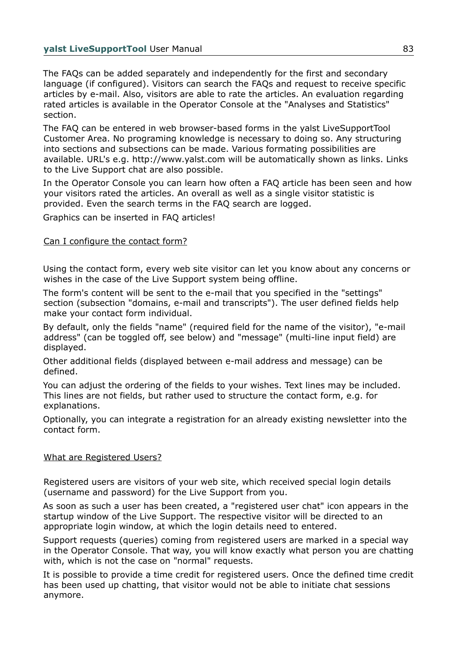The FAQs can be added separately and independently for the first and secondary language (if configured). Visitors can search the FAQs and request to receive specific articles by e-mail. Also, visitors are able to rate the articles. An evaluation regarding rated articles is available in the Operator Console at the "Analyses and Statistics" section.

The FAQ can be entered in web browser-based forms in the yalst LiveSupportTool Customer Area. No programing knowledge is necessary to doing so. Any structuring into sections and subsections can be made. Various formating possibilities are available. URL's e.g. http://www.yalst.com will be automatically shown as links. Links to the Live Support chat are also possible.

In the Operator Console you can learn how often a FAQ article has been seen and how your visitors rated the articles. An overall as well as a single visitor statistic is provided. Even the search terms in the FAQ search are logged.

Graphics can be inserted in FAQ articles!

# Can I configure the contact form?

Using the contact form, every web site visitor can let you know about any concerns or wishes in the case of the Live Support system being offline.

The form's content will be sent to the e-mail that you specified in the "settings" section (subsection "domains, e-mail and transcripts"). The user defined fields help make your contact form individual.

By default, only the fields "name" (required field for the name of the visitor), "e-mail address" (can be toggled off, see below) and "message" (multi-line input field) are displayed.

Other additional fields (displayed between e-mail address and message) can be defined.

You can adjust the ordering of the fields to your wishes. Text lines may be included. This lines are not fields, but rather used to structure the contact form, e.g. for explanations.

Optionally, you can integrate a registration for an already existing newsletter into the contact form.

## What are Registered Users?

Registered users are visitors of your web site, which received special login details (username and password) for the Live Support from you.

As soon as such a user has been created, a "registered user chat" icon appears in the startup window of the Live Support. The respective visitor will be directed to an appropriate login window, at which the login details need to entered.

Support requests (queries) coming from registered users are marked in a special way in the Operator Console. That way, you will know exactly what person you are chatting with, which is not the case on "normal" requests.

It is possible to provide a time credit for registered users. Once the defined time credit has been used up chatting, that visitor would not be able to initiate chat sessions anymore.